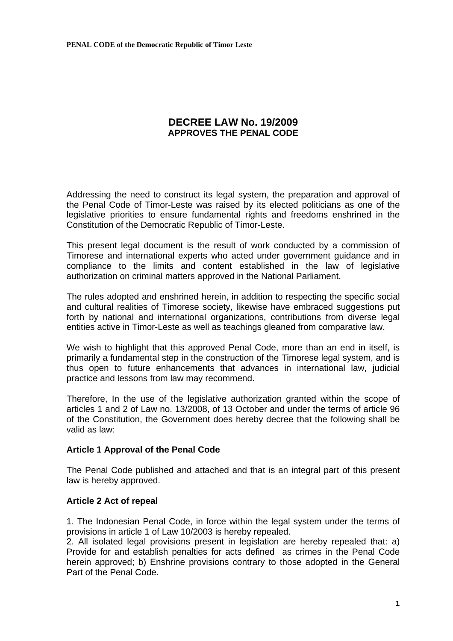# **DECREE LAW No. 19/2009 APPROVES THE PENAL CODE**

Addressing the need to construct its legal system, the preparation and approval of the Penal Code of Timor-Leste was raised by its elected politicians as one of the legislative priorities to ensure fundamental rights and freedoms enshrined in the Constitution of the Democratic Republic of Timor-Leste.

This present legal document is the result of work conducted by a commission of Timorese and international experts who acted under government guidance and in compliance to the limits and content established in the law of legislative authorization on criminal matters approved in the National Parliament.

The rules adopted and enshrined herein, in addition to respecting the specific social and cultural realities of Timorese society, likewise have embraced suggestions put forth by national and international organizations, contributions from diverse legal entities active in Timor-Leste as well as teachings gleaned from comparative law.

We wish to highlight that this approved Penal Code, more than an end in itself, is primarily a fundamental step in the construction of the Timorese legal system, and is thus open to future enhancements that advances in international law, judicial practice and lessons from law may recommend.

Therefore, In the use of the legislative authorization granted within the scope of articles 1 and 2 of Law no. 13/2008, of 13 October and under the terms of article 96 of the Constitution, the Government does hereby decree that the following shall be valid as law:

# **Article 1 Approval of the Penal Code**

The Penal Code published and attached and that is an integral part of this present law is hereby approved.

# **Article 2 Act of repeal**

1. The Indonesian Penal Code, in force within the legal system under the terms of provisions in article 1 of Law 10/2003 is hereby repealed.

2. All isolated legal provisions present in legislation are hereby repealed that: a) Provide for and establish penalties for acts defined as crimes in the Penal Code herein approved; b) Enshrine provisions contrary to those adopted in the General Part of the Penal Code.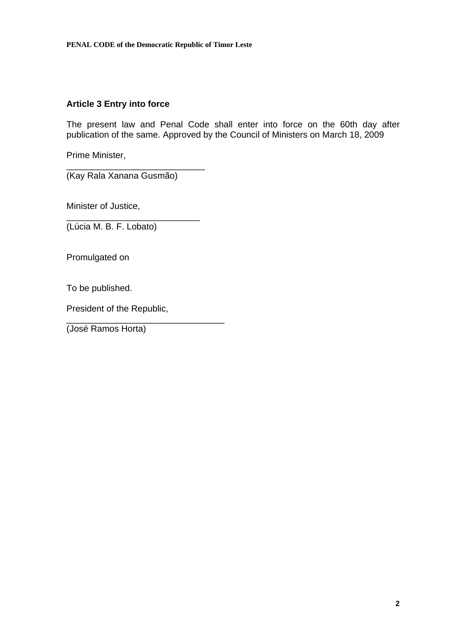# **Article 3 Entry into force**

The present law and Penal Code shall enter into force on the 60th day after publication of the same. Approved by the Council of Ministers on March 18, 2009

Prime Minister,

\_\_\_\_\_\_\_\_\_\_\_\_\_\_\_\_\_\_\_\_\_\_\_\_\_\_\_\_ (Kay Rala Xanana Gusmão)

\_\_\_\_\_\_\_\_\_\_\_\_\_\_\_\_\_\_\_\_\_\_\_\_\_\_\_

Minister of Justice,

(Lúcia M. B. F. Lobato)

Promulgated on

To be published.

President of the Republic,

\_\_\_\_\_\_\_\_\_\_\_\_\_\_\_\_\_\_\_\_\_\_\_\_\_\_\_\_\_\_\_\_

(José Ramos Horta)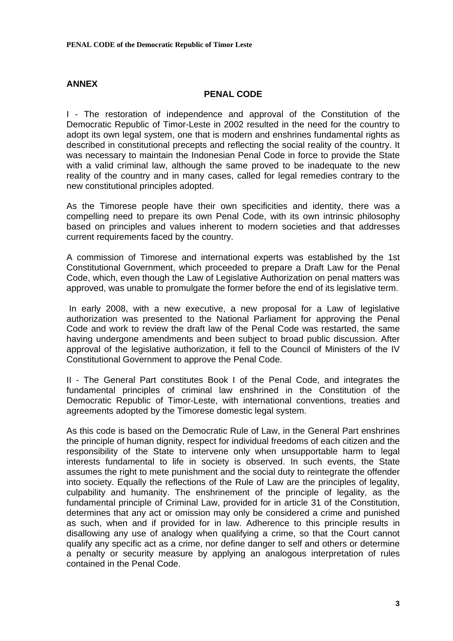# **ANNEX**

### **PENAL CODE**

I - The restoration of independence and approval of the Constitution of the Democratic Republic of Timor-Leste in 2002 resulted in the need for the country to adopt its own legal system, one that is modern and enshrines fundamental rights as described in constitutional precepts and reflecting the social reality of the country. It was necessary to maintain the Indonesian Penal Code in force to provide the State with a valid criminal law, although the same proved to be inadequate to the new reality of the country and in many cases, called for legal remedies contrary to the new constitutional principles adopted.

As the Timorese people have their own specificities and identity, there was a compelling need to prepare its own Penal Code, with its own intrinsic philosophy based on principles and values inherent to modern societies and that addresses current requirements faced by the country.

A commission of Timorese and international experts was established by the 1st Constitutional Government, which proceeded to prepare a Draft Law for the Penal Code, which, even though the Law of Legislative Authorization on penal matters was approved, was unable to promulgate the former before the end of its legislative term.

 In early 2008, with a new executive, a new proposal for a Law of legislative authorization was presented to the National Parliament for approving the Penal Code and work to review the draft law of the Penal Code was restarted, the same having undergone amendments and been subject to broad public discussion. After approval of the legislative authorization, it fell to the Council of Ministers of the IV Constitutional Government to approve the Penal Code.

II - The General Part constitutes Book I of the Penal Code, and integrates the fundamental principles of criminal law enshrined in the Constitution of the Democratic Republic of Timor-Leste, with international conventions, treaties and agreements adopted by the Timorese domestic legal system.

As this code is based on the Democratic Rule of Law, in the General Part enshrines the principle of human dignity, respect for individual freedoms of each citizen and the responsibility of the State to intervene only when unsupportable harm to legal interests fundamental to life in society is observed. In such events, the State assumes the right to mete punishment and the social duty to reintegrate the offender into society. Equally the reflections of the Rule of Law are the principles of legality, culpability and humanity. The enshrinement of the principle of legality, as the fundamental principle of Criminal Law, provided for in article 31 of the Constitution, determines that any act or omission may only be considered a crime and punished as such, when and if provided for in law. Adherence to this principle results in disallowing any use of analogy when qualifying a crime, so that the Court cannot qualify any specific act as a crime, nor define danger to self and others or determine a penalty or security measure by applying an analogous interpretation of rules contained in the Penal Code.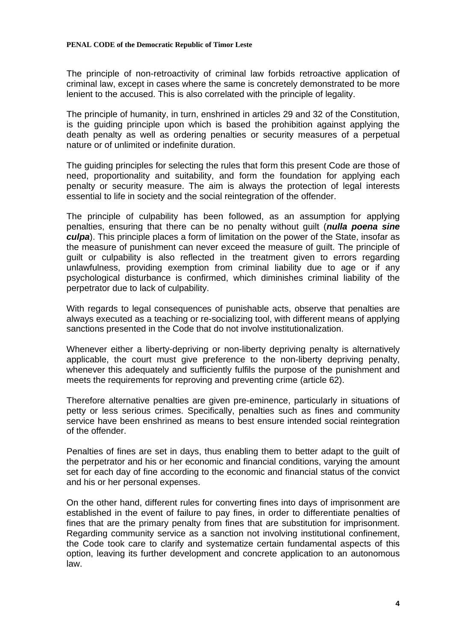The principle of non-retroactivity of criminal law forbids retroactive application of criminal law, except in cases where the same is concretely demonstrated to be more lenient to the accused. This is also correlated with the principle of legality.

The principle of humanity, in turn, enshrined in articles 29 and 32 of the Constitution, is the guiding principle upon which is based the prohibition against applying the death penalty as well as ordering penalties or security measures of a perpetual nature or of unlimited or indefinite duration.

The guiding principles for selecting the rules that form this present Code are those of need, proportionality and suitability, and form the foundation for applying each penalty or security measure. The aim is always the protection of legal interests essential to life in society and the social reintegration of the offender.

The principle of culpability has been followed, as an assumption for applying penalties, ensuring that there can be no penalty without guilt (*nulla poena sine culpa*). This principle places a form of limitation on the power of the State, insofar as the measure of punishment can never exceed the measure of guilt. The principle of guilt or culpability is also reflected in the treatment given to errors regarding unlawfulness, providing exemption from criminal liability due to age or if any psychological disturbance is confirmed, which diminishes criminal liability of the perpetrator due to lack of culpability.

With regards to legal consequences of punishable acts, observe that penalties are always executed as a teaching or re-socializing tool, with different means of applying sanctions presented in the Code that do not involve institutionalization.

Whenever either a liberty-depriving or non-liberty depriving penalty is alternatively applicable, the court must give preference to the non-liberty depriving penalty, whenever this adequately and sufficiently fulfils the purpose of the punishment and meets the requirements for reproving and preventing crime (article 62).

Therefore alternative penalties are given pre-eminence, particularly in situations of petty or less serious crimes. Specifically, penalties such as fines and community service have been enshrined as means to best ensure intended social reintegration of the offender.

Penalties of fines are set in days, thus enabling them to better adapt to the guilt of the perpetrator and his or her economic and financial conditions, varying the amount set for each day of fine according to the economic and financial status of the convict and his or her personal expenses.

On the other hand, different rules for converting fines into days of imprisonment are established in the event of failure to pay fines, in order to differentiate penalties of fines that are the primary penalty from fines that are substitution for imprisonment. Regarding community service as a sanction not involving institutional confinement, the Code took care to clarify and systematize certain fundamental aspects of this option, leaving its further development and concrete application to an autonomous law.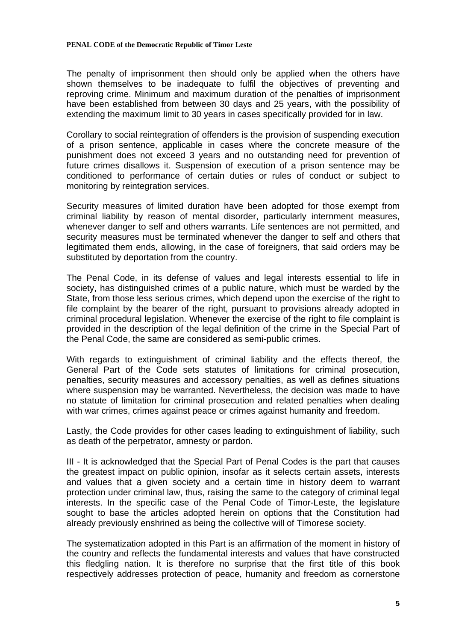#### **PENAL CODE of the Democratic Republic of Timor Leste**

The penalty of imprisonment then should only be applied when the others have shown themselves to be inadequate to fulfil the objectives of preventing and reproving crime. Minimum and maximum duration of the penalties of imprisonment have been established from between 30 days and 25 years, with the possibility of extending the maximum limit to 30 years in cases specifically provided for in law.

Corollary to social reintegration of offenders is the provision of suspending execution of a prison sentence, applicable in cases where the concrete measure of the punishment does not exceed 3 years and no outstanding need for prevention of future crimes disallows it. Suspension of execution of a prison sentence may be conditioned to performance of certain duties or rules of conduct or subject to monitoring by reintegration services.

Security measures of limited duration have been adopted for those exempt from criminal liability by reason of mental disorder, particularly internment measures, whenever danger to self and others warrants. Life sentences are not permitted, and security measures must be terminated whenever the danger to self and others that legitimated them ends, allowing, in the case of foreigners, that said orders may be substituted by deportation from the country.

The Penal Code, in its defense of values and legal interests essential to life in society, has distinguished crimes of a public nature, which must be warded by the State, from those less serious crimes, which depend upon the exercise of the right to file complaint by the bearer of the right, pursuant to provisions already adopted in criminal procedural legislation. Whenever the exercise of the right to file complaint is provided in the description of the legal definition of the crime in the Special Part of the Penal Code, the same are considered as semi-public crimes.

With regards to extinguishment of criminal liability and the effects thereof, the General Part of the Code sets statutes of limitations for criminal prosecution, penalties, security measures and accessory penalties, as well as defines situations where suspension may be warranted. Nevertheless, the decision was made to have no statute of limitation for criminal prosecution and related penalties when dealing with war crimes, crimes against peace or crimes against humanity and freedom.

Lastly, the Code provides for other cases leading to extinguishment of liability, such as death of the perpetrator, amnesty or pardon.

III - It is acknowledged that the Special Part of Penal Codes is the part that causes the greatest impact on public opinion, insofar as it selects certain assets, interests and values that a given society and a certain time in history deem to warrant protection under criminal law, thus, raising the same to the category of criminal legal interests. In the specific case of the Penal Code of Timor-Leste, the legislature sought to base the articles adopted herein on options that the Constitution had already previously enshrined as being the collective will of Timorese society.

The systematization adopted in this Part is an affirmation of the moment in history of the country and reflects the fundamental interests and values that have constructed this fledgling nation. It is therefore no surprise that the first title of this book respectively addresses protection of peace, humanity and freedom as cornerstone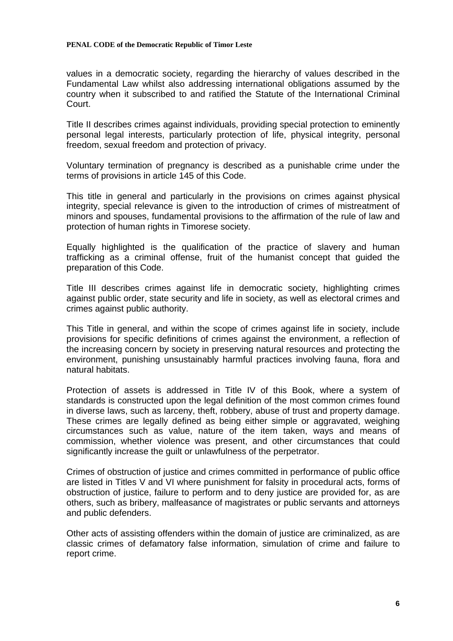values in a democratic society, regarding the hierarchy of values described in the Fundamental Law whilst also addressing international obligations assumed by the country when it subscribed to and ratified the Statute of the International Criminal Court.

Title II describes crimes against individuals, providing special protection to eminently personal legal interests, particularly protection of life, physical integrity, personal freedom, sexual freedom and protection of privacy.

Voluntary termination of pregnancy is described as a punishable crime under the terms of provisions in article 145 of this Code.

This title in general and particularly in the provisions on crimes against physical integrity, special relevance is given to the introduction of crimes of mistreatment of minors and spouses, fundamental provisions to the affirmation of the rule of law and protection of human rights in Timorese society.

Equally highlighted is the qualification of the practice of slavery and human trafficking as a criminal offense, fruit of the humanist concept that guided the preparation of this Code.

Title III describes crimes against life in democratic society, highlighting crimes against public order, state security and life in society, as well as electoral crimes and crimes against public authority.

This Title in general, and within the scope of crimes against life in society, include provisions for specific definitions of crimes against the environment, a reflection of the increasing concern by society in preserving natural resources and protecting the environment, punishing unsustainably harmful practices involving fauna, flora and natural habitats.

Protection of assets is addressed in Title IV of this Book, where a system of standards is constructed upon the legal definition of the most common crimes found in diverse laws, such as larceny, theft, robbery, abuse of trust and property damage. These crimes are legally defined as being either simple or aggravated, weighing circumstances such as value, nature of the item taken, ways and means of commission, whether violence was present, and other circumstances that could significantly increase the guilt or unlawfulness of the perpetrator.

Crimes of obstruction of justice and crimes committed in performance of public office are listed in Titles V and VI where punishment for falsity in procedural acts, forms of obstruction of justice, failure to perform and to deny justice are provided for, as are others, such as bribery, malfeasance of magistrates or public servants and attorneys and public defenders.

Other acts of assisting offenders within the domain of justice are criminalized, as are classic crimes of defamatory false information, simulation of crime and failure to report crime.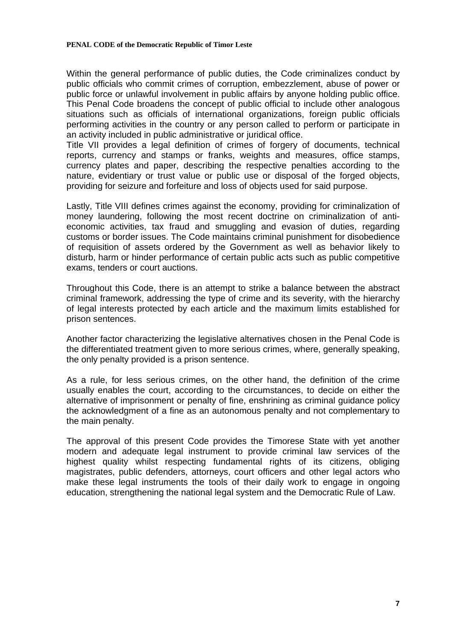#### **PENAL CODE of the Democratic Republic of Timor Leste**

Within the general performance of public duties, the Code criminalizes conduct by public officials who commit crimes of corruption, embezzlement, abuse of power or public force or unlawful involvement in public affairs by anyone holding public office. This Penal Code broadens the concept of public official to include other analogous situations such as officials of international organizations, foreign public officials performing activities in the country or any person called to perform or participate in an activity included in public administrative or juridical office.

Title VII provides a legal definition of crimes of forgery of documents, technical reports, currency and stamps or franks, weights and measures, office stamps, currency plates and paper, describing the respective penalties according to the nature, evidentiary or trust value or public use or disposal of the forged objects, providing for seizure and forfeiture and loss of objects used for said purpose.

Lastly, Title VIII defines crimes against the economy, providing for criminalization of money laundering, following the most recent doctrine on criminalization of antieconomic activities, tax fraud and smuggling and evasion of duties, regarding customs or border issues. The Code maintains criminal punishment for disobedience of requisition of assets ordered by the Government as well as behavior likely to disturb, harm or hinder performance of certain public acts such as public competitive exams, tenders or court auctions.

Throughout this Code, there is an attempt to strike a balance between the abstract criminal framework, addressing the type of crime and its severity, with the hierarchy of legal interests protected by each article and the maximum limits established for prison sentences.

Another factor characterizing the legislative alternatives chosen in the Penal Code is the differentiated treatment given to more serious crimes, where, generally speaking, the only penalty provided is a prison sentence.

As a rule, for less serious crimes, on the other hand, the definition of the crime usually enables the court, according to the circumstances, to decide on either the alternative of imprisonment or penalty of fine, enshrining as criminal guidance policy the acknowledgment of a fine as an autonomous penalty and not complementary to the main penalty.

The approval of this present Code provides the Timorese State with yet another modern and adequate legal instrument to provide criminal law services of the highest quality whilst respecting fundamental rights of its citizens, obliging magistrates, public defenders, attorneys, court officers and other legal actors who make these legal instruments the tools of their daily work to engage in ongoing education, strengthening the national legal system and the Democratic Rule of Law.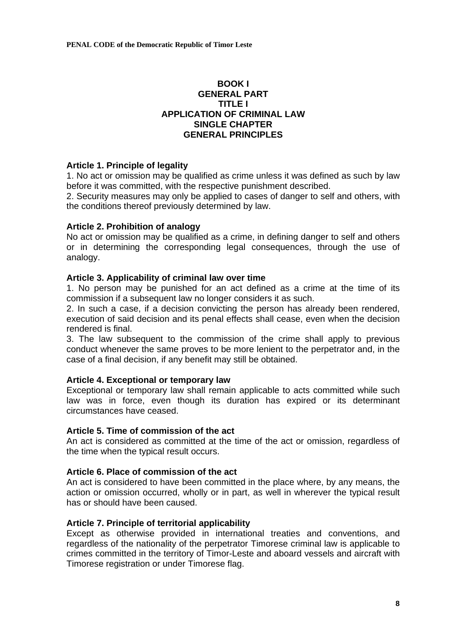# **BOOK I GENERAL PART TITLE I APPLICATION OF CRIMINAL LAW SINGLE CHAPTER GENERAL PRINCIPLES**

# **Article 1. Principle of legality**

1. No act or omission may be qualified as crime unless it was defined as such by law before it was committed, with the respective punishment described.

2. Security measures may only be applied to cases of danger to self and others, with the conditions thereof previously determined by law.

# **Article 2. Prohibition of analogy**

No act or omission may be qualified as a crime, in defining danger to self and others or in determining the corresponding legal consequences, through the use of analogy.

# **Article 3. Applicability of criminal law over time**

1. No person may be punished for an act defined as a crime at the time of its commission if a subsequent law no longer considers it as such.

2. In such a case, if a decision convicting the person has already been rendered, execution of said decision and its penal effects shall cease, even when the decision rendered is final.

3. The law subsequent to the commission of the crime shall apply to previous conduct whenever the same proves to be more lenient to the perpetrator and, in the case of a final decision, if any benefit may still be obtained.

# **Article 4. Exceptional or temporary law**

Exceptional or temporary law shall remain applicable to acts committed while such law was in force, even though its duration has expired or its determinant circumstances have ceased.

### **Article 5. Time of commission of the act**

An act is considered as committed at the time of the act or omission, regardless of the time when the typical result occurs.

# **Article 6. Place of commission of the act**

An act is considered to have been committed in the place where, by any means, the action or omission occurred, wholly or in part, as well in wherever the typical result has or should have been caused.

# **Article 7. Principle of territorial applicability**

Except as otherwise provided in international treaties and conventions, and regardless of the nationality of the perpetrator Timorese criminal law is applicable to crimes committed in the territory of Timor-Leste and aboard vessels and aircraft with Timorese registration or under Timorese flag.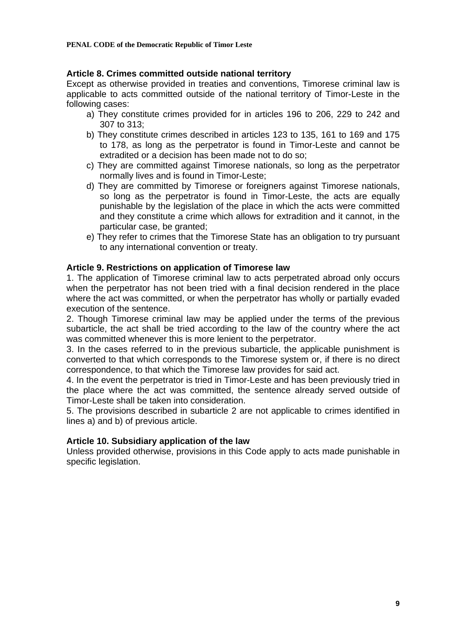# **Article 8. Crimes committed outside national territory**

Except as otherwise provided in treaties and conventions, Timorese criminal law is applicable to acts committed outside of the national territory of Timor-Leste in the following cases:

- a) They constitute crimes provided for in articles 196 to 206, 229 to 242 and 307 to 313;
- b) They constitute crimes described in articles 123 to 135, 161 to 169 and 175 to 178, as long as the perpetrator is found in Timor-Leste and cannot be extradited or a decision has been made not to do so;
- c) They are committed against Timorese nationals, so long as the perpetrator normally lives and is found in Timor-Leste;
- d) They are committed by Timorese or foreigners against Timorese nationals, so long as the perpetrator is found in Timor-Leste, the acts are equally punishable by the legislation of the place in which the acts were committed and they constitute a crime which allows for extradition and it cannot, in the particular case, be granted;
- e) They refer to crimes that the Timorese State has an obligation to try pursuant to any international convention or treaty.

# **Article 9. Restrictions on application of Timorese law**

1. The application of Timorese criminal law to acts perpetrated abroad only occurs when the perpetrator has not been tried with a final decision rendered in the place where the act was committed, or when the perpetrator has wholly or partially evaded execution of the sentence.

2. Though Timorese criminal law may be applied under the terms of the previous subarticle, the act shall be tried according to the law of the country where the act was committed whenever this is more lenient to the perpetrator.

3. In the cases referred to in the previous subarticle, the applicable punishment is converted to that which corresponds to the Timorese system or, if there is no direct correspondence, to that which the Timorese law provides for said act.

4. In the event the perpetrator is tried in Timor-Leste and has been previously tried in the place where the act was committed, the sentence already served outside of Timor-Leste shall be taken into consideration.

5. The provisions described in subarticle 2 are not applicable to crimes identified in lines a) and b) of previous article.

### **Article 10. Subsidiary application of the law**

Unless provided otherwise, provisions in this Code apply to acts made punishable in specific legislation.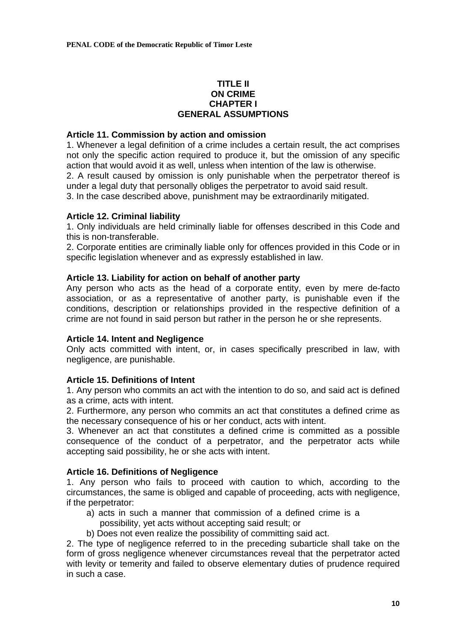# **TITLE II ON CRIME CHAPTER I GENERAL ASSUMPTIONS**

## **Article 11. Commission by action and omission**

1. Whenever a legal definition of a crime includes a certain result, the act comprises not only the specific action required to produce it, but the omission of any specific action that would avoid it as well, unless when intention of the law is otherwise.

2. A result caused by omission is only punishable when the perpetrator thereof is under a legal duty that personally obliges the perpetrator to avoid said result.

3. In the case described above, punishment may be extraordinarily mitigated.

# **Article 12. Criminal liability**

1. Only individuals are held criminally liable for offenses described in this Code and this is non-transferable.

2. Corporate entities are criminally liable only for offences provided in this Code or in specific legislation whenever and as expressly established in law.

# **Article 13. Liability for action on behalf of another party**

Any person who acts as the head of a corporate entity, even by mere de-facto association, or as a representative of another party, is punishable even if the conditions, description or relationships provided in the respective definition of a crime are not found in said person but rather in the person he or she represents.

### **Article 14. Intent and Negligence**

Only acts committed with intent, or, in cases specifically prescribed in law, with negligence, are punishable.

# **Article 15. Definitions of Intent**

1. Any person who commits an act with the intention to do so, and said act is defined as a crime, acts with intent.

2. Furthermore, any person who commits an act that constitutes a defined crime as the necessary consequence of his or her conduct, acts with intent.

3. Whenever an act that constitutes a defined crime is committed as a possible consequence of the conduct of a perpetrator, and the perpetrator acts while accepting said possibility, he or she acts with intent.

### **Article 16. Definitions of Negligence**

1. Any person who fails to proceed with caution to which, according to the circumstances, the same is obliged and capable of proceeding, acts with negligence, if the perpetrator:

- a) acts in such a manner that commission of a defined crime is a possibility, yet acts without accepting said result; or
- b) Does not even realize the possibility of committing said act.

2. The type of negligence referred to in the preceding subarticle shall take on the form of gross negligence whenever circumstances reveal that the perpetrator acted with levity or temerity and failed to observe elementary duties of prudence required in such a case.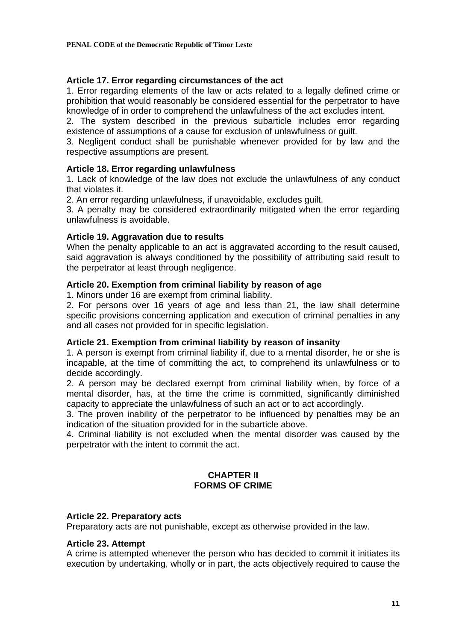# **Article 17. Error regarding circumstances of the act**

1. Error regarding elements of the law or acts related to a legally defined crime or prohibition that would reasonably be considered essential for the perpetrator to have knowledge of in order to comprehend the unlawfulness of the act excludes intent.

2. The system described in the previous subarticle includes error regarding existence of assumptions of a cause for exclusion of unlawfulness or guilt.

3. Negligent conduct shall be punishable whenever provided for by law and the respective assumptions are present.

# **Article 18. Error regarding unlawfulness**

1. Lack of knowledge of the law does not exclude the unlawfulness of any conduct that violates it.

2. An error regarding unlawfulness, if unavoidable, excludes guilt.

3. A penalty may be considered extraordinarily mitigated when the error regarding unlawfulness is avoidable.

# **Article 19. Aggravation due to results**

When the penalty applicable to an act is aggravated according to the result caused. said aggravation is always conditioned by the possibility of attributing said result to the perpetrator at least through negligence.

# **Article 20. Exemption from criminal liability by reason of age**

1. Minors under 16 are exempt from criminal liability.

2. For persons over 16 years of age and less than 21, the law shall determine specific provisions concerning application and execution of criminal penalties in any and all cases not provided for in specific legislation.

### **Article 21. Exemption from criminal liability by reason of insanity**

1. A person is exempt from criminal liability if, due to a mental disorder, he or she is incapable, at the time of committing the act, to comprehend its unlawfulness or to decide accordingly.

2. A person may be declared exempt from criminal liability when, by force of a mental disorder, has, at the time the crime is committed, significantly diminished capacity to appreciate the unlawfulness of such an act or to act accordingly.

3. The proven inability of the perpetrator to be influenced by penalties may be an indication of the situation provided for in the subarticle above.

4. Criminal liability is not excluded when the mental disorder was caused by the perpetrator with the intent to commit the act.

# **CHAPTER II FORMS OF CRIME**

### **Article 22. Preparatory acts**

Preparatory acts are not punishable, except as otherwise provided in the law.

### **Article 23. Attempt**

A crime is attempted whenever the person who has decided to commit it initiates its execution by undertaking, wholly or in part, the acts objectively required to cause the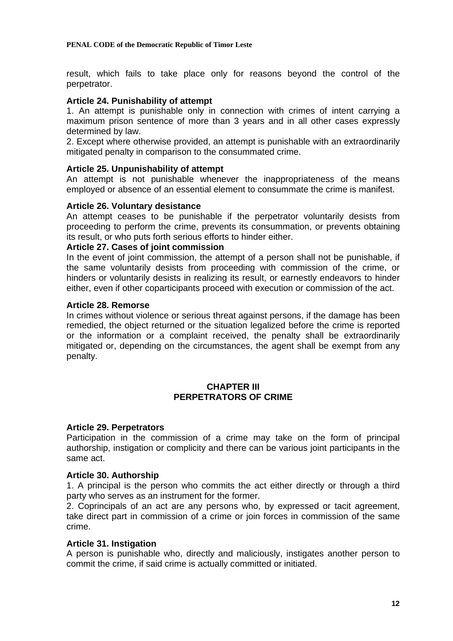result, which fails to take place only for reasons beyond the control of the perpetrator.

## **Article 24. Punishability of attempt**

1. An attempt is punishable only in connection with crimes of intent carrying a maximum prison sentence of more than 3 years and in all other cases expressly determined by law.

2. Except where otherwise provided, an attempt is punishable with an extraordinarily mitigated penalty in comparison to the consummated crime.

### **Article 25. Unpunishability of attempt**

An attempt is not punishable whenever the inappropriateness of the means employed or absence of an essential element to consummate the crime is manifest.

### **Article 26. Voluntary desistance**

An attempt ceases to be punishable if the perpetrator voluntarily desists from proceeding to perform the crime, prevents its consummation, or prevents obtaining its result, or who puts forth serious efforts to hinder either.

# **Article 27. Cases of joint commission**

In the event of joint commission, the attempt of a person shall not be punishable, if the same voluntarily desists from proceeding with commission of the crime, or hinders or voluntarily desists in realizing its result, or earnestly endeavors to hinder either, even if other coparticipants proceed with execution or commission of the act.

#### **Article 28. Remorse**

In crimes without violence or serious threat against persons, if the damage has been remedied, the object returned or the situation legalized before the crime is reported or the information or a complaint received, the penalty shall be extraordinarily mitigated or, depending on the circumstances, the agent shall be exempt from any penalty.

### **CHAPTER III PERPETRATORS OF CRIME**

#### **Article 29. Perpetrators**

Participation in the commission of a crime may take on the form of principal authorship, instigation or complicity and there can be various joint participants in the same act.

### **Article 30. Authorship**

1. A principal is the person who commits the act either directly or through a third party who serves as an instrument for the former.

2. Coprincipals of an act are any persons who, by expressed or tacit agreement, take direct part in commission of a crime or join forces in commission of the same crime.

### **Article 31. Instigation**

A person is punishable who, directly and maliciously, instigates another person to commit the crime, if said crime is actually committed or initiated.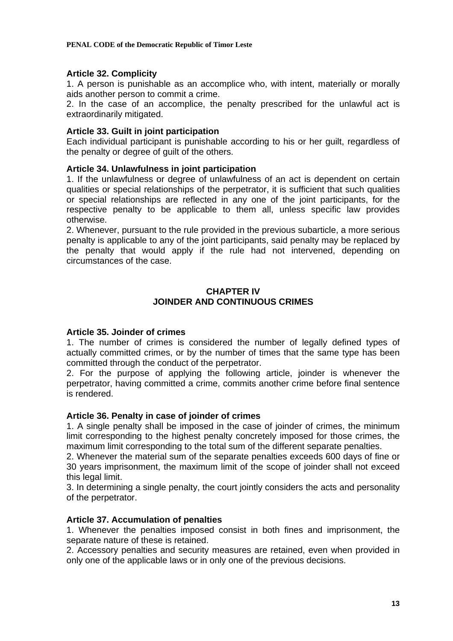# **Article 32. Complicity**

1. A person is punishable as an accomplice who, with intent, materially or morally aids another person to commit a crime.

2. In the case of an accomplice, the penalty prescribed for the unlawful act is extraordinarily mitigated.

# **Article 33. Guilt in joint participation**

Each individual participant is punishable according to his or her guilt, regardless of the penalty or degree of guilt of the others.

# **Article 34. Unlawfulness in joint participation**

1. If the unlawfulness or degree of unlawfulness of an act is dependent on certain qualities or special relationships of the perpetrator, it is sufficient that such qualities or special relationships are reflected in any one of the joint participants, for the respective penalty to be applicable to them all, unless specific law provides otherwise.

2. Whenever, pursuant to the rule provided in the previous subarticle, a more serious penalty is applicable to any of the joint participants, said penalty may be replaced by the penalty that would apply if the rule had not intervened, depending on circumstances of the case.

# **CHAPTER IV JOINDER AND CONTINUOUS CRIMES**

### **Article 35. Joinder of crimes**

1. The number of crimes is considered the number of legally defined types of actually committed crimes, or by the number of times that the same type has been committed through the conduct of the perpetrator.

2. For the purpose of applying the following article, joinder is whenever the perpetrator, having committed a crime, commits another crime before final sentence is rendered.

### **Article 36. Penalty in case of joinder of crimes**

1. A single penalty shall be imposed in the case of joinder of crimes, the minimum limit corresponding to the highest penalty concretely imposed for those crimes, the maximum limit corresponding to the total sum of the different separate penalties.

2. Whenever the material sum of the separate penalties exceeds 600 days of fine or 30 years imprisonment, the maximum limit of the scope of joinder shall not exceed this legal limit.

3. In determining a single penalty, the court jointly considers the acts and personality of the perpetrator.

### **Article 37. Accumulation of penalties**

1. Whenever the penalties imposed consist in both fines and imprisonment, the separate nature of these is retained.

2. Accessory penalties and security measures are retained, even when provided in only one of the applicable laws or in only one of the previous decisions.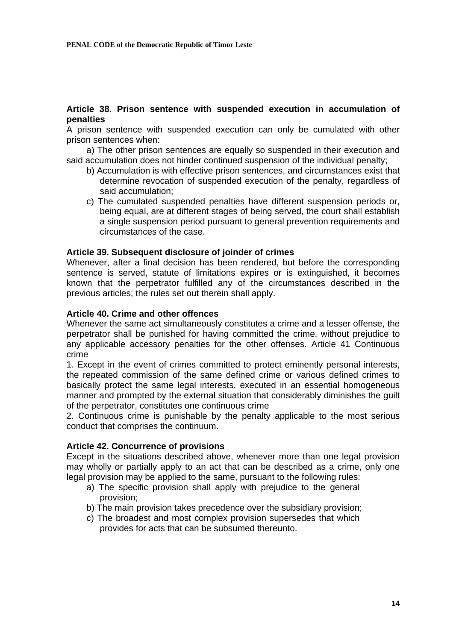# **Article 38. Prison sentence with suspended execution in accumulation of penalties**

A prison sentence with suspended execution can only be cumulated with other prison sentences when:

a) The other prison sentences are equally so suspended in their execution and said accumulation does not hinder continued suspension of the individual penalty;

- b) Accumulation is with effective prison sentences, and circumstances exist that determine revocation of suspended execution of the penalty, regardless of said accumulation;
- c) The cumulated suspended penalties have different suspension periods or, being equal, are at different stages of being served, the court shall establish a single suspension period pursuant to general prevention requirements and circumstances of the case.

#### **Article 39. Subsequent disclosure of joinder of crimes**

Whenever, after a final decision has been rendered, but before the corresponding sentence is served, statute of limitations expires or is extinguished, it becomes known that the perpetrator fulfilled any of the circumstances described in the previous articles; the rules set out therein shall apply.

### **Article 40. Crime and other offences**

Whenever the same act simultaneously constitutes a crime and a lesser offense, the perpetrator shall be punished for having committed the crime, without prejudice to any applicable accessory penalties for the other offenses. Article 41 Continuous crime

1. Except in the event of crimes committed to protect eminently personal interests, the repeated commission of the same defined crime or various defined crimes to basically protect the same legal interests, executed in an essential homogeneous manner and prompted by the external situation that considerably diminishes the guilt of the perpetrator, constitutes one continuous crime

2. Continuous crime is punishable by the penalty applicable to the most serious conduct that comprises the continuum.

### **Article 42. Concurrence of provisions**

Except in the situations described above, whenever more than one legal provision may wholly or partially apply to an act that can be described as a crime, only one legal provision may be applied to the same, pursuant to the following rules:

- a) The specific provision shall apply with prejudice to the general provision;
- b) The main provision takes precedence over the subsidiary provision;
- c) The broadest and most complex provision supersedes that which provides for acts that can be subsumed thereunto.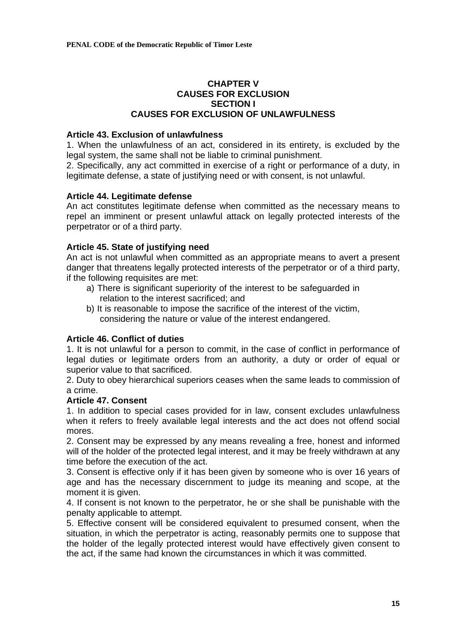# **CHAPTER V CAUSES FOR EXCLUSION SECTION I CAUSES FOR EXCLUSION OF UNLAWFULNESS**

# **Article 43. Exclusion of unlawfulness**

1. When the unlawfulness of an act, considered in its entirety, is excluded by the legal system, the same shall not be liable to criminal punishment.

2. Specifically, any act committed in exercise of a right or performance of a duty, in legitimate defense, a state of justifying need or with consent, is not unlawful.

# **Article 44. Legitimate defense**

An act constitutes legitimate defense when committed as the necessary means to repel an imminent or present unlawful attack on legally protected interests of the perpetrator or of a third party.

# **Article 45. State of justifying need**

An act is not unlawful when committed as an appropriate means to avert a present danger that threatens legally protected interests of the perpetrator or of a third party, if the following requisites are met:

- a) There is significant superiority of the interest to be safeguarded in relation to the interest sacrificed; and
- b) It is reasonable to impose the sacrifice of the interest of the victim, considering the nature or value of the interest endangered.

# **Article 46. Conflict of duties**

1. It is not unlawful for a person to commit, in the case of conflict in performance of legal duties or legitimate orders from an authority, a duty or order of equal or superior value to that sacrificed.

2. Duty to obey hierarchical superiors ceases when the same leads to commission of a crime.

### **Article 47. Consent**

1. In addition to special cases provided for in law, consent excludes unlawfulness when it refers to freely available legal interests and the act does not offend social mores.

2. Consent may be expressed by any means revealing a free, honest and informed will of the holder of the protected legal interest, and it may be freely withdrawn at any time before the execution of the act.

3. Consent is effective only if it has been given by someone who is over 16 years of age and has the necessary discernment to judge its meaning and scope, at the moment it is given.

4. If consent is not known to the perpetrator, he or she shall be punishable with the penalty applicable to attempt.

5. Effective consent will be considered equivalent to presumed consent, when the situation, in which the perpetrator is acting, reasonably permits one to suppose that the holder of the legally protected interest would have effectively given consent to the act, if the same had known the circumstances in which it was committed.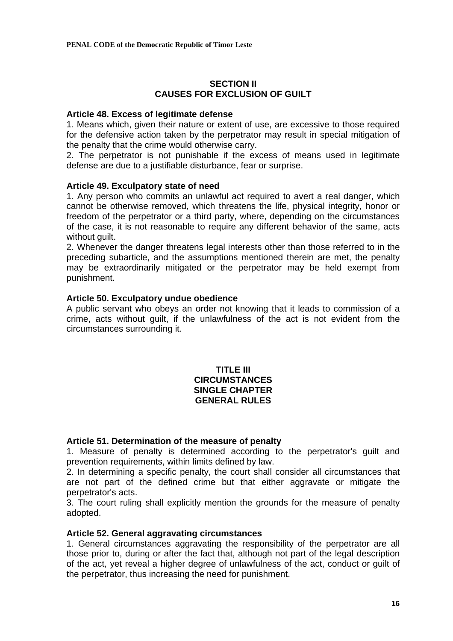# **SECTION II CAUSES FOR EXCLUSION OF GUILT**

#### **Article 48. Excess of legitimate defense**

1. Means which, given their nature or extent of use, are excessive to those required for the defensive action taken by the perpetrator may result in special mitigation of the penalty that the crime would otherwise carry.

2. The perpetrator is not punishable if the excess of means used in legitimate defense are due to a justifiable disturbance, fear or surprise.

### **Article 49. Exculpatory state of need**

1. Any person who commits an unlawful act required to avert a real danger, which cannot be otherwise removed, which threatens the life, physical integrity, honor or freedom of the perpetrator or a third party, where, depending on the circumstances of the case, it is not reasonable to require any different behavior of the same, acts without quilt.

2. Whenever the danger threatens legal interests other than those referred to in the preceding subarticle, and the assumptions mentioned therein are met, the penalty may be extraordinarily mitigated or the perpetrator may be held exempt from punishment.

### **Article 50. Exculpatory undue obedience**

A public servant who obeys an order not knowing that it leads to commission of a crime, acts without guilt, if the unlawfulness of the act is not evident from the circumstances surrounding it.

# **TITLE III CIRCUMSTANCES SINGLE CHAPTER GENERAL RULES**

### **Article 51. Determination of the measure of penalty**

1. Measure of penalty is determined according to the perpetrator's guilt and prevention requirements, within limits defined by law.

2. In determining a specific penalty, the court shall consider all circumstances that are not part of the defined crime but that either aggravate or mitigate the perpetrator's acts.

3. The court ruling shall explicitly mention the grounds for the measure of penalty adopted.

#### **Article 52. General aggravating circumstances**

1. General circumstances aggravating the responsibility of the perpetrator are all those prior to, during or after the fact that, although not part of the legal description of the act, yet reveal a higher degree of unlawfulness of the act, conduct or guilt of the perpetrator, thus increasing the need for punishment.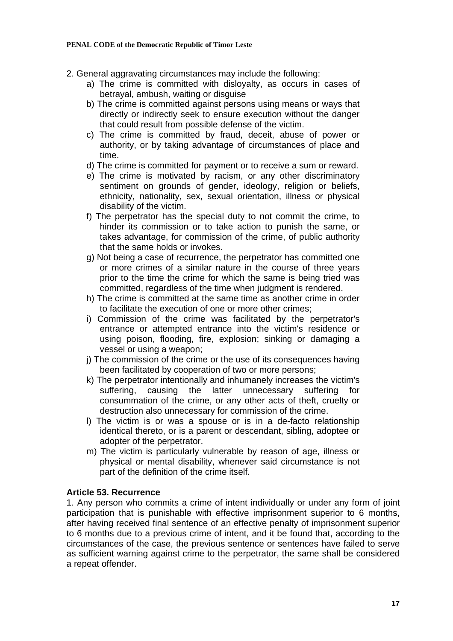#### **PENAL CODE of the Democratic Republic of Timor Leste**

- 2. General aggravating circumstances may include the following:
	- a) The crime is committed with disloyalty, as occurs in cases of betrayal, ambush, waiting or disguise
	- b) The crime is committed against persons using means or ways that directly or indirectly seek to ensure execution without the danger that could result from possible defense of the victim.
	- c) The crime is committed by fraud, deceit, abuse of power or authority, or by taking advantage of circumstances of place and time.
	- d) The crime is committed for payment or to receive a sum or reward.
	- e) The crime is motivated by racism, or any other discriminatory sentiment on grounds of gender, ideology, religion or beliefs, ethnicity, nationality, sex, sexual orientation, illness or physical disability of the victim.
	- f) The perpetrator has the special duty to not commit the crime, to hinder its commission or to take action to punish the same, or takes advantage, for commission of the crime, of public authority that the same holds or invokes.
	- g) Not being a case of recurrence, the perpetrator has committed one or more crimes of a similar nature in the course of three years prior to the time the crime for which the same is being tried was committed, regardless of the time when judgment is rendered.
	- h) The crime is committed at the same time as another crime in order to facilitate the execution of one or more other crimes;
	- i) Commission of the crime was facilitated by the perpetrator's entrance or attempted entrance into the victim's residence or using poison, flooding, fire, explosion; sinking or damaging a vessel or using a weapon;
	- j) The commission of the crime or the use of its consequences having been facilitated by cooperation of two or more persons;
	- k) The perpetrator intentionally and inhumanely increases the victim's suffering, causing the latter unnecessary suffering for consummation of the crime, or any other acts of theft, cruelty or destruction also unnecessary for commission of the crime.
	- l) The victim is or was a spouse or is in a de-facto relationship identical thereto, or is a parent or descendant, sibling, adoptee or adopter of the perpetrator.
	- m) The victim is particularly vulnerable by reason of age, illness or physical or mental disability, whenever said circumstance is not part of the definition of the crime itself.

### **Article 53. Recurrence**

1. Any person who commits a crime of intent individually or under any form of joint participation that is punishable with effective imprisonment superior to 6 months, after having received final sentence of an effective penalty of imprisonment superior to 6 months due to a previous crime of intent, and it be found that, according to the circumstances of the case, the previous sentence or sentences have failed to serve as sufficient warning against crime to the perpetrator, the same shall be considered a repeat offender.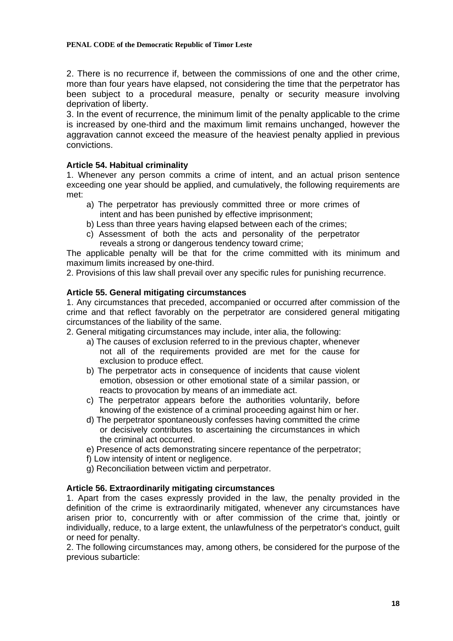#### **PENAL CODE of the Democratic Republic of Timor Leste**

2. There is no recurrence if, between the commissions of one and the other crime, more than four years have elapsed, not considering the time that the perpetrator has been subject to a procedural measure, penalty or security measure involving deprivation of liberty.

3. In the event of recurrence, the minimum limit of the penalty applicable to the crime is increased by one-third and the maximum limit remains unchanged, however the aggravation cannot exceed the measure of the heaviest penalty applied in previous convictions.

# **Article 54. Habitual criminality**

1. Whenever any person commits a crime of intent, and an actual prison sentence exceeding one year should be applied, and cumulatively, the following requirements are met:

- a) The perpetrator has previously committed three or more crimes of intent and has been punished by effective imprisonment;
- b) Less than three years having elapsed between each of the crimes;
- c) Assessment of both the acts and personality of the perpetrator reveals a strong or dangerous tendency toward crime;

The applicable penalty will be that for the crime committed with its minimum and maximum limits increased by one-third.

2. Provisions of this law shall prevail over any specific rules for punishing recurrence.

# **Article 55. General mitigating circumstances**

1. Any circumstances that preceded, accompanied or occurred after commission of the crime and that reflect favorably on the perpetrator are considered general mitigating circumstances of the liability of the same.

2. General mitigating circumstances may include, inter alia, the following:

- a) The causes of exclusion referred to in the previous chapter, whenever not all of the requirements provided are met for the cause for exclusion to produce effect.
- b) The perpetrator acts in consequence of incidents that cause violent emotion, obsession or other emotional state of a similar passion, or reacts to provocation by means of an immediate act.
- c) The perpetrator appears before the authorities voluntarily, before knowing of the existence of a criminal proceeding against him or her.
- d) The perpetrator spontaneously confesses having committed the crime or decisively contributes to ascertaining the circumstances in which the criminal act occurred.
- e) Presence of acts demonstrating sincere repentance of the perpetrator;
- f) Low intensity of intent or negligence.
- g) Reconciliation between victim and perpetrator.

### **Article 56. Extraordinarily mitigating circumstances**

1. Apart from the cases expressly provided in the law, the penalty provided in the definition of the crime is extraordinarily mitigated, whenever any circumstances have arisen prior to, concurrently with or after commission of the crime that, jointly or individually, reduce, to a large extent, the unlawfulness of the perpetrator's conduct, guilt or need for penalty.

2. The following circumstances may, among others, be considered for the purpose of the previous subarticle: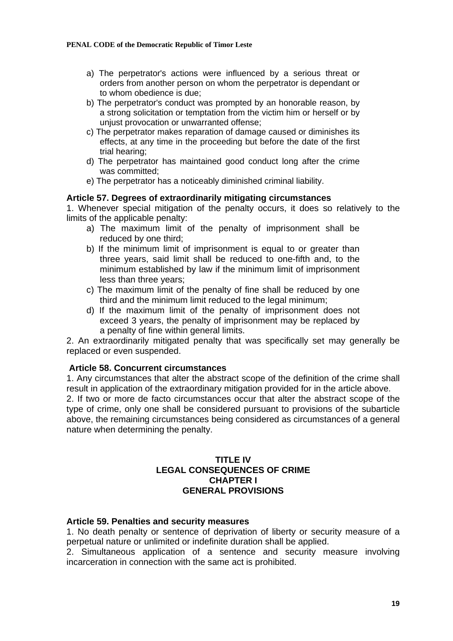- a) The perpetrator's actions were influenced by a serious threat or orders from another person on whom the perpetrator is dependant or to whom obedience is due;
- b) The perpetrator's conduct was prompted by an honorable reason, by a strong solicitation or temptation from the victim him or herself or by unjust provocation or unwarranted offense;
- c) The perpetrator makes reparation of damage caused or diminishes its effects, at any time in the proceeding but before the date of the first trial hearing;
- d) The perpetrator has maintained good conduct long after the crime was committed;
- e) The perpetrator has a noticeably diminished criminal liability.

### **Article 57. Degrees of extraordinarily mitigating circumstances**

1. Whenever special mitigation of the penalty occurs, it does so relatively to the limits of the applicable penalty:

- a) The maximum limit of the penalty of imprisonment shall be reduced by one third;
- b) If the minimum limit of imprisonment is equal to or greater than three years, said limit shall be reduced to one-fifth and, to the minimum established by law if the minimum limit of imprisonment less than three years;
- c) The maximum limit of the penalty of fine shall be reduced by one third and the minimum limit reduced to the legal minimum;
- d) If the maximum limit of the penalty of imprisonment does not exceed 3 years, the penalty of imprisonment may be replaced by a penalty of fine within general limits.

2. An extraordinarily mitigated penalty that was specifically set may generally be replaced or even suspended.

### **Article 58. Concurrent circumstances**

1. Any circumstances that alter the abstract scope of the definition of the crime shall result in application of the extraordinary mitigation provided for in the article above. 2. If two or more de facto circumstances occur that alter the abstract scope of the type of crime, only one shall be considered pursuant to provisions of the subarticle above, the remaining circumstances being considered as circumstances of a general nature when determining the penalty.

# **TITLE IV LEGAL CONSEQUENCES OF CRIME CHAPTER I GENERAL PROVISIONS**

#### **Article 59. Penalties and security measures**

1. No death penalty or sentence of deprivation of liberty or security measure of a perpetual nature or unlimited or indefinite duration shall be applied.

2. Simultaneous application of a sentence and security measure involving incarceration in connection with the same act is prohibited.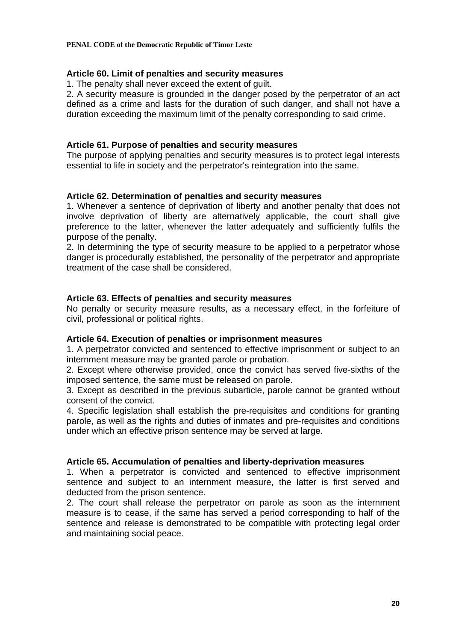# **Article 60. Limit of penalties and security measures**

1. The penalty shall never exceed the extent of guilt.

2. A security measure is grounded in the danger posed by the perpetrator of an act defined as a crime and lasts for the duration of such danger, and shall not have a duration exceeding the maximum limit of the penalty corresponding to said crime.

# **Article 61. Purpose of penalties and security measures**

The purpose of applying penalties and security measures is to protect legal interests essential to life in society and the perpetrator's reintegration into the same.

# **Article 62. Determination of penalties and security measures**

1. Whenever a sentence of deprivation of liberty and another penalty that does not involve deprivation of liberty are alternatively applicable, the court shall give preference to the latter, whenever the latter adequately and sufficiently fulfils the purpose of the penalty.

2. In determining the type of security measure to be applied to a perpetrator whose danger is procedurally established, the personality of the perpetrator and appropriate treatment of the case shall be considered.

# **Article 63. Effects of penalties and security measures**

No penalty or security measure results, as a necessary effect, in the forfeiture of civil, professional or political rights.

### **Article 64. Execution of penalties or imprisonment measures**

1. A perpetrator convicted and sentenced to effective imprisonment or subject to an internment measure may be granted parole or probation.

2. Except where otherwise provided, once the convict has served five-sixths of the imposed sentence, the same must be released on parole.

3. Except as described in the previous subarticle, parole cannot be granted without consent of the convict.

4. Specific legislation shall establish the pre-requisites and conditions for granting parole, as well as the rights and duties of inmates and pre-requisites and conditions under which an effective prison sentence may be served at large.

### **Article 65. Accumulation of penalties and liberty-deprivation measures**

1. When a perpetrator is convicted and sentenced to effective imprisonment sentence and subject to an internment measure, the latter is first served and deducted from the prison sentence.

2. The court shall release the perpetrator on parole as soon as the internment measure is to cease, if the same has served a period corresponding to half of the sentence and release is demonstrated to be compatible with protecting legal order and maintaining social peace.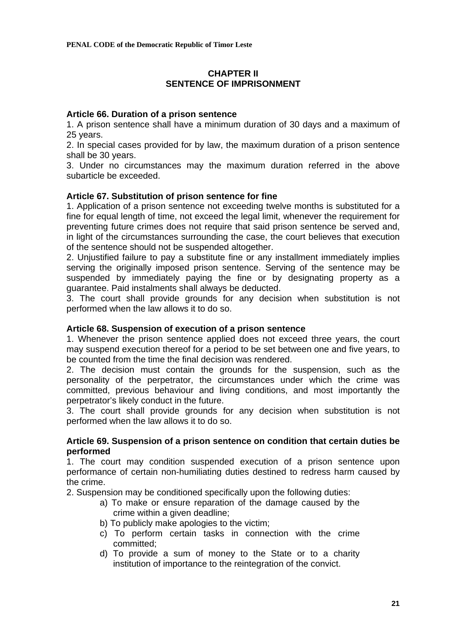# **CHAPTER II SENTENCE OF IMPRISONMENT**

# **Article 66. Duration of a prison sentence**

1. A prison sentence shall have a minimum duration of 30 days and a maximum of 25 years.

2. In special cases provided for by law, the maximum duration of a prison sentence shall be 30 years.

3. Under no circumstances may the maximum duration referred in the above subarticle be exceeded.

# **Article 67. Substitution of prison sentence for fine**

1. Application of a prison sentence not exceeding twelve months is substituted for a fine for equal length of time, not exceed the legal limit, whenever the requirement for preventing future crimes does not require that said prison sentence be served and, in light of the circumstances surrounding the case, the court believes that execution of the sentence should not be suspended altogether.

2. Unjustified failure to pay a substitute fine or any installment immediately implies serving the originally imposed prison sentence. Serving of the sentence may be suspended by immediately paying the fine or by designating property as a guarantee. Paid instalments shall always be deducted.

3. The court shall provide grounds for any decision when substitution is not performed when the law allows it to do so.

### **Article 68. Suspension of execution of a prison sentence**

1. Whenever the prison sentence applied does not exceed three years, the court may suspend execution thereof for a period to be set between one and five years, to be counted from the time the final decision was rendered.

2. The decision must contain the grounds for the suspension, such as the personality of the perpetrator, the circumstances under which the crime was committed, previous behaviour and living conditions, and most importantly the perpetrator's likely conduct in the future.

3. The court shall provide grounds for any decision when substitution is not performed when the law allows it to do so.

### **Article 69. Suspension of a prison sentence on condition that certain duties be performed**

1. The court may condition suspended execution of a prison sentence upon performance of certain non-humiliating duties destined to redress harm caused by the crime.

2. Suspension may be conditioned specifically upon the following duties:

- a) To make or ensure reparation of the damage caused by the crime within a given deadline;
- b) To publicly make apologies to the victim;
- c) To perform certain tasks in connection with the crime committed;
- d) To provide a sum of money to the State or to a charity institution of importance to the reintegration of the convict.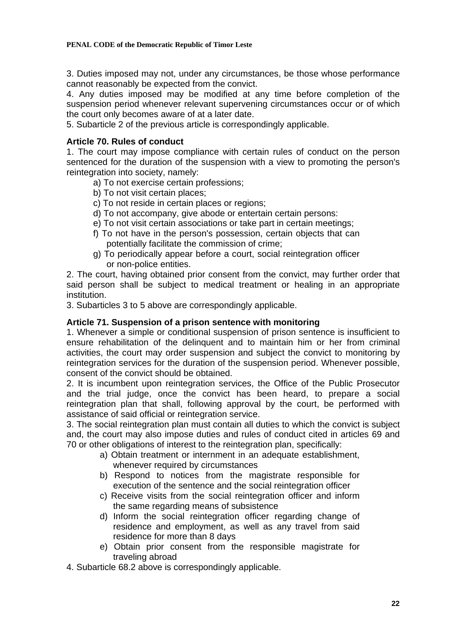3. Duties imposed may not, under any circumstances, be those whose performance cannot reasonably be expected from the convict.

4. Any duties imposed may be modified at any time before completion of the suspension period whenever relevant supervening circumstances occur or of which the court only becomes aware of at a later date.

5. Subarticle 2 of the previous article is correspondingly applicable.

# **Article 70. Rules of conduct**

1. The court may impose compliance with certain rules of conduct on the person sentenced for the duration of the suspension with a view to promoting the person's reintegration into society, namely:

- a) To not exercise certain professions;
- b) To not visit certain places;
- c) To not reside in certain places or regions;
- d) To not accompany, give abode or entertain certain persons:
- e) To not visit certain associations or take part in certain meetings;
- f) To not have in the person's possession, certain objects that can potentially facilitate the commission of crime;
- g) To periodically appear before a court, social reintegration officer or non-police entities.

2. The court, having obtained prior consent from the convict, may further order that said person shall be subject to medical treatment or healing in an appropriate institution.

3. Subarticles 3 to 5 above are correspondingly applicable.

# **Article 71. Suspension of a prison sentence with monitoring**

1. Whenever a simple or conditional suspension of prison sentence is insufficient to ensure rehabilitation of the delinquent and to maintain him or her from criminal activities, the court may order suspension and subject the convict to monitoring by reintegration services for the duration of the suspension period. Whenever possible, consent of the convict should be obtained.

2. It is incumbent upon reintegration services, the Office of the Public Prosecutor and the trial judge, once the convict has been heard, to prepare a social reintegration plan that shall, following approval by the court, be performed with assistance of said official or reintegration service.

3. The social reintegration plan must contain all duties to which the convict is subject and, the court may also impose duties and rules of conduct cited in articles 69 and 70 or other obligations of interest to the reintegration plan, specifically:

- a) Obtain treatment or internment in an adequate establishment, whenever required by circumstances
- b) Respond to notices from the magistrate responsible for execution of the sentence and the social reintegration officer
- c) Receive visits from the social reintegration officer and inform the same regarding means of subsistence
- d) Inform the social reintegration officer regarding change of residence and employment, as well as any travel from said residence for more than 8 days
- e) Obtain prior consent from the responsible magistrate for traveling abroad

4. Subarticle 68.2 above is correspondingly applicable.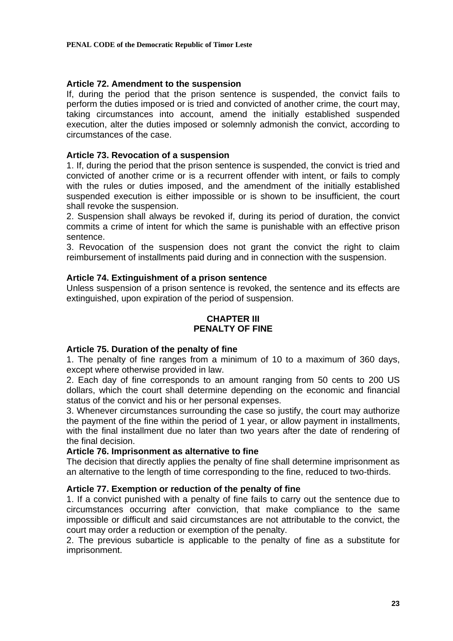# **Article 72. Amendment to the suspension**

If, during the period that the prison sentence is suspended, the convict fails to perform the duties imposed or is tried and convicted of another crime, the court may, taking circumstances into account, amend the initially established suspended execution, alter the duties imposed or solemnly admonish the convict, according to circumstances of the case.

# **Article 73. Revocation of a suspension**

1. If, during the period that the prison sentence is suspended, the convict is tried and convicted of another crime or is a recurrent offender with intent, or fails to comply with the rules or duties imposed, and the amendment of the initially established suspended execution is either impossible or is shown to be insufficient, the court shall revoke the suspension.

2. Suspension shall always be revoked if, during its period of duration, the convict commits a crime of intent for which the same is punishable with an effective prison sentence.

3. Revocation of the suspension does not grant the convict the right to claim reimbursement of installments paid during and in connection with the suspension.

# **Article 74. Extinguishment of a prison sentence**

Unless suspension of a prison sentence is revoked, the sentence and its effects are extinguished, upon expiration of the period of suspension.

# **CHAPTER III PENALTY OF FINE**

### **Article 75. Duration of the penalty of fine**

1. The penalty of fine ranges from a minimum of 10 to a maximum of 360 days, except where otherwise provided in law.

2. Each day of fine corresponds to an amount ranging from 50 cents to 200 US dollars, which the court shall determine depending on the economic and financial status of the convict and his or her personal expenses.

3. Whenever circumstances surrounding the case so justify, the court may authorize the payment of the fine within the period of 1 year, or allow payment in installments, with the final installment due no later than two years after the date of rendering of the final decision.

### **Article 76. Imprisonment as alternative to fine**

The decision that directly applies the penalty of fine shall determine imprisonment as an alternative to the length of time corresponding to the fine, reduced to two-thirds.

## **Article 77. Exemption or reduction of the penalty of fine**

1. If a convict punished with a penalty of fine fails to carry out the sentence due to circumstances occurring after conviction, that make compliance to the same impossible or difficult and said circumstances are not attributable to the convict, the court may order a reduction or exemption of the penalty.

2. The previous subarticle is applicable to the penalty of fine as a substitute for imprisonment.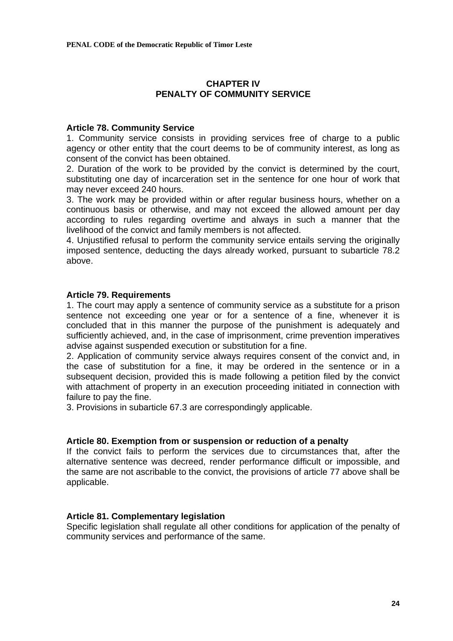# **CHAPTER IV PENALTY OF COMMUNITY SERVICE**

## **Article 78. Community Service**

1. Community service consists in providing services free of charge to a public agency or other entity that the court deems to be of community interest, as long as consent of the convict has been obtained.

2. Duration of the work to be provided by the convict is determined by the court, substituting one day of incarceration set in the sentence for one hour of work that may never exceed 240 hours.

3. The work may be provided within or after regular business hours, whether on a continuous basis or otherwise, and may not exceed the allowed amount per day according to rules regarding overtime and always in such a manner that the livelihood of the convict and family members is not affected.

4. Unjustified refusal to perform the community service entails serving the originally imposed sentence, deducting the days already worked, pursuant to subarticle 78.2 above.

# **Article 79. Requirements**

1. The court may apply a sentence of community service as a substitute for a prison sentence not exceeding one year or for a sentence of a fine, whenever it is concluded that in this manner the purpose of the punishment is adequately and sufficiently achieved, and, in the case of imprisonment, crime prevention imperatives advise against suspended execution or substitution for a fine.

2. Application of community service always requires consent of the convict and, in the case of substitution for a fine, it may be ordered in the sentence or in a subsequent decision, provided this is made following a petition filed by the convict with attachment of property in an execution proceeding initiated in connection with failure to pay the fine.

3. Provisions in subarticle 67.3 are correspondingly applicable.

### **Article 80. Exemption from or suspension or reduction of a penalty**

If the convict fails to perform the services due to circumstances that, after the alternative sentence was decreed, render performance difficult or impossible, and the same are not ascribable to the convict, the provisions of article 77 above shall be applicable.

### **Article 81. Complementary legislation**

Specific legislation shall regulate all other conditions for application of the penalty of community services and performance of the same.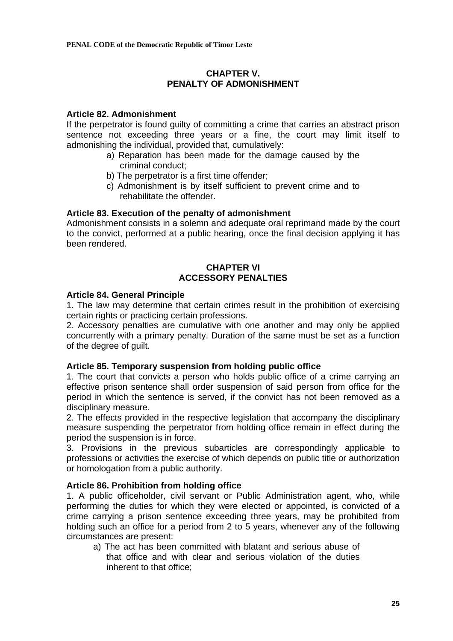# **CHAPTER V. PENALTY OF ADMONISHMENT**

# **Article 82. Admonishment**

If the perpetrator is found guilty of committing a crime that carries an abstract prison sentence not exceeding three years or a fine, the court may limit itself to admonishing the individual, provided that, cumulatively:

- a) Reparation has been made for the damage caused by the criminal conduct;
- b) The perpetrator is a first time offender;
- c) Admonishment is by itself sufficient to prevent crime and to rehabilitate the offender.

# **Article 83. Execution of the penalty of admonishment**

Admonishment consists in a solemn and adequate oral reprimand made by the court to the convict, performed at a public hearing, once the final decision applying it has been rendered.

# **CHAPTER VI ACCESSORY PENALTIES**

# **Article 84. General Principle**

1. The law may determine that certain crimes result in the prohibition of exercising certain rights or practicing certain professions.

2. Accessory penalties are cumulative with one another and may only be applied concurrently with a primary penalty. Duration of the same must be set as a function of the degree of guilt.

# **Article 85. Temporary suspension from holding public office**

1. The court that convicts a person who holds public office of a crime carrying an effective prison sentence shall order suspension of said person from office for the period in which the sentence is served, if the convict has not been removed as a disciplinary measure.

2. The effects provided in the respective legislation that accompany the disciplinary measure suspending the perpetrator from holding office remain in effect during the period the suspension is in force.

3. Provisions in the previous subarticles are correspondingly applicable to professions or activities the exercise of which depends on public title or authorization or homologation from a public authority.

# **Article 86. Prohibition from holding office**

1. A public officeholder, civil servant or Public Administration agent, who, while performing the duties for which they were elected or appointed, is convicted of a crime carrying a prison sentence exceeding three years, may be prohibited from holding such an office for a period from 2 to 5 years, whenever any of the following circumstances are present:

a) The act has been committed with blatant and serious abuse of that office and with clear and serious violation of the duties inherent to that office;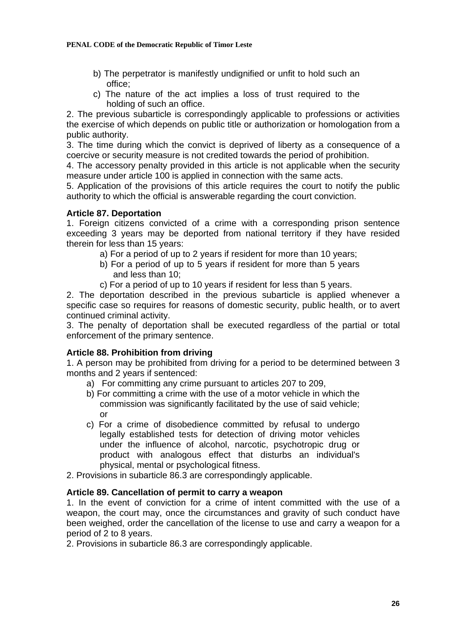- b) The perpetrator is manifestly undignified or unfit to hold such an office;
- c) The nature of the act implies a loss of trust required to the holding of such an office.

2. The previous subarticle is correspondingly applicable to professions or activities the exercise of which depends on public title or authorization or homologation from a public authority.

3. The time during which the convict is deprived of liberty as a consequence of a coercive or security measure is not credited towards the period of prohibition.

4. The accessory penalty provided in this article is not applicable when the security measure under article 100 is applied in connection with the same acts.

5. Application of the provisions of this article requires the court to notify the public authority to which the official is answerable regarding the court conviction.

# **Article 87. Deportation**

1. Foreign citizens convicted of a crime with a corresponding prison sentence exceeding 3 years may be deported from national territory if they have resided therein for less than 15 years:

- a) For a period of up to 2 years if resident for more than 10 years;
- b) For a period of up to 5 years if resident for more than 5 years and less than 10;
- c) For a period of up to 10 years if resident for less than 5 years.

2. The deportation described in the previous subarticle is applied whenever a specific case so requires for reasons of domestic security, public health, or to avert continued criminal activity.

3. The penalty of deportation shall be executed regardless of the partial or total enforcement of the primary sentence.

# **Article 88. Prohibition from driving**

1. A person may be prohibited from driving for a period to be determined between 3 months and 2 years if sentenced:

- a) For committing any crime pursuant to articles 207 to 209,
- b) For committing a crime with the use of a motor vehicle in which the commission was significantly facilitated by the use of said vehicle; or
- c) For a crime of disobedience committed by refusal to undergo legally established tests for detection of driving motor vehicles under the influence of alcohol, narcotic, psychotropic drug or product with analogous effect that disturbs an individual's physical, mental or psychological fitness.
- 2. Provisions in subarticle 86.3 are correspondingly applicable.

# **Article 89. Cancellation of permit to carry a weapon**

1. In the event of conviction for a crime of intent committed with the use of a weapon, the court may, once the circumstances and gravity of such conduct have been weighed, order the cancellation of the license to use and carry a weapon for a period of 2 to 8 years.

2. Provisions in subarticle 86.3 are correspondingly applicable.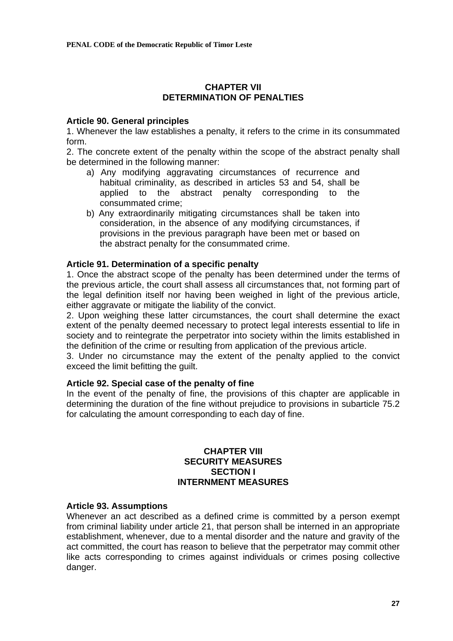# **CHAPTER VII DETERMINATION OF PENALTIES**

## **Article 90. General principles**

1. Whenever the law establishes a penalty, it refers to the crime in its consummated form.

2. The concrete extent of the penalty within the scope of the abstract penalty shall be determined in the following manner:

- a) Any modifying aggravating circumstances of recurrence and habitual criminality, as described in articles 53 and 54, shall be applied to the abstract penalty corresponding to the consummated crime;
- b) Any extraordinarily mitigating circumstances shall be taken into consideration, in the absence of any modifying circumstances, if provisions in the previous paragraph have been met or based on the abstract penalty for the consummated crime.

# **Article 91. Determination of a specific penalty**

1. Once the abstract scope of the penalty has been determined under the terms of the previous article, the court shall assess all circumstances that, not forming part of the legal definition itself nor having been weighed in light of the previous article, either aggravate or mitigate the liability of the convict.

2. Upon weighing these latter circumstances, the court shall determine the exact extent of the penalty deemed necessary to protect legal interests essential to life in society and to reintegrate the perpetrator into society within the limits established in the definition of the crime or resulting from application of the previous article.

3. Under no circumstance may the extent of the penalty applied to the convict exceed the limit befitting the guilt.

### **Article 92. Special case of the penalty of fine**

In the event of the penalty of fine, the provisions of this chapter are applicable in determining the duration of the fine without prejudice to provisions in subarticle 75.2 for calculating the amount corresponding to each day of fine.

### **CHAPTER VIII SECURITY MEASURES SECTION I INTERNMENT MEASURES**

### **Article 93. Assumptions**

Whenever an act described as a defined crime is committed by a person exempt from criminal liability under article 21, that person shall be interned in an appropriate establishment, whenever, due to a mental disorder and the nature and gravity of the act committed, the court has reason to believe that the perpetrator may commit other like acts corresponding to crimes against individuals or crimes posing collective danger.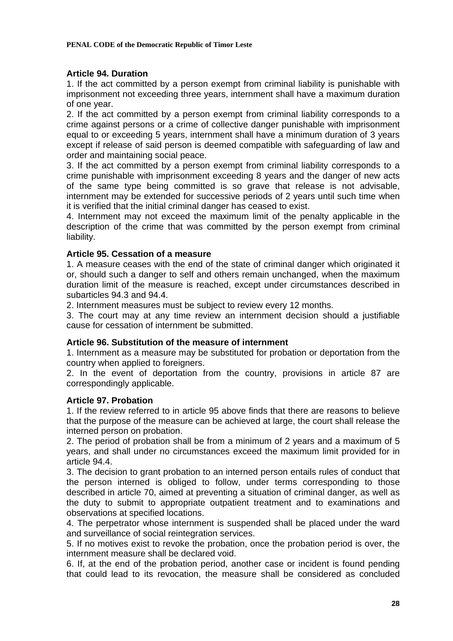# **Article 94. Duration**

1. If the act committed by a person exempt from criminal liability is punishable with imprisonment not exceeding three years, internment shall have a maximum duration of one year.

2. If the act committed by a person exempt from criminal liability corresponds to a crime against persons or a crime of collective danger punishable with imprisonment equal to or exceeding 5 years, internment shall have a minimum duration of 3 years except if release of said person is deemed compatible with safeguarding of law and order and maintaining social peace.

3. If the act committed by a person exempt from criminal liability corresponds to a crime punishable with imprisonment exceeding 8 years and the danger of new acts of the same type being committed is so grave that release is not advisable, internment may be extended for successive periods of 2 years until such time when it is verified that the initial criminal danger has ceased to exist.

4. Internment may not exceed the maximum limit of the penalty applicable in the description of the crime that was committed by the person exempt from criminal liability.

# **Article 95. Cessation of a measure**

1. A measure ceases with the end of the state of criminal danger which originated it or, should such a danger to self and others remain unchanged, when the maximum duration limit of the measure is reached, except under circumstances described in subarticles 94.3 and 94.4.

2. Internment measures must be subject to review every 12 months.

3. The court may at any time review an internment decision should a justifiable cause for cessation of internment be submitted.

### **Article 96. Substitution of the measure of internment**

1. Internment as a measure may be substituted for probation or deportation from the country when applied to foreigners.

2. In the event of deportation from the country, provisions in article 87 are correspondingly applicable.

### **Article 97. Probation**

1. If the review referred to in article 95 above finds that there are reasons to believe that the purpose of the measure can be achieved at large, the court shall release the interned person on probation.

2. The period of probation shall be from a minimum of 2 years and a maximum of 5 years, and shall under no circumstances exceed the maximum limit provided for in article 94.4.

3. The decision to grant probation to an interned person entails rules of conduct that the person interned is obliged to follow, under terms corresponding to those described in article 70, aimed at preventing a situation of criminal danger, as well as the duty to submit to appropriate outpatient treatment and to examinations and observations at specified locations.

4. The perpetrator whose internment is suspended shall be placed under the ward and surveillance of social reintegration services.

5. If no motives exist to revoke the probation, once the probation period is over, the internment measure shall be declared void.

6. If, at the end of the probation period, another case or incident is found pending that could lead to its revocation, the measure shall be considered as concluded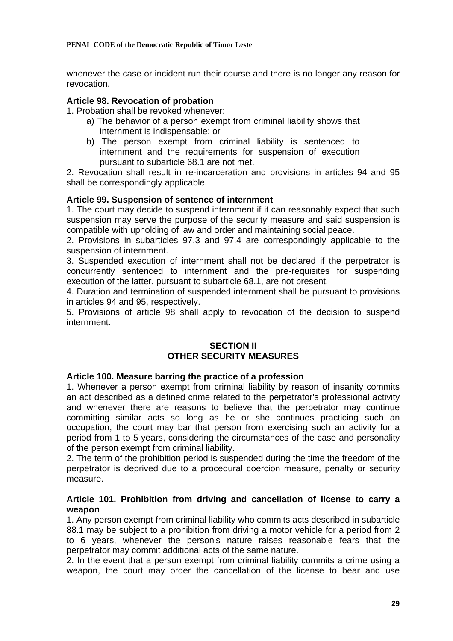whenever the case or incident run their course and there is no longer any reason for revocation.

# **Article 98. Revocation of probation**

1. Probation shall be revoked whenever:

- a) The behavior of a person exempt from criminal liability shows that internment is indispensable; or
- b) The person exempt from criminal liability is sentenced to internment and the requirements for suspension of execution pursuant to subarticle 68.1 are not met.

2. Revocation shall result in re-incarceration and provisions in articles 94 and 95 shall be correspondingly applicable.

# **Article 99. Suspension of sentence of internment**

1. The court may decide to suspend internment if it can reasonably expect that such suspension may serve the purpose of the security measure and said suspension is compatible with upholding of law and order and maintaining social peace.

2. Provisions in subarticles 97.3 and 97.4 are correspondingly applicable to the suspension of internment.

3. Suspended execution of internment shall not be declared if the perpetrator is concurrently sentenced to internment and the pre-requisites for suspending execution of the latter, pursuant to subarticle 68.1, are not present.

4. Duration and termination of suspended internment shall be pursuant to provisions in articles 94 and 95, respectively.

5. Provisions of article 98 shall apply to revocation of the decision to suspend internment.

# **SECTION II OTHER SECURITY MEASURES**

# **Article 100. Measure barring the practice of a profession**

1. Whenever a person exempt from criminal liability by reason of insanity commits an act described as a defined crime related to the perpetrator's professional activity and whenever there are reasons to believe that the perpetrator may continue committing similar acts so long as he or she continues practicing such an occupation, the court may bar that person from exercising such an activity for a period from 1 to 5 years, considering the circumstances of the case and personality of the person exempt from criminal liability.

2. The term of the prohibition period is suspended during the time the freedom of the perpetrator is deprived due to a procedural coercion measure, penalty or security measure.

# **Article 101. Prohibition from driving and cancellation of license to carry a weapon**

1. Any person exempt from criminal liability who commits acts described in subarticle 88.1 may be subject to a prohibition from driving a motor vehicle for a period from 2 to 6 years, whenever the person's nature raises reasonable fears that the perpetrator may commit additional acts of the same nature.

2. In the event that a person exempt from criminal liability commits a crime using a weapon, the court may order the cancellation of the license to bear and use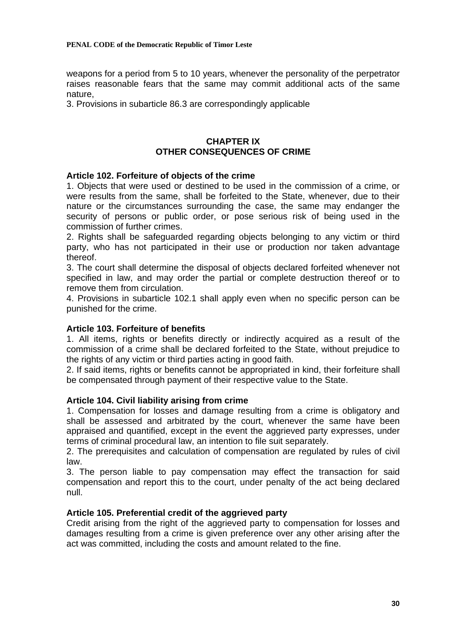weapons for a period from 5 to 10 years, whenever the personality of the perpetrator raises reasonable fears that the same may commit additional acts of the same nature,

3. Provisions in subarticle 86.3 are correspondingly applicable

# **CHAPTER IX OTHER CONSEQUENCES OF CRIME**

# **Article 102. Forfeiture of objects of the crime**

1. Objects that were used or destined to be used in the commission of a crime, or were results from the same, shall be forfeited to the State, whenever, due to their nature or the circumstances surrounding the case, the same may endanger the security of persons or public order, or pose serious risk of being used in the commission of further crimes.

2. Rights shall be safeguarded regarding objects belonging to any victim or third party, who has not participated in their use or production nor taken advantage thereof.

3. The court shall determine the disposal of objects declared forfeited whenever not specified in law, and may order the partial or complete destruction thereof or to remove them from circulation.

4. Provisions in subarticle 102.1 shall apply even when no specific person can be punished for the crime.

### **Article 103. Forfeiture of benefits**

1. All items, rights or benefits directly or indirectly acquired as a result of the commission of a crime shall be declared forfeited to the State, without prejudice to the rights of any victim or third parties acting in good faith.

2. If said items, rights or benefits cannot be appropriated in kind, their forfeiture shall be compensated through payment of their respective value to the State.

### **Article 104. Civil liability arising from crime**

1. Compensation for losses and damage resulting from a crime is obligatory and shall be assessed and arbitrated by the court, whenever the same have been appraised and quantified, except in the event the aggrieved party expresses, under terms of criminal procedural law, an intention to file suit separately.

2. The prerequisites and calculation of compensation are regulated by rules of civil law.

3. The person liable to pay compensation may effect the transaction for said compensation and report this to the court, under penalty of the act being declared null.

### **Article 105. Preferential credit of the aggrieved party**

Credit arising from the right of the aggrieved party to compensation for losses and damages resulting from a crime is given preference over any other arising after the act was committed, including the costs and amount related to the fine.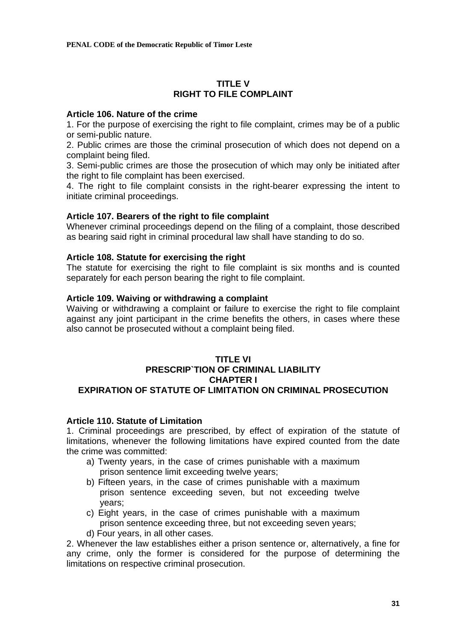# **TITLE V RIGHT TO FILE COMPLAINT**

## **Article 106. Nature of the crime**

1. For the purpose of exercising the right to file complaint, crimes may be of a public or semi-public nature.

2. Public crimes are those the criminal prosecution of which does not depend on a complaint being filed.

3. Semi-public crimes are those the prosecution of which may only be initiated after the right to file complaint has been exercised.

4. The right to file complaint consists in the right-bearer expressing the intent to initiate criminal proceedings.

# **Article 107. Bearers of the right to file complaint**

Whenever criminal proceedings depend on the filing of a complaint, those described as bearing said right in criminal procedural law shall have standing to do so.

# **Article 108. Statute for exercising the right**

The statute for exercising the right to file complaint is six months and is counted separately for each person bearing the right to file complaint.

# **Article 109. Waiving or withdrawing a complaint**

Waiving or withdrawing a complaint or failure to exercise the right to file complaint against any joint participant in the crime benefits the others, in cases where these also cannot be prosecuted without a complaint being filed.

# **TITLE VI PRESCRIP`TION OF CRIMINAL LIABILITY CHAPTER I EXPIRATION OF STATUTE OF LIMITATION ON CRIMINAL PROSECUTION**

## **Article 110. Statute of Limitation**

1. Criminal proceedings are prescribed, by effect of expiration of the statute of limitations, whenever the following limitations have expired counted from the date the crime was committed:

- a) Twenty years, in the case of crimes punishable with a maximum prison sentence limit exceeding twelve years;
- b) Fifteen years, in the case of crimes punishable with a maximum prison sentence exceeding seven, but not exceeding twelve years;
- c) Eight years, in the case of crimes punishable with a maximum prison sentence exceeding three, but not exceeding seven years;
- d) Four years, in all other cases.

2. Whenever the law establishes either a prison sentence or, alternatively, a fine for any crime, only the former is considered for the purpose of determining the limitations on respective criminal prosecution.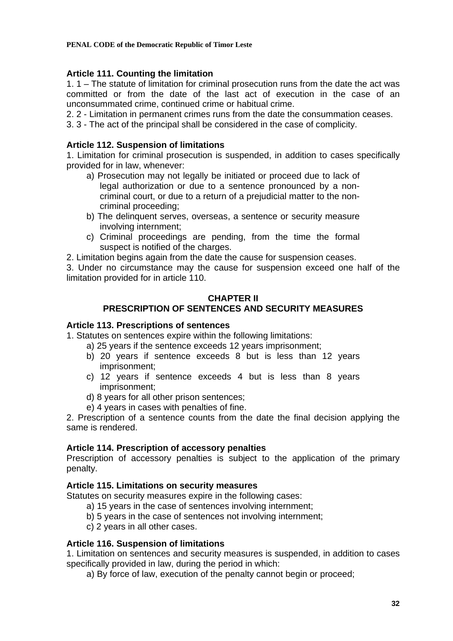# **Article 111. Counting the limitation**

1. 1 – The statute of limitation for criminal prosecution runs from the date the act was committed or from the date of the last act of execution in the case of an unconsummated crime, continued crime or habitual crime.

2. 2 - Limitation in permanent crimes runs from the date the consummation ceases.

3. 3 - The act of the principal shall be considered in the case of complicity.

# **Article 112. Suspension of limitations**

1. Limitation for criminal prosecution is suspended, in addition to cases specifically provided for in law, whenever:

- a) Prosecution may not legally be initiated or proceed due to lack of legal authorization or due to a sentence pronounced by a noncriminal court, or due to a return of a prejudicial matter to the noncriminal proceeding;
- b) The delinquent serves, overseas, a sentence or security measure involving internment;
- c) Criminal proceedings are pending, from the time the formal suspect is notified of the charges.

2. Limitation begins again from the date the cause for suspension ceases.

3. Under no circumstance may the cause for suspension exceed one half of the limitation provided for in article 110.

# **CHAPTER II PRESCRIPTION OF SENTENCES AND SECURITY MEASURES**

# **Article 113. Prescriptions of sentences**

1. Statutes on sentences expire within the following limitations:

- a) 25 years if the sentence exceeds 12 years imprisonment;
- b) 20 years if sentence exceeds 8 but is less than 12 years imprisonment;
- c) 12 years if sentence exceeds 4 but is less than 8 years imprisonment;
- d) 8 years for all other prison sentences;
- e) 4 years in cases with penalties of fine.

2. Prescription of a sentence counts from the date the final decision applying the same is rendered.

# **Article 114. Prescription of accessory penalties**

Prescription of accessory penalties is subject to the application of the primary penalty.

# **Article 115. Limitations on security measures**

Statutes on security measures expire in the following cases:

- a) 15 years in the case of sentences involving internment;
- b) 5 years in the case of sentences not involving internment;
- c) 2 years in all other cases.

# **Article 116. Suspension of limitations**

1. Limitation on sentences and security measures is suspended, in addition to cases specifically provided in law, during the period in which:

a) By force of law, execution of the penalty cannot begin or proceed;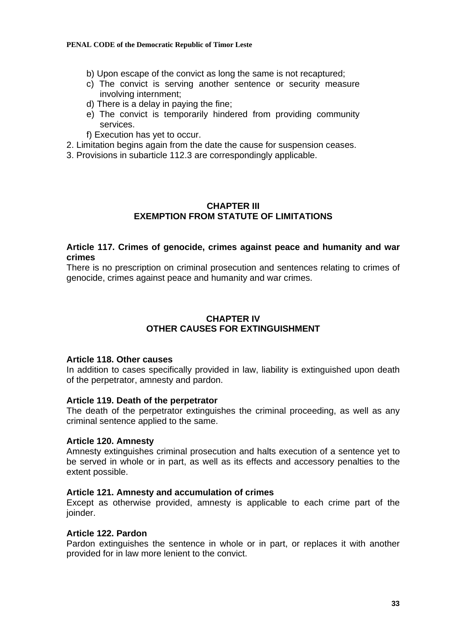#### **PENAL CODE of the Democratic Republic of Timor Leste**

- b) Upon escape of the convict as long the same is not recaptured;
- c) The convict is serving another sentence or security measure involving internment;
- d) There is a delay in paying the fine;
- e) The convict is temporarily hindered from providing community services.
- f) Execution has yet to occur.
- 2. Limitation begins again from the date the cause for suspension ceases.
- 3. Provisions in subarticle 112.3 are correspondingly applicable.

# **CHAPTER III EXEMPTION FROM STATUTE OF LIMITATIONS**

# **Article 117. Crimes of genocide, crimes against peace and humanity and war crimes**

There is no prescription on criminal prosecution and sentences relating to crimes of genocide, crimes against peace and humanity and war crimes.

# **CHAPTER IV OTHER CAUSES FOR EXTINGUISHMENT**

#### **Article 118. Other causes**

In addition to cases specifically provided in law, liability is extinguished upon death of the perpetrator, amnesty and pardon.

#### **Article 119. Death of the perpetrator**

The death of the perpetrator extinguishes the criminal proceeding, as well as any criminal sentence applied to the same.

#### **Article 120. Amnesty**

Amnesty extinguishes criminal prosecution and halts execution of a sentence yet to be served in whole or in part, as well as its effects and accessory penalties to the extent possible.

### **Article 121. Amnesty and accumulation of crimes**

Except as otherwise provided, amnesty is applicable to each crime part of the ioinder.

#### **Article 122. Pardon**

Pardon extinguishes the sentence in whole or in part, or replaces it with another provided for in law more lenient to the convict.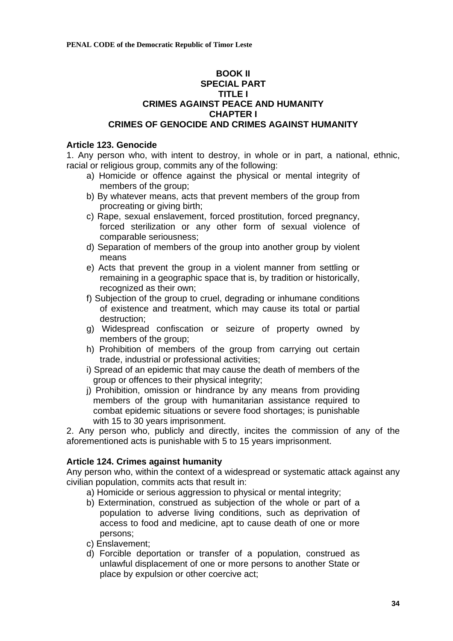## **BOOK II SPECIAL PART TITLE I CRIMES AGAINST PEACE AND HUMANITY CHAPTER I CRIMES OF GENOCIDE AND CRIMES AGAINST HUMANITY**

# **Article 123. Genocide**

1. Any person who, with intent to destroy, in whole or in part, a national, ethnic, racial or religious group, commits any of the following:

- a) Homicide or offence against the physical or mental integrity of members of the group;
- b) By whatever means, acts that prevent members of the group from procreating or giving birth;
- c) Rape, sexual enslavement, forced prostitution, forced pregnancy, forced sterilization or any other form of sexual violence of comparable seriousness;
- d) Separation of members of the group into another group by violent means
- e) Acts that prevent the group in a violent manner from settling or remaining in a geographic space that is, by tradition or historically, recognized as their own;
- f) Subjection of the group to cruel, degrading or inhumane conditions of existence and treatment, which may cause its total or partial destruction;
- g) Widespread confiscation or seizure of property owned by members of the group:
- h) Prohibition of members of the group from carrying out certain trade, industrial or professional activities;
- i) Spread of an epidemic that may cause the death of members of the group or offences to their physical integrity;
- j) Prohibition, omission or hindrance by any means from providing members of the group with humanitarian assistance required to combat epidemic situations or severe food shortages; is punishable with 15 to 30 years imprisonment.

2. Any person who, publicly and directly, incites the commission of any of the aforementioned acts is punishable with 5 to 15 years imprisonment.

# **Article 124. Crimes against humanity**

Any person who, within the context of a widespread or systematic attack against any civilian population, commits acts that result in:

- a) Homicide or serious aggression to physical or mental integrity;
- b) Extermination, construed as subjection of the whole or part of a population to adverse living conditions, such as deprivation of access to food and medicine, apt to cause death of one or more persons;
- c) Enslavement;
- d) Forcible deportation or transfer of a population, construed as unlawful displacement of one or more persons to another State or place by expulsion or other coercive act;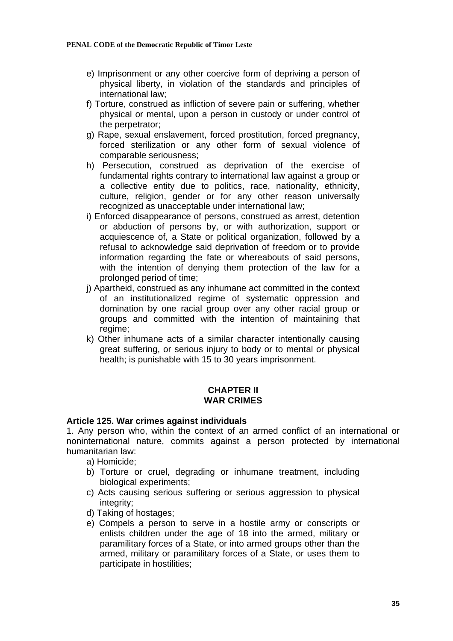- e) Imprisonment or any other coercive form of depriving a person of physical liberty, in violation of the standards and principles of international law;
- f) Torture, construed as infliction of severe pain or suffering, whether physical or mental, upon a person in custody or under control of the perpetrator;
- g) Rape, sexual enslavement, forced prostitution, forced pregnancy, forced sterilization or any other form of sexual violence of comparable seriousness;
- h) Persecution, construed as deprivation of the exercise of fundamental rights contrary to international law against a group or a collective entity due to politics, race, nationality, ethnicity, culture, religion, gender or for any other reason universally recognized as unacceptable under international law;
- i) Enforced disappearance of persons, construed as arrest, detention or abduction of persons by, or with authorization, support or acquiescence of, a State or political organization, followed by a refusal to acknowledge said deprivation of freedom or to provide information regarding the fate or whereabouts of said persons, with the intention of denying them protection of the law for a prolonged period of time;
- i) Apartheid, construed as any inhumane act committed in the context of an institutionalized regime of systematic oppression and domination by one racial group over any other racial group or groups and committed with the intention of maintaining that regime;
- k) Other inhumane acts of a similar character intentionally causing great suffering, or serious injury to body or to mental or physical health; is punishable with 15 to 30 years imprisonment.

# **CHAPTER II WAR CRIMES**

### **Article 125. War crimes against individuals**

1. Any person who, within the context of an armed conflict of an international or noninternational nature, commits against a person protected by international humanitarian law:

- a) Homicide;
- b) Torture or cruel, degrading or inhumane treatment, including biological experiments;
- c) Acts causing serious suffering or serious aggression to physical integrity;
- d) Taking of hostages;
- e) Compels a person to serve in a hostile army or conscripts or enlists children under the age of 18 into the armed, military or paramilitary forces of a State, or into armed groups other than the armed, military or paramilitary forces of a State, or uses them to participate in hostilities;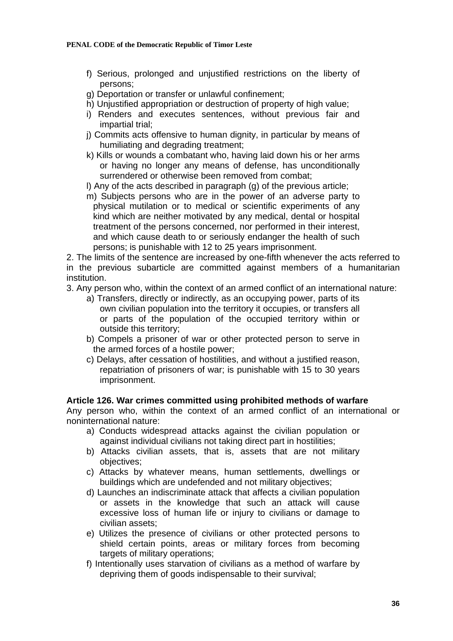- f) Serious, prolonged and unjustified restrictions on the liberty of persons;
- g) Deportation or transfer or unlawful confinement;
- h) Unjustified appropriation or destruction of property of high value;
- i) Renders and executes sentences, without previous fair and impartial trial;
- j) Commits acts offensive to human dignity, in particular by means of humiliating and degrading treatment;
- k) Kills or wounds a combatant who, having laid down his or her arms or having no longer any means of defense, has unconditionally surrendered or otherwise been removed from combat;
- l) Any of the acts described in paragraph (g) of the previous article;
- m) Subjects persons who are in the power of an adverse party to physical mutilation or to medical or scientific experiments of any kind which are neither motivated by any medical, dental or hospital treatment of the persons concerned, nor performed in their interest, and which cause death to or seriously endanger the health of such persons; is punishable with 12 to 25 years imprisonment.

2. The limits of the sentence are increased by one-fifth whenever the acts referred to in the previous subarticle are committed against members of a humanitarian institution.

- 3. Any person who, within the context of an armed conflict of an international nature:
	- a) Transfers, directly or indirectly, as an occupying power, parts of its own civilian population into the territory it occupies, or transfers all or parts of the population of the occupied territory within or outside this territory;
	- b) Compels a prisoner of war or other protected person to serve in the armed forces of a hostile power;
	- c) Delays, after cessation of hostilities, and without a justified reason, repatriation of prisoners of war; is punishable with 15 to 30 years imprisonment.

### **Article 126. War crimes committed using prohibited methods of warfare**

Any person who, within the context of an armed conflict of an international or noninternational nature:

- a) Conducts widespread attacks against the civilian population or against individual civilians not taking direct part in hostilities;
- b) Attacks civilian assets, that is, assets that are not military objectives;
- c) Attacks by whatever means, human settlements, dwellings or buildings which are undefended and not military objectives;
- d) Launches an indiscriminate attack that affects a civilian population or assets in the knowledge that such an attack will cause excessive loss of human life or injury to civilians or damage to civilian assets;
- e) Utilizes the presence of civilians or other protected persons to shield certain points, areas or military forces from becoming targets of military operations;
- f) Intentionally uses starvation of civilians as a method of warfare by depriving them of goods indispensable to their survival;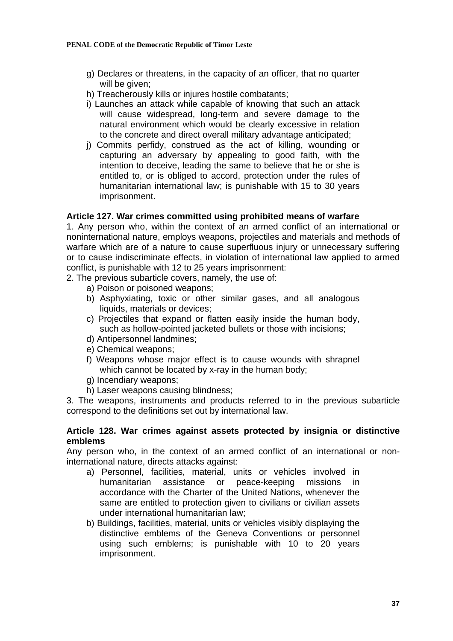- g) Declares or threatens, in the capacity of an officer, that no quarter will be given;
- h) Treacherously kills or injures hostile combatants;
- i) Launches an attack while capable of knowing that such an attack will cause widespread, long-term and severe damage to the natural environment which would be clearly excessive in relation to the concrete and direct overall military advantage anticipated;
- j) Commits perfidy, construed as the act of killing, wounding or capturing an adversary by appealing to good faith, with the intention to deceive, leading the same to believe that he or she is entitled to, or is obliged to accord, protection under the rules of humanitarian international law; is punishable with 15 to 30 years imprisonment.

# **Article 127. War crimes committed using prohibited means of warfare**

1. Any person who, within the context of an armed conflict of an international or noninternational nature, employs weapons, projectiles and materials and methods of warfare which are of a nature to cause superfluous injury or unnecessary suffering or to cause indiscriminate effects, in violation of international law applied to armed conflict, is punishable with 12 to 25 years imprisonment:

2. The previous subarticle covers, namely, the use of:

- a) Poison or poisoned weapons;
- b) Asphyxiating, toxic or other similar gases, and all analogous liquids, materials or devices;
- c) Projectiles that expand or flatten easily inside the human body, such as hollow-pointed jacketed bullets or those with incisions;
- d) Antipersonnel landmines;
- e) Chemical weapons;
- f) Weapons whose major effect is to cause wounds with shrapnel which cannot be located by x-ray in the human body;
- g) Incendiary weapons;
- h) Laser weapons causing blindness;

3. The weapons, instruments and products referred to in the previous subarticle correspond to the definitions set out by international law.

## **Article 128. War crimes against assets protected by insignia or distinctive emblems**

Any person who, in the context of an armed conflict of an international or noninternational nature, directs attacks against:

- a) Personnel, facilities, material, units or vehicles involved in humanitarian assistance or peace-keeping missions in accordance with the Charter of the United Nations, whenever the same are entitled to protection given to civilians or civilian assets under international humanitarian law;
- b) Buildings, facilities, material, units or vehicles visibly displaying the distinctive emblems of the Geneva Conventions or personnel using such emblems; is punishable with 10 to 20 years imprisonment.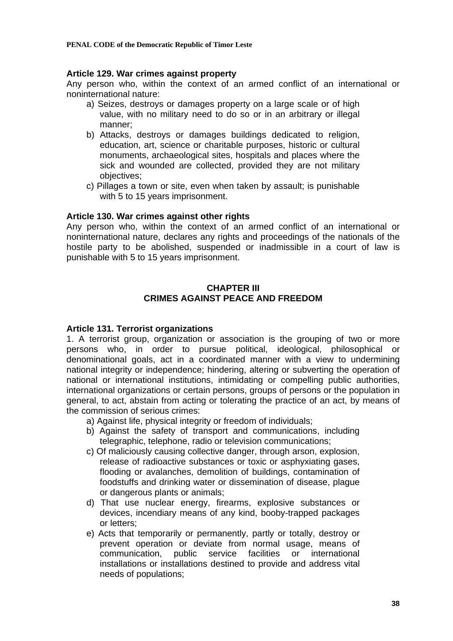**PENAL CODE of the Democratic Republic of Timor Leste** 

## **Article 129. War crimes against property**

Any person who, within the context of an armed conflict of an international or noninternational nature:

- a) Seizes, destroys or damages property on a large scale or of high value, with no military need to do so or in an arbitrary or illegal manner;
- b) Attacks, destroys or damages buildings dedicated to religion, education, art, science or charitable purposes, historic or cultural monuments, archaeological sites, hospitals and places where the sick and wounded are collected, provided they are not military objectives;
- c) Pillages a town or site, even when taken by assault; is punishable with 5 to 15 years imprisonment.

# **Article 130. War crimes against other rights**

Any person who, within the context of an armed conflict of an international or noninternational nature, declares any rights and proceedings of the nationals of the hostile party to be abolished, suspended or inadmissible in a court of law is punishable with 5 to 15 years imprisonment.

# **CHAPTER III CRIMES AGAINST PEACE AND FREEDOM**

# **Article 131. Terrorist organizations**

1. A terrorist group, organization or association is the grouping of two or more persons who, in order to pursue political, ideological, philosophical or denominational goals, act in a coordinated manner with a view to undermining national integrity or independence; hindering, altering or subverting the operation of national or international institutions, intimidating or compelling public authorities, international organizations or certain persons, groups of persons or the population in general, to act, abstain from acting or tolerating the practice of an act, by means of the commission of serious crimes:

- a) Against life, physical integrity or freedom of individuals;
- b) Against the safety of transport and communications, including telegraphic, telephone, radio or television communications;
- c) Of maliciously causing collective danger, through arson, explosion, release of radioactive substances or toxic or asphyxiating gases, flooding or avalanches, demolition of buildings, contamination of foodstuffs and drinking water or dissemination of disease, plague or dangerous plants or animals;
- d) That use nuclear energy, firearms, explosive substances or devices, incendiary means of any kind, booby-trapped packages or letters;
- e) Acts that temporarily or permanently, partly or totally, destroy or prevent operation or deviate from normal usage, means of communication, public service facilities or international installations or installations destined to provide and address vital needs of populations;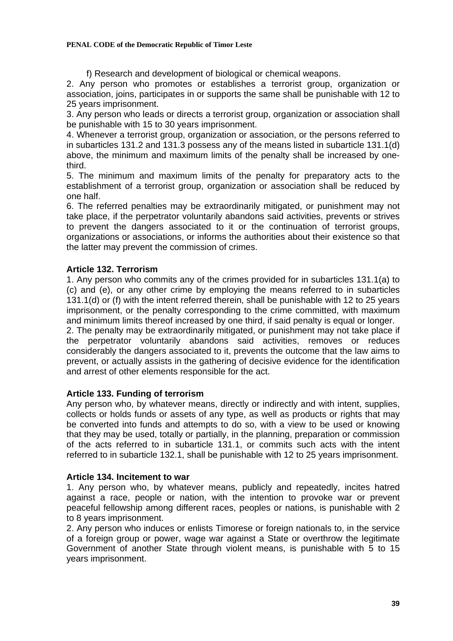#### **PENAL CODE of the Democratic Republic of Timor Leste**

f) Research and development of biological or chemical weapons.

2. Any person who promotes or establishes a terrorist group, organization or association, joins, participates in or supports the same shall be punishable with 12 to 25 years imprisonment.

3. Any person who leads or directs a terrorist group, organization or association shall be punishable with 15 to 30 years imprisonment.

4. Whenever a terrorist group, organization or association, or the persons referred to in subarticles 131.2 and 131.3 possess any of the means listed in subarticle 131.1(d) above, the minimum and maximum limits of the penalty shall be increased by onethird.

5. The minimum and maximum limits of the penalty for preparatory acts to the establishment of a terrorist group, organization or association shall be reduced by one half.

6. The referred penalties may be extraordinarily mitigated, or punishment may not take place, if the perpetrator voluntarily abandons said activities, prevents or strives to prevent the dangers associated to it or the continuation of terrorist groups, organizations or associations, or informs the authorities about their existence so that the latter may prevent the commission of crimes.

# **Article 132. Terrorism**

1. Any person who commits any of the crimes provided for in subarticles 131.1(a) to (c) and (e), or any other crime by employing the means referred to in subarticles 131.1(d) or (f) with the intent referred therein, shall be punishable with 12 to 25 years imprisonment, or the penalty corresponding to the crime committed, with maximum and minimum limits thereof increased by one third, if said penalty is equal or longer.

2. The penalty may be extraordinarily mitigated, or punishment may not take place if the perpetrator voluntarily abandons said activities, removes or reduces considerably the dangers associated to it, prevents the outcome that the law aims to prevent, or actually assists in the gathering of decisive evidence for the identification and arrest of other elements responsible for the act.

# **Article 133. Funding of terrorism**

Any person who, by whatever means, directly or indirectly and with intent, supplies, collects or holds funds or assets of any type, as well as products or rights that may be converted into funds and attempts to do so, with a view to be used or knowing that they may be used, totally or partially, in the planning, preparation or commission of the acts referred to in subarticle 131.1, or commits such acts with the intent referred to in subarticle 132.1, shall be punishable with 12 to 25 years imprisonment.

## **Article 134. Incitement to war**

1. Any person who, by whatever means, publicly and repeatedly, incites hatred against a race, people or nation, with the intention to provoke war or prevent peaceful fellowship among different races, peoples or nations, is punishable with 2 to 8 years imprisonment.

2. Any person who induces or enlists Timorese or foreign nationals to, in the service of a foreign group or power, wage war against a State or overthrow the legitimate Government of another State through violent means, is punishable with 5 to 15 years imprisonment.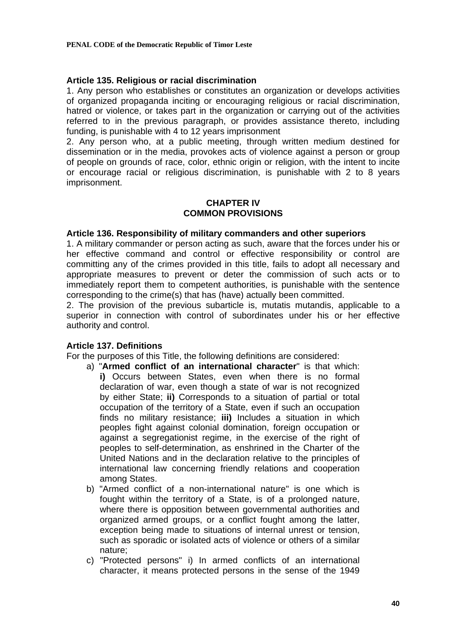# **Article 135. Religious or racial discrimination**

1. Any person who establishes or constitutes an organization or develops activities of organized propaganda inciting or encouraging religious or racial discrimination, hatred or violence, or takes part in the organization or carrying out of the activities referred to in the previous paragraph, or provides assistance thereto, including funding, is punishable with 4 to 12 years imprisonment

2. Any person who, at a public meeting, through written medium destined for dissemination or in the media, provokes acts of violence against a person or group of people on grounds of race, color, ethnic origin or religion, with the intent to incite or encourage racial or religious discrimination, is punishable with 2 to 8 years imprisonment.

## **CHAPTER IV COMMON PROVISIONS**

## **Article 136. Responsibility of military commanders and other superiors**

1. A military commander or person acting as such, aware that the forces under his or her effective command and control or effective responsibility or control are committing any of the crimes provided in this title, fails to adopt all necessary and appropriate measures to prevent or deter the commission of such acts or to immediately report them to competent authorities, is punishable with the sentence corresponding to the crime(s) that has (have) actually been committed.

2. The provision of the previous subarticle is, mutatis mutandis, applicable to a superior in connection with control of subordinates under his or her effective authority and control.

## **Article 137. Definitions**

For the purposes of this Title, the following definitions are considered:

- a) "**Armed conflict of an international character**" is that which: **i)** Occurs between States, even when there is no formal declaration of war, even though a state of war is not recognized by either State; **ii)** Corresponds to a situation of partial or total occupation of the territory of a State, even if such an occupation finds no military resistance; **iii)** Includes a situation in which peoples fight against colonial domination, foreign occupation or against a segregationist regime, in the exercise of the right of peoples to self-determination, as enshrined in the Charter of the United Nations and in the declaration relative to the principles of international law concerning friendly relations and cooperation among States.
- b) "Armed conflict of a non-international nature" is one which is fought within the territory of a State, is of a prolonged nature, where there is opposition between governmental authorities and organized armed groups, or a conflict fought among the latter, exception being made to situations of internal unrest or tension, such as sporadic or isolated acts of violence or others of a similar nature;
- c) "Protected persons" i) In armed conflicts of an international character, it means protected persons in the sense of the 1949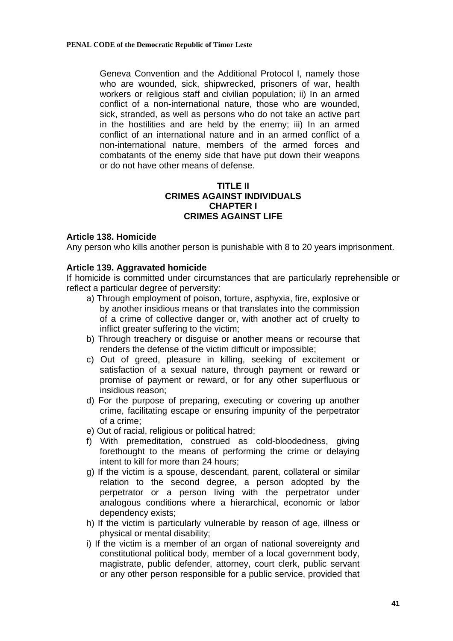Geneva Convention and the Additional Protocol I, namely those who are wounded, sick, shipwrecked, prisoners of war, health workers or religious staff and civilian population; ii) In an armed conflict of a non-international nature, those who are wounded, sick, stranded, as well as persons who do not take an active part in the hostilities and are held by the enemy; iii) In an armed conflict of an international nature and in an armed conflict of a non-international nature, members of the armed forces and combatants of the enemy side that have put down their weapons or do not have other means of defense.

# **TITLE II CRIMES AGAINST INDIVIDUALS CHAPTER I CRIMES AGAINST LIFE**

# **Article 138. Homicide**

Any person who kills another person is punishable with 8 to 20 years imprisonment.

# **Article 139. Aggravated homicide**

If homicide is committed under circumstances that are particularly reprehensible or reflect a particular degree of perversity:

- a) Through employment of poison, torture, asphyxia, fire, explosive or by another insidious means or that translates into the commission of a crime of collective danger or, with another act of cruelty to inflict greater suffering to the victim;
- b) Through treachery or disguise or another means or recourse that renders the defense of the victim difficult or impossible;
- c) Out of greed, pleasure in killing, seeking of excitement or satisfaction of a sexual nature, through payment or reward or promise of payment or reward, or for any other superfluous or insidious reason;
- d) For the purpose of preparing, executing or covering up another crime, facilitating escape or ensuring impunity of the perpetrator of a crime;
- e) Out of racial, religious or political hatred;
- f) With premeditation, construed as cold-bloodedness, giving forethought to the means of performing the crime or delaying intent to kill for more than 24 hours;
- g) If the victim is a spouse, descendant, parent, collateral or similar relation to the second degree, a person adopted by the perpetrator or a person living with the perpetrator under analogous conditions where a hierarchical, economic or labor dependency exists;
- h) If the victim is particularly vulnerable by reason of age, illness or physical or mental disability;
- i) If the victim is a member of an organ of national sovereignty and constitutional political body, member of a local government body, magistrate, public defender, attorney, court clerk, public servant or any other person responsible for a public service, provided that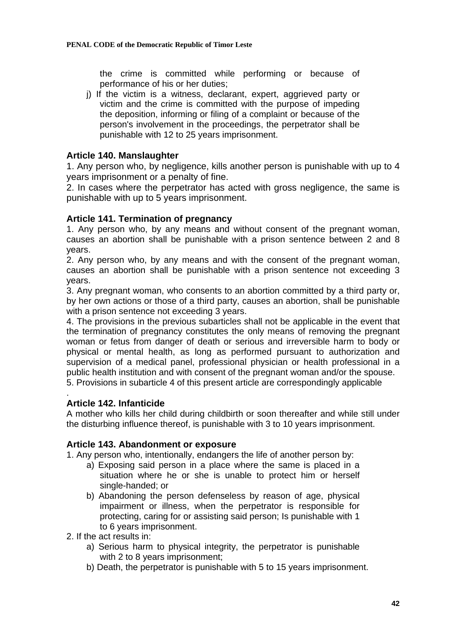the crime is committed while performing or because of performance of his or her duties;

j) If the victim is a witness, declarant, expert, aggrieved party or victim and the crime is committed with the purpose of impeding the deposition, informing or filing of a complaint or because of the person's involvement in the proceedings, the perpetrator shall be punishable with 12 to 25 years imprisonment.

# **Article 140. Manslaughter**

1. Any person who, by negligence, kills another person is punishable with up to 4 years imprisonment or a penalty of fine.

2. In cases where the perpetrator has acted with gross negligence, the same is punishable with up to 5 years imprisonment.

# **Article 141. Termination of pregnancy**

1. Any person who, by any means and without consent of the pregnant woman, causes an abortion shall be punishable with a prison sentence between 2 and 8 years.

2. Any person who, by any means and with the consent of the pregnant woman, causes an abortion shall be punishable with a prison sentence not exceeding 3 years.

3. Any pregnant woman, who consents to an abortion committed by a third party or, by her own actions or those of a third party, causes an abortion, shall be punishable with a prison sentence not exceeding 3 years.

4. The provisions in the previous subarticles shall not be applicable in the event that the termination of pregnancy constitutes the only means of removing the pregnant woman or fetus from danger of death or serious and irreversible harm to body or physical or mental health, as long as performed pursuant to authorization and supervision of a medical panel, professional physician or health professional in a public health institution and with consent of the pregnant woman and/or the spouse. 5. Provisions in subarticle 4 of this present article are correspondingly applicable

## **Article 142. Infanticide**

.

A mother who kills her child during childbirth or soon thereafter and while still under the disturbing influence thereof, is punishable with 3 to 10 years imprisonment.

## **Article 143. Abandonment or exposure**

1. Any person who, intentionally, endangers the life of another person by:

- a) Exposing said person in a place where the same is placed in a situation where he or she is unable to protect him or herself single-handed; or
- b) Abandoning the person defenseless by reason of age, physical impairment or illness, when the perpetrator is responsible for protecting, caring for or assisting said person; Is punishable with 1 to 6 years imprisonment.
- 2. If the act results in:
	- a) Serious harm to physical integrity, the perpetrator is punishable with 2 to 8 years imprisonment:
	- b) Death, the perpetrator is punishable with 5 to 15 years imprisonment.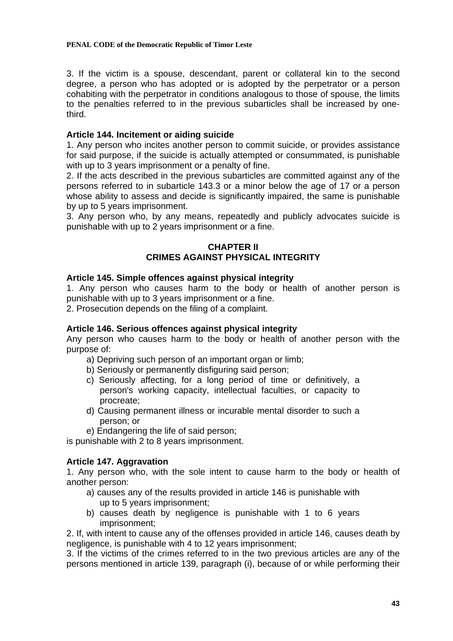3. If the victim is a spouse, descendant, parent or collateral kin to the second degree, a person who has adopted or is adopted by the perpetrator or a person cohabiting with the perpetrator in conditions analogous to those of spouse, the limits to the penalties referred to in the previous subarticles shall be increased by onethird.

# **Article 144. Incitement or aiding suicide**

1. Any person who incites another person to commit suicide, or provides assistance for said purpose, if the suicide is actually attempted or consummated, is punishable with up to 3 years imprisonment or a penalty of fine.

2. If the acts described in the previous subarticles are committed against any of the persons referred to in subarticle 143.3 or a minor below the age of 17 or a person whose ability to assess and decide is significantly impaired, the same is punishable by up to 5 years imprisonment.

3. Any person who, by any means, repeatedly and publicly advocates suicide is punishable with up to 2 years imprisonment or a fine.

# **CHAPTER II CRIMES AGAINST PHYSICAL INTEGRITY**

# **Article 145. Simple offences against physical integrity**

1. Any person who causes harm to the body or health of another person is punishable with up to 3 years imprisonment or a fine.

2. Prosecution depends on the filing of a complaint.

# **Article 146. Serious offences against physical integrity**

Any person who causes harm to the body or health of another person with the purpose of:

- a) Depriving such person of an important organ or limb;
- b) Seriously or permanently disfiguring said person;
- c) Seriously affecting, for a long period of time or definitively, a person's working capacity, intellectual faculties, or capacity to procreate;
- d) Causing permanent illness or incurable mental disorder to such a person; or
- e) Endangering the life of said person;

is punishable with 2 to 8 years imprisonment.

# **Article 147. Aggravation**

1. Any person who, with the sole intent to cause harm to the body or health of another person:

- a) causes any of the results provided in article 146 is punishable with up to 5 years imprisonment;
- b) causes death by negligence is punishable with 1 to 6 years imprisonment;

2. If, with intent to cause any of the offenses provided in article 146, causes death by negligence, is punishable with 4 to 12 years imprisonment;

3. If the victims of the crimes referred to in the two previous articles are any of the persons mentioned in article 139, paragraph (i), because of or while performing their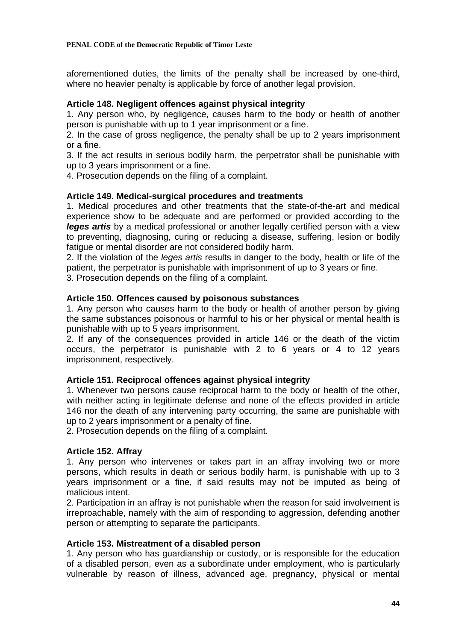aforementioned duties, the limits of the penalty shall be increased by one-third, where no heavier penalty is applicable by force of another legal provision.

# **Article 148. Negligent offences against physical integrity**

1. Any person who, by negligence, causes harm to the body or health of another person is punishable with up to 1 year imprisonment or a fine.

2. In the case of gross negligence, the penalty shall be up to 2 years imprisonment or a fine.

3. If the act results in serious bodily harm, the perpetrator shall be punishable with up to 3 years imprisonment or a fine.

4. Prosecution depends on the filing of a complaint.

# **Article 149. Medical-surgical procedures and treatments**

1. Medical procedures and other treatments that the state-of-the-art and medical experience show to be adequate and are performed or provided according to the *leges artis* by a medical professional or another legally certified person with a view to preventing, diagnosing, curing or reducing a disease, suffering, lesion or bodily fatigue or mental disorder are not considered bodily harm.

2. If the violation of the *leges artis* results in danger to the body, health or life of the patient, the perpetrator is punishable with imprisonment of up to 3 years or fine.

3. Prosecution depends on the filing of a complaint.

# **Article 150. Offences caused by poisonous substances**

1. Any person who causes harm to the body or health of another person by giving the same substances poisonous or harmful to his or her physical or mental health is punishable with up to 5 years imprisonment.

2. If any of the consequences provided in article 146 or the death of the victim occurs, the perpetrator is punishable with 2 to 6 years or 4 to 12 years imprisonment, respectively.

# **Article 151. Reciprocal offences against physical integrity**

1. Whenever two persons cause reciprocal harm to the body or health of the other, with neither acting in legitimate defense and none of the effects provided in article 146 nor the death of any intervening party occurring, the same are punishable with up to 2 years imprisonment or a penalty of fine.

2. Prosecution depends on the filing of a complaint.

## **Article 152. Affray**

1. Any person who intervenes or takes part in an affray involving two or more persons, which results in death or serious bodily harm, is punishable with up to 3 years imprisonment or a fine, if said results may not be imputed as being of malicious intent.

2. Participation in an affray is not punishable when the reason for said involvement is irreproachable, namely with the aim of responding to aggression, defending another person or attempting to separate the participants.

## **Article 153. Mistreatment of a disabled person**

1. Any person who has guardianship or custody, or is responsible for the education of a disabled person, even as a subordinate under employment, who is particularly vulnerable by reason of illness, advanced age, pregnancy, physical or mental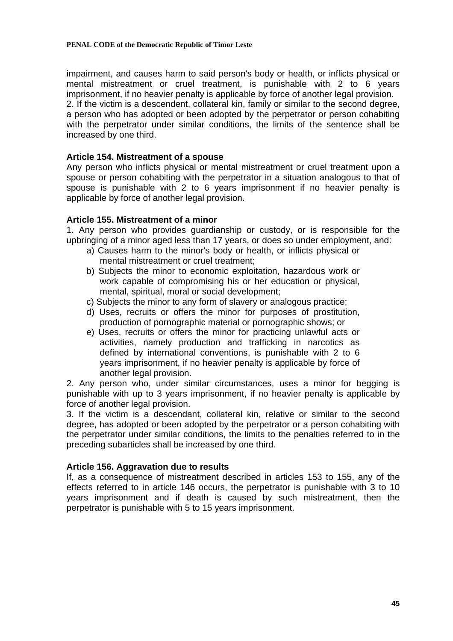impairment, and causes harm to said person's body or health, or inflicts physical or mental mistreatment or cruel treatment, is punishable with 2 to 6 years imprisonment, if no heavier penalty is applicable by force of another legal provision.

2. If the victim is a descendent, collateral kin, family or similar to the second degree, a person who has adopted or been adopted by the perpetrator or person cohabiting with the perpetrator under similar conditions, the limits of the sentence shall be increased by one third.

# **Article 154. Mistreatment of a spouse**

Any person who inflicts physical or mental mistreatment or cruel treatment upon a spouse or person cohabiting with the perpetrator in a situation analogous to that of spouse is punishable with 2 to 6 years imprisonment if no heavier penalty is applicable by force of another legal provision.

# **Article 155. Mistreatment of a minor**

1. Any person who provides guardianship or custody, or is responsible for the upbringing of a minor aged less than 17 years, or does so under employment, and:

- a) Causes harm to the minor's body or health, or inflicts physical or mental mistreatment or cruel treatment;
- b) Subjects the minor to economic exploitation, hazardous work or work capable of compromising his or her education or physical, mental, spiritual, moral or social development;
- c) Subjects the minor to any form of slavery or analogous practice;
- d) Uses, recruits or offers the minor for purposes of prostitution, production of pornographic material or pornographic shows; or
- e) Uses, recruits or offers the minor for practicing unlawful acts or activities, namely production and trafficking in narcotics as defined by international conventions, is punishable with 2 to 6 years imprisonment, if no heavier penalty is applicable by force of another legal provision.

2. Any person who, under similar circumstances, uses a minor for begging is punishable with up to 3 years imprisonment, if no heavier penalty is applicable by force of another legal provision.

3. If the victim is a descendant, collateral kin, relative or similar to the second degree, has adopted or been adopted by the perpetrator or a person cohabiting with the perpetrator under similar conditions, the limits to the penalties referred to in the preceding subarticles shall be increased by one third.

## **Article 156. Aggravation due to results**

If, as a consequence of mistreatment described in articles 153 to 155, any of the effects referred to in article 146 occurs, the perpetrator is punishable with 3 to 10 years imprisonment and if death is caused by such mistreatment, then the perpetrator is punishable with 5 to 15 years imprisonment.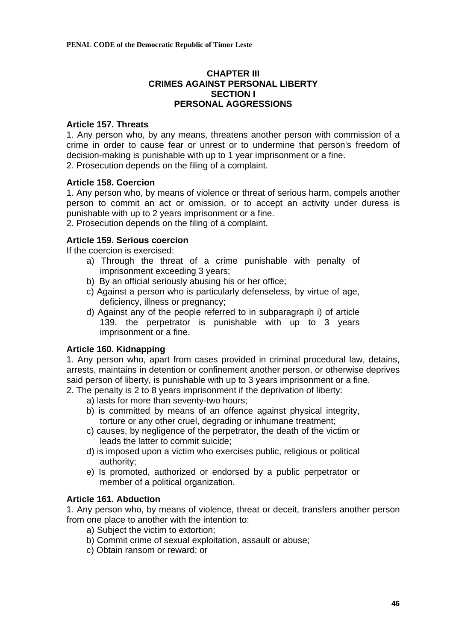# **CHAPTER III CRIMES AGAINST PERSONAL LIBERTY SECTION I PERSONAL AGGRESSIONS**

## **Article 157. Threats**

1. Any person who, by any means, threatens another person with commission of a crime in order to cause fear or unrest or to undermine that person's freedom of decision-making is punishable with up to 1 year imprisonment or a fine. 2. Prosecution depends on the filing of a complaint.

# **Article 158. Coercion**

1. Any person who, by means of violence or threat of serious harm, compels another person to commit an act or omission, or to accept an activity under duress is punishable with up to 2 years imprisonment or a fine.

2. Prosecution depends on the filing of a complaint.

# **Article 159. Serious coercion**

If the coercion is exercised:

- a) Through the threat of a crime punishable with penalty of imprisonment exceeding 3 years;
- b) By an official seriously abusing his or her office;
- c) Against a person who is particularly defenseless, by virtue of age, deficiency, illness or pregnancy;
- d) Against any of the people referred to in subparagraph i) of article 139, the perpetrator is punishable with up to 3 years imprisonment or a fine.

# **Article 160. Kidnapping**

1. Any person who, apart from cases provided in criminal procedural law, detains, arrests, maintains in detention or confinement another person, or otherwise deprives said person of liberty, is punishable with up to 3 years imprisonment or a fine.

2. The penalty is 2 to 8 years imprisonment if the deprivation of liberty:

- a) lasts for more than seventy-two hours;
- b) is committed by means of an offence against physical integrity, torture or any other cruel, degrading or inhumane treatment;
- c) causes, by negligence of the perpetrator, the death of the victim or leads the latter to commit suicide;
- d) is imposed upon a victim who exercises public, religious or political authority;
- e) Is promoted, authorized or endorsed by a public perpetrator or member of a political organization.

# **Article 161. Abduction**

1. Any person who, by means of violence, threat or deceit, transfers another person from one place to another with the intention to:

- a) Subject the victim to extortion;
- b) Commit crime of sexual exploitation, assault or abuse;
- c) Obtain ransom or reward; or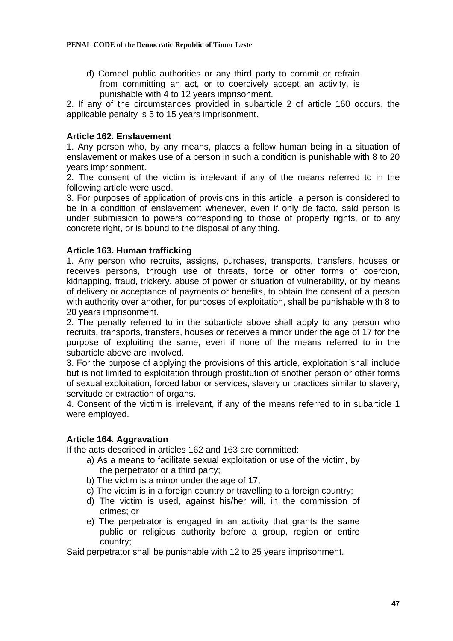d) Compel public authorities or any third party to commit or refrain from committing an act, or to coercively accept an activity, is punishable with 4 to 12 years imprisonment.

2. If any of the circumstances provided in subarticle 2 of article 160 occurs, the applicable penalty is 5 to 15 years imprisonment.

# **Article 162. Enslavement**

1. Any person who, by any means, places a fellow human being in a situation of enslavement or makes use of a person in such a condition is punishable with 8 to 20 years imprisonment.

2. The consent of the victim is irrelevant if any of the means referred to in the following article were used.

3. For purposes of application of provisions in this article, a person is considered to be in a condition of enslavement whenever, even if only de facto, said person is under submission to powers corresponding to those of property rights, or to any concrete right, or is bound to the disposal of any thing.

# **Article 163. Human trafficking**

1. Any person who recruits, assigns, purchases, transports, transfers, houses or receives persons, through use of threats, force or other forms of coercion, kidnapping, fraud, trickery, abuse of power or situation of vulnerability, or by means of delivery or acceptance of payments or benefits, to obtain the consent of a person with authority over another, for purposes of exploitation, shall be punishable with 8 to 20 years imprisonment.

2. The penalty referred to in the subarticle above shall apply to any person who recruits, transports, transfers, houses or receives a minor under the age of 17 for the purpose of exploiting the same, even if none of the means referred to in the subarticle above are involved.

3. For the purpose of applying the provisions of this article, exploitation shall include but is not limited to exploitation through prostitution of another person or other forms of sexual exploitation, forced labor or services, slavery or practices similar to slavery, servitude or extraction of organs.

4. Consent of the victim is irrelevant, if any of the means referred to in subarticle 1 were employed.

## **Article 164. Aggravation**

If the acts described in articles 162 and 163 are committed:

- a) As a means to facilitate sexual exploitation or use of the victim, by the perpetrator or a third party;
- b) The victim is a minor under the age of 17;
- c) The victim is in a foreign country or travelling to a foreign country;
- d) The victim is used, against his/her will, in the commission of crimes; or
- e) The perpetrator is engaged in an activity that grants the same public or religious authority before a group, region or entire country;

Said perpetrator shall be punishable with 12 to 25 years imprisonment.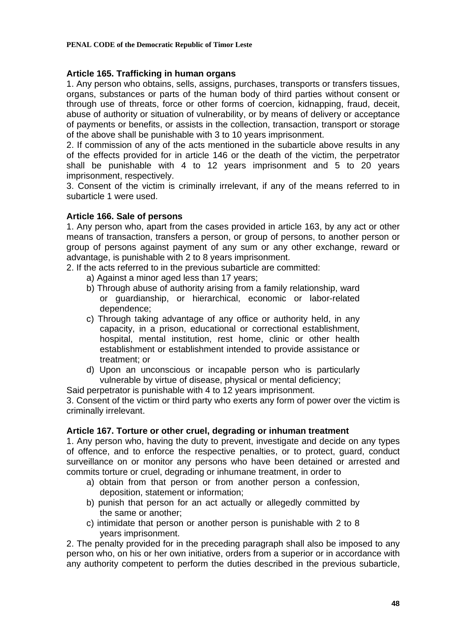# **Article 165. Trafficking in human organs**

1. Any person who obtains, sells, assigns, purchases, transports or transfers tissues, organs, substances or parts of the human body of third parties without consent or through use of threats, force or other forms of coercion, kidnapping, fraud, deceit, abuse of authority or situation of vulnerability, or by means of delivery or acceptance of payments or benefits, or assists in the collection, transaction, transport or storage of the above shall be punishable with 3 to 10 years imprisonment.

2. If commission of any of the acts mentioned in the subarticle above results in any of the effects provided for in article 146 or the death of the victim, the perpetrator shall be punishable with 4 to 12 years imprisonment and 5 to 20 years imprisonment, respectively.

3. Consent of the victim is criminally irrelevant, if any of the means referred to in subarticle 1 were used.

# **Article 166. Sale of persons**

1. Any person who, apart from the cases provided in article 163, by any act or other means of transaction, transfers a person, or group of persons, to another person or group of persons against payment of any sum or any other exchange, reward or advantage, is punishable with 2 to 8 years imprisonment.

2. If the acts referred to in the previous subarticle are committed:

- a) Against a minor aged less than 17 years;
- b) Through abuse of authority arising from a family relationship, ward or guardianship, or hierarchical, economic or labor-related dependence;
- c) Through taking advantage of any office or authority held, in any capacity, in a prison, educational or correctional establishment, hospital, mental institution, rest home, clinic or other health establishment or establishment intended to provide assistance or treatment; or
- d) Upon an unconscious or incapable person who is particularly vulnerable by virtue of disease, physical or mental deficiency;

Said perpetrator is punishable with 4 to 12 years imprisonment.

3. Consent of the victim or third party who exerts any form of power over the victim is criminally irrelevant.

## **Article 167. Torture or other cruel, degrading or inhuman treatment**

1. Any person who, having the duty to prevent, investigate and decide on any types of offence, and to enforce the respective penalties, or to protect, guard, conduct surveillance on or monitor any persons who have been detained or arrested and commits torture or cruel, degrading or inhumane treatment, in order to

- a) obtain from that person or from another person a confession, deposition, statement or information;
- b) punish that person for an act actually or allegedly committed by the same or another;
- c) intimidate that person or another person is punishable with 2 to 8 years imprisonment.

2. The penalty provided for in the preceding paragraph shall also be imposed to any person who, on his or her own initiative, orders from a superior or in accordance with any authority competent to perform the duties described in the previous subarticle,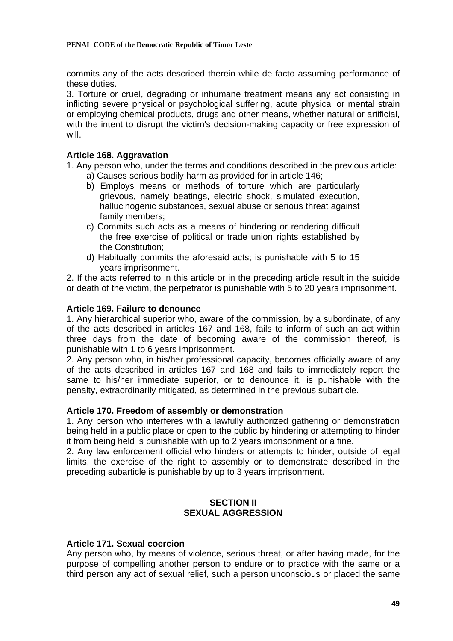commits any of the acts described therein while de facto assuming performance of these duties.

3. Torture or cruel, degrading or inhumane treatment means any act consisting in inflicting severe physical or psychological suffering, acute physical or mental strain or employing chemical products, drugs and other means, whether natural or artificial, with the intent to disrupt the victim's decision-making capacity or free expression of will.

## **Article 168. Aggravation**

1. Any person who, under the terms and conditions described in the previous article:

- a) Causes serious bodily harm as provided for in article 146;
- b) Employs means or methods of torture which are particularly grievous, namely beatings, electric shock, simulated execution, hallucinogenic substances, sexual abuse or serious threat against family members;
- c) Commits such acts as a means of hindering or rendering difficult the free exercise of political or trade union rights established by the Constitution;
- d) Habitually commits the aforesaid acts; is punishable with 5 to 15 years imprisonment.

2. If the acts referred to in this article or in the preceding article result in the suicide or death of the victim, the perpetrator is punishable with 5 to 20 years imprisonment.

## **Article 169. Failure to denounce**

1. Any hierarchical superior who, aware of the commission, by a subordinate, of any of the acts described in articles 167 and 168, fails to inform of such an act within three days from the date of becoming aware of the commission thereof, is punishable with 1 to 6 years imprisonment.

2. Any person who, in his/her professional capacity, becomes officially aware of any of the acts described in articles 167 and 168 and fails to immediately report the same to his/her immediate superior, or to denounce it, is punishable with the penalty, extraordinarily mitigated, as determined in the previous subarticle.

## **Article 170. Freedom of assembly or demonstration**

1. Any person who interferes with a lawfully authorized gathering or demonstration being held in a public place or open to the public by hindering or attempting to hinder it from being held is punishable with up to 2 years imprisonment or a fine.

2. Any law enforcement official who hinders or attempts to hinder, outside of legal limits, the exercise of the right to assembly or to demonstrate described in the preceding subarticle is punishable by up to 3 years imprisonment.

# **SECTION II SEXUAL AGGRESSION**

## **Article 171. Sexual coercion**

Any person who, by means of violence, serious threat, or after having made, for the purpose of compelling another person to endure or to practice with the same or a third person any act of sexual relief, such a person unconscious or placed the same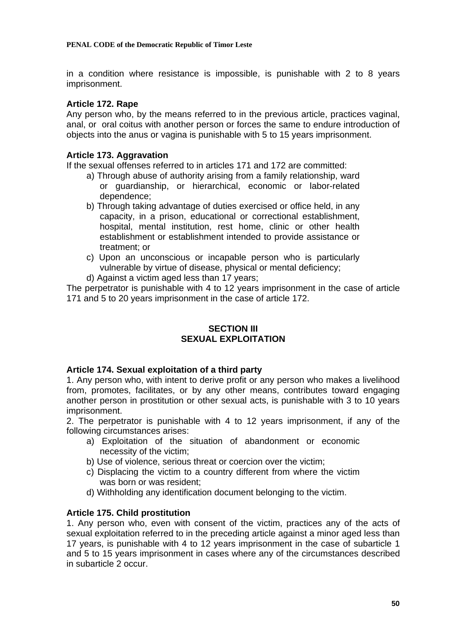in a condition where resistance is impossible, is punishable with 2 to 8 years imprisonment.

## **Article 172. Rape**

Any person who, by the means referred to in the previous article, practices vaginal, anal, or oral coitus with another person or forces the same to endure introduction of objects into the anus or vagina is punishable with 5 to 15 years imprisonment.

## **Article 173. Aggravation**

If the sexual offenses referred to in articles 171 and 172 are committed:

- a) Through abuse of authority arising from a family relationship, ward or guardianship, or hierarchical, economic or labor-related dependence;
- b) Through taking advantage of duties exercised or office held, in any capacity, in a prison, educational or correctional establishment, hospital, mental institution, rest home, clinic or other health establishment or establishment intended to provide assistance or treatment; or
- c) Upon an unconscious or incapable person who is particularly vulnerable by virtue of disease, physical or mental deficiency;
- d) Against a victim aged less than 17 years;

The perpetrator is punishable with 4 to 12 years imprisonment in the case of article 171 and 5 to 20 years imprisonment in the case of article 172.

# **SECTION III SEXUAL EXPLOITATION**

# **Article 174. Sexual exploitation of a third party**

1. Any person who, with intent to derive profit or any person who makes a livelihood from, promotes, facilitates, or by any other means, contributes toward engaging another person in prostitution or other sexual acts, is punishable with 3 to 10 years imprisonment.

2. The perpetrator is punishable with 4 to 12 years imprisonment, if any of the following circumstances arises:

- a) Exploitation of the situation of abandonment or economic necessity of the victim;
- b) Use of violence, serious threat or coercion over the victim;
- c) Displacing the victim to a country different from where the victim was born or was resident;
- d) Withholding any identification document belonging to the victim.

# **Article 175. Child prostitution**

1. Any person who, even with consent of the victim, practices any of the acts of sexual exploitation referred to in the preceding article against a minor aged less than 17 years, is punishable with 4 to 12 years imprisonment in the case of subarticle 1 and 5 to 15 years imprisonment in cases where any of the circumstances described in subarticle 2 occur.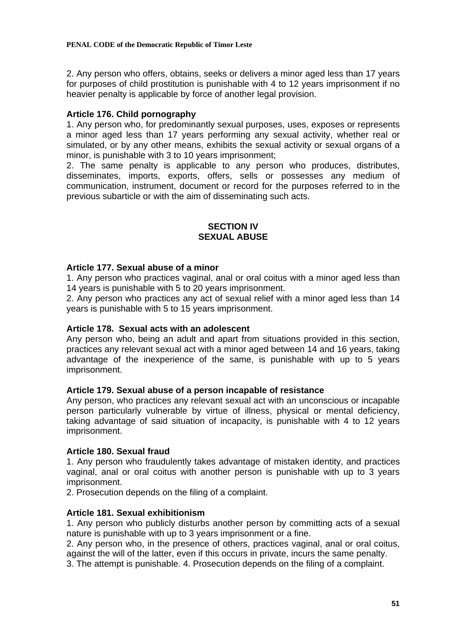2. Any person who offers, obtains, seeks or delivers a minor aged less than 17 years for purposes of child prostitution is punishable with 4 to 12 years imprisonment if no heavier penalty is applicable by force of another legal provision.

# **Article 176. Child pornography**

1. Any person who, for predominantly sexual purposes, uses, exposes or represents a minor aged less than 17 years performing any sexual activity, whether real or simulated, or by any other means, exhibits the sexual activity or sexual organs of a minor, is punishable with 3 to 10 years imprisonment;

2. The same penalty is applicable to any person who produces, distributes, disseminates, imports, exports, offers, sells or possesses any medium of communication, instrument, document or record for the purposes referred to in the previous subarticle or with the aim of disseminating such acts.

# **SECTION IV SEXUAL ABUSE**

## **Article 177. Sexual abuse of a minor**

1. Any person who practices vaginal, anal or oral coitus with a minor aged less than 14 years is punishable with 5 to 20 years imprisonment.

2. Any person who practices any act of sexual relief with a minor aged less than 14 years is punishable with 5 to 15 years imprisonment.

## **Article 178. Sexual acts with an adolescent**

Any person who, being an adult and apart from situations provided in this section, practices any relevant sexual act with a minor aged between 14 and 16 years, taking advantage of the inexperience of the same, is punishable with up to 5 years imprisonment.

## **Article 179. Sexual abuse of a person incapable of resistance**

Any person, who practices any relevant sexual act with an unconscious or incapable person particularly vulnerable by virtue of illness, physical or mental deficiency, taking advantage of said situation of incapacity, is punishable with 4 to 12 years imprisonment.

## **Article 180. Sexual fraud**

1. Any person who fraudulently takes advantage of mistaken identity, and practices vaginal, anal or oral coitus with another person is punishable with up to 3 years imprisonment.

2. Prosecution depends on the filing of a complaint.

## **Article 181. Sexual exhibitionism**

1. Any person who publicly disturbs another person by committing acts of a sexual nature is punishable with up to 3 years imprisonment or a fine.

2. Any person who, in the presence of others, practices vaginal, anal or oral coitus, against the will of the latter, even if this occurs in private, incurs the same penalty.

3. The attempt is punishable. 4. Prosecution depends on the filing of a complaint.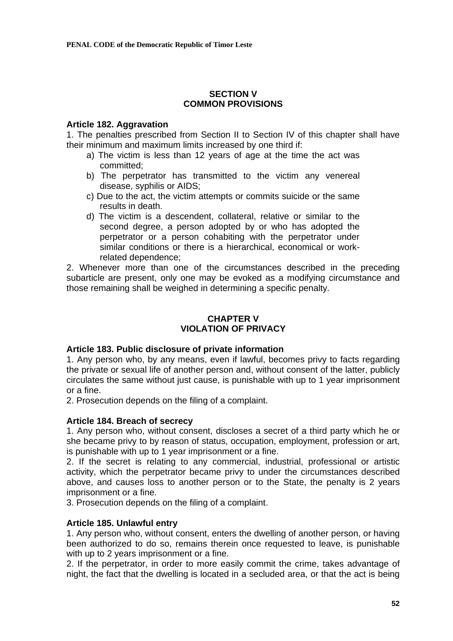# **SECTION V COMMON PROVISIONS**

## **Article 182. Aggravation**

1. The penalties prescribed from Section II to Section IV of this chapter shall have their minimum and maximum limits increased by one third if:

- a) The victim is less than 12 years of age at the time the act was committed;
- b) The perpetrator has transmitted to the victim any venereal disease, syphilis or AIDS;
- c) Due to the act, the victim attempts or commits suicide or the same results in death.
- d) The victim is a descendent, collateral, relative or similar to the second degree, a person adopted by or who has adopted the perpetrator or a person cohabiting with the perpetrator under similar conditions or there is a hierarchical, economical or workrelated dependence;

2. Whenever more than one of the circumstances described in the preceding subarticle are present, only one may be evoked as a modifying circumstance and those remaining shall be weighed in determining a specific penalty.

# **CHAPTER V VIOLATION OF PRIVACY**

## **Article 183. Public disclosure of private information**

1. Any person who, by any means, even if lawful, becomes privy to facts regarding the private or sexual life of another person and, without consent of the latter, publicly circulates the same without just cause, is punishable with up to 1 year imprisonment or a fine.

2. Prosecution depends on the filing of a complaint.

## **Article 184. Breach of secrecy**

1. Any person who, without consent, discloses a secret of a third party which he or she became privy to by reason of status, occupation, employment, profession or art, is punishable with up to 1 year imprisonment or a fine.

2. If the secret is relating to any commercial, industrial, professional or artistic activity, which the perpetrator became privy to under the circumstances described above, and causes loss to another person or to the State, the penalty is 2 years imprisonment or a fine.

3. Prosecution depends on the filing of a complaint.

## **Article 185. Unlawful entry**

1. Any person who, without consent, enters the dwelling of another person, or having been authorized to do so, remains therein once requested to leave, is punishable with up to 2 years imprisonment or a fine.

2. If the perpetrator, in order to more easily commit the crime, takes advantage of night, the fact that the dwelling is located in a secluded area, or that the act is being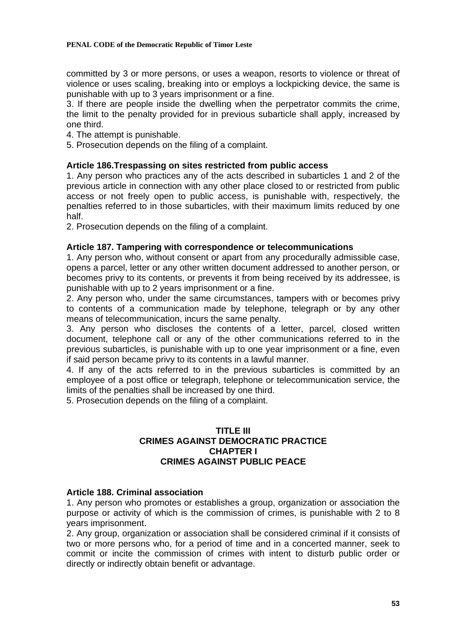committed by 3 or more persons, or uses a weapon, resorts to violence or threat of violence or uses scaling, breaking into or employs a lockpicking device, the same is punishable with up to 3 years imprisonment or a fine.

3. If there are people inside the dwelling when the perpetrator commits the crime, the limit to the penalty provided for in previous subarticle shall apply, increased by one third.

- 4. The attempt is punishable.
- 5. Prosecution depends on the filing of a complaint.

# **Article 186.Trespassing on sites restricted from public access**

1. Any person who practices any of the acts described in subarticles 1 and 2 of the previous article in connection with any other place closed to or restricted from public access or not freely open to public access, is punishable with, respectively, the penalties referred to in those subarticles, with their maximum limits reduced by one half.

2. Prosecution depends on the filing of a complaint.

# **Article 187. Tampering with correspondence or telecommunications**

1. Any person who, without consent or apart from any procedurally admissible case, opens a parcel, letter or any other written document addressed to another person, or becomes privy to its contents, or prevents it from being received by its addressee, is punishable with up to 2 years imprisonment or a fine.

2. Any person who, under the same circumstances, tampers with or becomes privy to contents of a communication made by telephone, telegraph or by any other means of telecommunication, incurs the same penalty.

3. Any person who discloses the contents of a letter, parcel, closed written document, telephone call or any of the other communications referred to in the previous subarticles, is punishable with up to one year imprisonment or a fine, even if said person became privy to its contents in a lawful manner.

4. If any of the acts referred to in the previous subarticles is committed by an employee of a post office or telegraph, telephone or telecommunication service, the limits of the penalties shall be increased by one third.

5. Prosecution depends on the filing of a complaint.

# **TITLE III CRIMES AGAINST DEMOCRATIC PRACTICE CHAPTER I CRIMES AGAINST PUBLIC PEACE**

## **Article 188. Criminal association**

1. Any person who promotes or establishes a group, organization or association the purpose or activity of which is the commission of crimes, is punishable with 2 to 8 years imprisonment.

2. Any group, organization or association shall be considered criminal if it consists of two or more persons who, for a period of time and in a concerted manner, seek to commit or incite the commission of crimes with intent to disturb public order or directly or indirectly obtain benefit or advantage.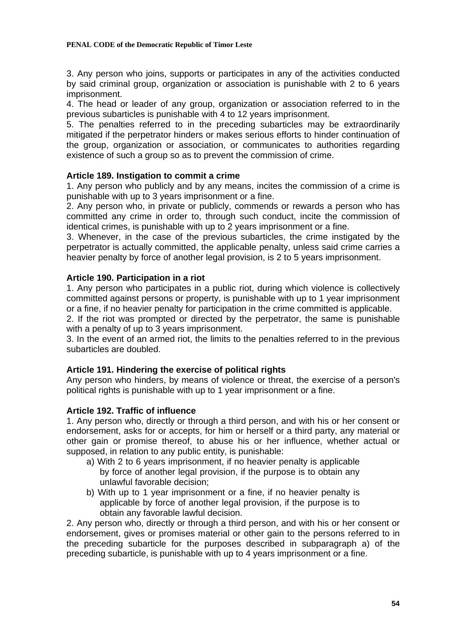#### **PENAL CODE of the Democratic Republic of Timor Leste**

3. Any person who joins, supports or participates in any of the activities conducted by said criminal group, organization or association is punishable with 2 to 6 years imprisonment.

4. The head or leader of any group, organization or association referred to in the previous subarticles is punishable with 4 to 12 years imprisonment.

5. The penalties referred to in the preceding subarticles may be extraordinarily mitigated if the perpetrator hinders or makes serious efforts to hinder continuation of the group, organization or association, or communicates to authorities regarding existence of such a group so as to prevent the commission of crime.

# **Article 189. Instigation to commit a crime**

1. Any person who publicly and by any means, incites the commission of a crime is punishable with up to 3 years imprisonment or a fine.

2. Any person who, in private or publicly, commends or rewards a person who has committed any crime in order to, through such conduct, incite the commission of identical crimes, is punishable with up to 2 years imprisonment or a fine.

3. Whenever, in the case of the previous subarticles, the crime instigated by the perpetrator is actually committed, the applicable penalty, unless said crime carries a heavier penalty by force of another legal provision, is 2 to 5 years imprisonment.

# **Article 190. Participation in a riot**

1. Any person who participates in a public riot, during which violence is collectively committed against persons or property, is punishable with up to 1 year imprisonment or a fine, if no heavier penalty for participation in the crime committed is applicable.

2. If the riot was prompted or directed by the perpetrator, the same is punishable with a penalty of up to 3 years imprisonment.

3. In the event of an armed riot, the limits to the penalties referred to in the previous subarticles are doubled.

# **Article 191. Hindering the exercise of political rights**

Any person who hinders, by means of violence or threat, the exercise of a person's political rights is punishable with up to 1 year imprisonment or a fine.

# **Article 192. Traffic of influence**

1. Any person who, directly or through a third person, and with his or her consent or endorsement, asks for or accepts, for him or herself or a third party, any material or other gain or promise thereof, to abuse his or her influence, whether actual or supposed, in relation to any public entity, is punishable:

- a) With 2 to 6 years imprisonment, if no heavier penalty is applicable by force of another legal provision, if the purpose is to obtain any unlawful favorable decision;
- b) With up to 1 year imprisonment or a fine, if no heavier penalty is applicable by force of another legal provision, if the purpose is to obtain any favorable lawful decision.

2. Any person who, directly or through a third person, and with his or her consent or endorsement, gives or promises material or other gain to the persons referred to in the preceding subarticle for the purposes described in subparagraph a) of the preceding subarticle, is punishable with up to 4 years imprisonment or a fine.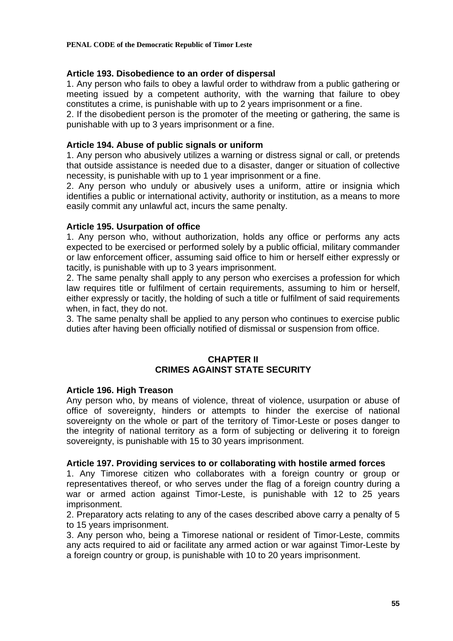# **Article 193. Disobedience to an order of dispersal**

1. Any person who fails to obey a lawful order to withdraw from a public gathering or meeting issued by a competent authority, with the warning that failure to obey constitutes a crime, is punishable with up to 2 years imprisonment or a fine.

2. If the disobedient person is the promoter of the meeting or gathering, the same is punishable with up to 3 years imprisonment or a fine.

## **Article 194. Abuse of public signals or uniform**

1. Any person who abusively utilizes a warning or distress signal or call, or pretends that outside assistance is needed due to a disaster, danger or situation of collective necessity, is punishable with up to 1 year imprisonment or a fine.

2. Any person who unduly or abusively uses a uniform, attire or insignia which identifies a public or international activity, authority or institution, as a means to more easily commit any unlawful act, incurs the same penalty.

# **Article 195. Usurpation of office**

1. Any person who, without authorization, holds any office or performs any acts expected to be exercised or performed solely by a public official, military commander or law enforcement officer, assuming said office to him or herself either expressly or tacitly, is punishable with up to 3 years imprisonment.

2. The same penalty shall apply to any person who exercises a profession for which law requires title or fulfilment of certain requirements, assuming to him or herself, either expressly or tacitly, the holding of such a title or fulfilment of said requirements when, in fact, they do not.

3. The same penalty shall be applied to any person who continues to exercise public duties after having been officially notified of dismissal or suspension from office.

# **CHAPTER II CRIMES AGAINST STATE SECURITY**

## **Article 196. High Treason**

Any person who, by means of violence, threat of violence, usurpation or abuse of office of sovereignty, hinders or attempts to hinder the exercise of national sovereignty on the whole or part of the territory of Timor-Leste or poses danger to the integrity of national territory as a form of subjecting or delivering it to foreign sovereignty, is punishable with 15 to 30 years imprisonment.

## **Article 197. Providing services to or collaborating with hostile armed forces**

1. Any Timorese citizen who collaborates with a foreign country or group or representatives thereof, or who serves under the flag of a foreign country during a war or armed action against Timor-Leste, is punishable with 12 to 25 years imprisonment.

2. Preparatory acts relating to any of the cases described above carry a penalty of 5 to 15 years imprisonment.

3. Any person who, being a Timorese national or resident of Timor-Leste, commits any acts required to aid or facilitate any armed action or war against Timor-Leste by a foreign country or group, is punishable with 10 to 20 years imprisonment.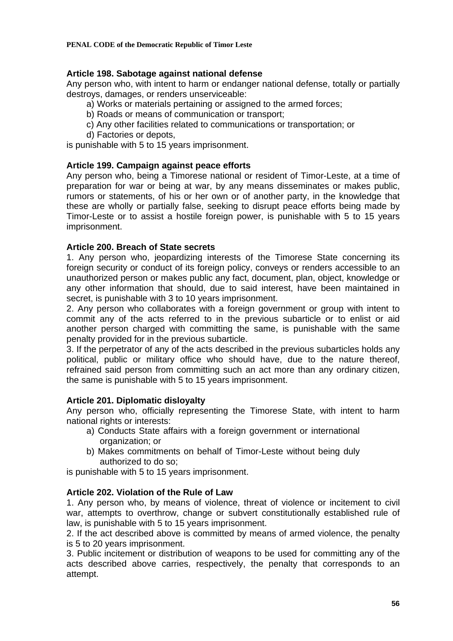# **Article 198. Sabotage against national defense**

Any person who, with intent to harm or endanger national defense, totally or partially destroys, damages, or renders unserviceable:

- a) Works or materials pertaining or assigned to the armed forces;
	- b) Roads or means of communication or transport;
	- c) Any other facilities related to communications or transportation; or
	- d) Factories or depots,

is punishable with 5 to 15 years imprisonment.

# **Article 199. Campaign against peace efforts**

Any person who, being a Timorese national or resident of Timor-Leste, at a time of preparation for war or being at war, by any means disseminates or makes public, rumors or statements, of his or her own or of another party, in the knowledge that these are wholly or partially false, seeking to disrupt peace efforts being made by Timor-Leste or to assist a hostile foreign power, is punishable with 5 to 15 years imprisonment.

# **Article 200. Breach of State secrets**

1. Any person who, jeopardizing interests of the Timorese State concerning its foreign security or conduct of its foreign policy, conveys or renders accessible to an unauthorized person or makes public any fact, document, plan, object, knowledge or any other information that should, due to said interest, have been maintained in secret, is punishable with 3 to 10 years imprisonment.

2. Any person who collaborates with a foreign government or group with intent to commit any of the acts referred to in the previous subarticle or to enlist or aid another person charged with committing the same, is punishable with the same penalty provided for in the previous subarticle.

3. If the perpetrator of any of the acts described in the previous subarticles holds any political, public or military office who should have, due to the nature thereof, refrained said person from committing such an act more than any ordinary citizen, the same is punishable with 5 to 15 years imprisonment.

## **Article 201. Diplomatic disloyalty**

Any person who, officially representing the Timorese State, with intent to harm national rights or interests:

- a) Conducts State affairs with a foreign government or international organization; or
- b) Makes commitments on behalf of Timor-Leste without being duly authorized to do so;

is punishable with 5 to 15 years imprisonment.

## **Article 202. Violation of the Rule of Law**

1. Any person who, by means of violence, threat of violence or incitement to civil war, attempts to overthrow, change or subvert constitutionally established rule of law, is punishable with 5 to 15 years imprisonment.

2. If the act described above is committed by means of armed violence, the penalty is 5 to 20 years imprisonment.

3. Public incitement or distribution of weapons to be used for committing any of the acts described above carries, respectively, the penalty that corresponds to an attempt.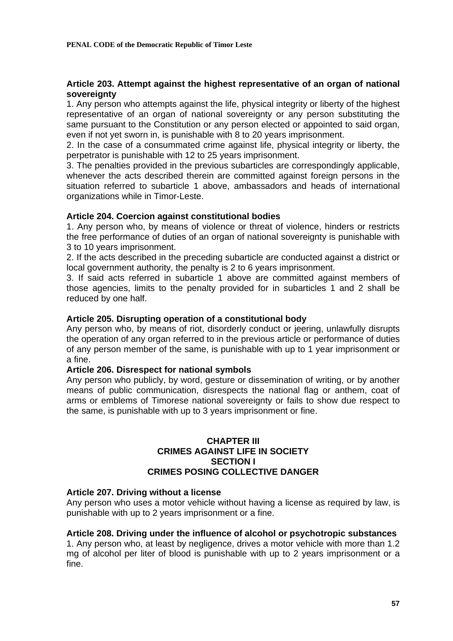# **Article 203. Attempt against the highest representative of an organ of national sovereignty**

1. Any person who attempts against the life, physical integrity or liberty of the highest representative of an organ of national sovereignty or any person substituting the same pursuant to the Constitution or any person elected or appointed to said organ, even if not yet sworn in, is punishable with 8 to 20 years imprisonment.

2. In the case of a consummated crime against life, physical integrity or liberty, the perpetrator is punishable with 12 to 25 years imprisonment.

3. The penalties provided in the previous subarticles are correspondingly applicable, whenever the acts described therein are committed against foreign persons in the situation referred to subarticle 1 above, ambassadors and heads of international organizations while in Timor-Leste.

# **Article 204. Coercion against constitutional bodies**

1. Any person who, by means of violence or threat of violence, hinders or restricts the free performance of duties of an organ of national sovereignty is punishable with 3 to 10 years imprisonment.

2. If the acts described in the preceding subarticle are conducted against a district or local government authority, the penalty is 2 to 6 years imprisonment.

3. If said acts referred in subarticle 1 above are committed against members of those agencies, limits to the penalty provided for in subarticles 1 and 2 shall be reduced by one half.

## **Article 205. Disrupting operation of a constitutional body**

Any person who, by means of riot, disorderly conduct or jeering, unlawfully disrupts the operation of any organ referred to in the previous article or performance of duties of any person member of the same, is punishable with up to 1 year imprisonment or a fine.

## **Article 206. Disrespect for national symbols**

Any person who publicly, by word, gesture or dissemination of writing, or by another means of public communication, disrespects the national flag or anthem, coat of arms or emblems of Timorese national sovereignty or fails to show due respect to the same, is punishable with up to 3 years imprisonment or fine.

#### **CHAPTER III CRIMES AGAINST LIFE IN SOCIETY SECTION I CRIMES POSING COLLECTIVE DANGER**

## **Article 207. Driving without a license**

Any person who uses a motor vehicle without having a license as required by law, is punishable with up to 2 years imprisonment or a fine.

## **Article 208. Driving under the influence of alcohol or psychotropic substances**

1. Any person who, at least by negligence, drives a motor vehicle with more than 1.2 mg of alcohol per liter of blood is punishable with up to 2 years imprisonment or a fine.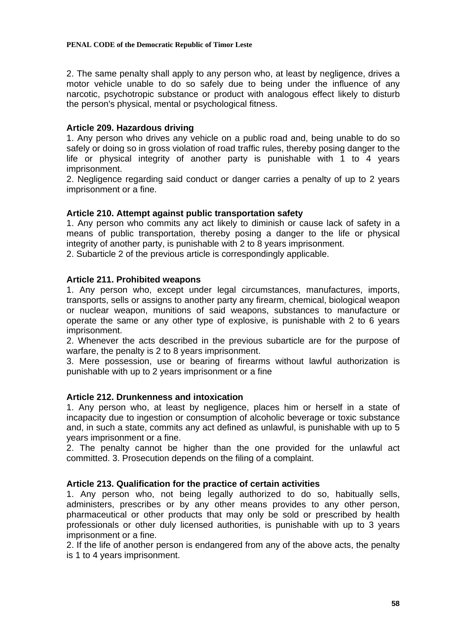2. The same penalty shall apply to any person who, at least by negligence, drives a motor vehicle unable to do so safely due to being under the influence of any narcotic, psychotropic substance or product with analogous effect likely to disturb the person's physical, mental or psychological fitness.

# **Article 209. Hazardous driving**

1. Any person who drives any vehicle on a public road and, being unable to do so safely or doing so in gross violation of road traffic rules, thereby posing danger to the life or physical integrity of another party is punishable with 1 to 4 years imprisonment.

2. Negligence regarding said conduct or danger carries a penalty of up to 2 years imprisonment or a fine.

# **Article 210. Attempt against public transportation safety**

1. Any person who commits any act likely to diminish or cause lack of safety in a means of public transportation, thereby posing a danger to the life or physical integrity of another party, is punishable with 2 to 8 years imprisonment.

2. Subarticle 2 of the previous article is correspondingly applicable.

# **Article 211. Prohibited weapons**

1. Any person who, except under legal circumstances, manufactures, imports, transports, sells or assigns to another party any firearm, chemical, biological weapon or nuclear weapon, munitions of said weapons, substances to manufacture or operate the same or any other type of explosive, is punishable with 2 to 6 years imprisonment.

2. Whenever the acts described in the previous subarticle are for the purpose of warfare, the penalty is 2 to 8 years imprisonment.

3. Mere possession, use or bearing of firearms without lawful authorization is punishable with up to 2 years imprisonment or a fine

## **Article 212. Drunkenness and intoxication**

1. Any person who, at least by negligence, places him or herself in a state of incapacity due to ingestion or consumption of alcoholic beverage or toxic substance and, in such a state, commits any act defined as unlawful, is punishable with up to 5 years imprisonment or a fine.

2. The penalty cannot be higher than the one provided for the unlawful act committed. 3. Prosecution depends on the filing of a complaint.

## **Article 213. Qualification for the practice of certain activities**

1. Any person who, not being legally authorized to do so, habitually sells, administers, prescribes or by any other means provides to any other person, pharmaceutical or other products that may only be sold or prescribed by health professionals or other duly licensed authorities, is punishable with up to 3 years imprisonment or a fine.

2. If the life of another person is endangered from any of the above acts, the penalty is 1 to 4 years imprisonment.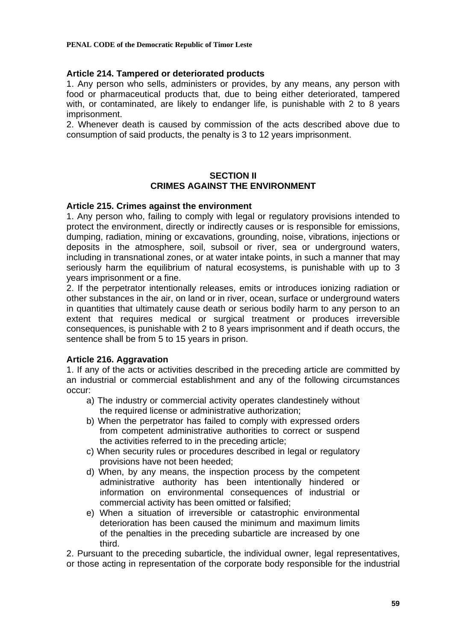## **Article 214. Tampered or deteriorated products**

1. Any person who sells, administers or provides, by any means, any person with food or pharmaceutical products that, due to being either deteriorated, tampered with, or contaminated, are likely to endanger life, is punishable with 2 to 8 years imprisonment.

2. Whenever death is caused by commission of the acts described above due to consumption of said products, the penalty is 3 to 12 years imprisonment.

# **SECTION II CRIMES AGAINST THE ENVIRONMENT**

## **Article 215. Crimes against the environment**

1. Any person who, failing to comply with legal or regulatory provisions intended to protect the environment, directly or indirectly causes or is responsible for emissions, dumping, radiation, mining or excavations, grounding, noise, vibrations, injections or deposits in the atmosphere, soil, subsoil or river, sea or underground waters, including in transnational zones, or at water intake points, in such a manner that may seriously harm the equilibrium of natural ecosystems, is punishable with up to 3 years imprisonment or a fine.

2. If the perpetrator intentionally releases, emits or introduces ionizing radiation or other substances in the air, on land or in river, ocean, surface or underground waters in quantities that ultimately cause death or serious bodily harm to any person to an extent that requires medical or surgical treatment or produces irreversible consequences, is punishable with 2 to 8 years imprisonment and if death occurs, the sentence shall be from 5 to 15 years in prison.

# **Article 216. Aggravation**

1. If any of the acts or activities described in the preceding article are committed by an industrial or commercial establishment and any of the following circumstances occur:

- a) The industry or commercial activity operates clandestinely without the required license or administrative authorization;
- b) When the perpetrator has failed to comply with expressed orders from competent administrative authorities to correct or suspend the activities referred to in the preceding article;
- c) When security rules or procedures described in legal or regulatory provisions have not been heeded;
- d) When, by any means, the inspection process by the competent administrative authority has been intentionally hindered or information on environmental consequences of industrial or commercial activity has been omitted or falsified;
- e) When a situation of irreversible or catastrophic environmental deterioration has been caused the minimum and maximum limits of the penalties in the preceding subarticle are increased by one third.

2. Pursuant to the preceding subarticle, the individual owner, legal representatives, or those acting in representation of the corporate body responsible for the industrial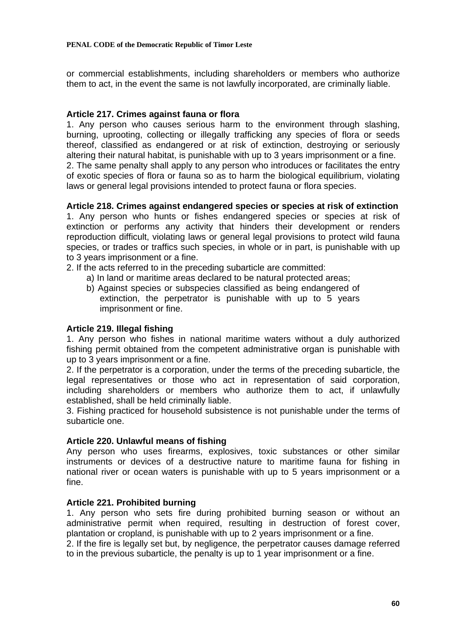or commercial establishments, including shareholders or members who authorize them to act, in the event the same is not lawfully incorporated, are criminally liable.

# **Article 217. Crimes against fauna or flora**

1. Any person who causes serious harm to the environment through slashing, burning, uprooting, collecting or illegally trafficking any species of flora or seeds thereof, classified as endangered or at risk of extinction, destroying or seriously altering their natural habitat, is punishable with up to 3 years imprisonment or a fine. 2. The same penalty shall apply to any person who introduces or facilitates the entry of exotic species of flora or fauna so as to harm the biological equilibrium, violating laws or general legal provisions intended to protect fauna or flora species.

# **Article 218. Crimes against endangered species or species at risk of extinction**

1. Any person who hunts or fishes endangered species or species at risk of extinction or performs any activity that hinders their development or renders reproduction difficult, violating laws or general legal provisions to protect wild fauna species, or trades or traffics such species, in whole or in part, is punishable with up to 3 years imprisonment or a fine.

2. If the acts referred to in the preceding subarticle are committed:

- a) In land or maritime areas declared to be natural protected areas;
- b) Against species or subspecies classified as being endangered of extinction, the perpetrator is punishable with up to 5 years imprisonment or fine.

# **Article 219. Illegal fishing**

1. Any person who fishes in national maritime waters without a duly authorized fishing permit obtained from the competent administrative organ is punishable with up to 3 years imprisonment or a fine.

2. If the perpetrator is a corporation, under the terms of the preceding subarticle, the legal representatives or those who act in representation of said corporation, including shareholders or members who authorize them to act, if unlawfully established, shall be held criminally liable.

3. Fishing practiced for household subsistence is not punishable under the terms of subarticle one.

## **Article 220. Unlawful means of fishing**

Any person who uses firearms, explosives, toxic substances or other similar instruments or devices of a destructive nature to maritime fauna for fishing in national river or ocean waters is punishable with up to 5 years imprisonment or a fine.

# **Article 221. Prohibited burning**

1. Any person who sets fire during prohibited burning season or without an administrative permit when required, resulting in destruction of forest cover, plantation or cropland, is punishable with up to 2 years imprisonment or a fine.

2. If the fire is legally set but, by negligence, the perpetrator causes damage referred to in the previous subarticle, the penalty is up to 1 year imprisonment or a fine.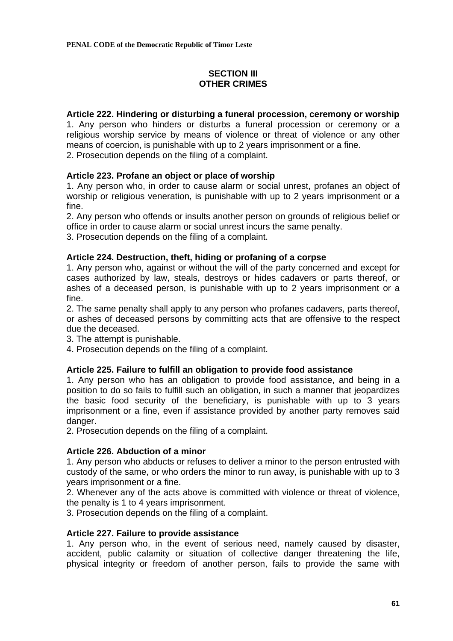# **SECTION III OTHER CRIMES**

# **Article 222. Hindering or disturbing a funeral procession, ceremony or worship**

1. Any person who hinders or disturbs a funeral procession or ceremony or a religious worship service by means of violence or threat of violence or any other means of coercion, is punishable with up to 2 years imprisonment or a fine.

2. Prosecution depends on the filing of a complaint.

# **Article 223. Profane an object or place of worship**

1. Any person who, in order to cause alarm or social unrest, profanes an object of worship or religious veneration, is punishable with up to 2 years imprisonment or a fine.

2. Any person who offends or insults another person on grounds of religious belief or office in order to cause alarm or social unrest incurs the same penalty.

3. Prosecution depends on the filing of a complaint.

# **Article 224. Destruction, theft, hiding or profaning of a corpse**

1. Any person who, against or without the will of the party concerned and except for cases authorized by law, steals, destroys or hides cadavers or parts thereof, or ashes of a deceased person, is punishable with up to 2 years imprisonment or a fine.

2. The same penalty shall apply to any person who profanes cadavers, parts thereof, or ashes of deceased persons by committing acts that are offensive to the respect due the deceased.

3. The attempt is punishable.

4. Prosecution depends on the filing of a complaint.

# **Article 225. Failure to fulfill an obligation to provide food assistance**

1. Any person who has an obligation to provide food assistance, and being in a position to do so fails to fulfill such an obligation, in such a manner that jeopardizes the basic food security of the beneficiary, is punishable with up to 3 years imprisonment or a fine, even if assistance provided by another party removes said danger.

2. Prosecution depends on the filing of a complaint.

# **Article 226. Abduction of a minor**

1. Any person who abducts or refuses to deliver a minor to the person entrusted with custody of the same, or who orders the minor to run away, is punishable with up to 3 years imprisonment or a fine.

2. Whenever any of the acts above is committed with violence or threat of violence, the penalty is 1 to 4 years imprisonment.

3. Prosecution depends on the filing of a complaint.

## **Article 227. Failure to provide assistance**

1. Any person who, in the event of serious need, namely caused by disaster, accident, public calamity or situation of collective danger threatening the life, physical integrity or freedom of another person, fails to provide the same with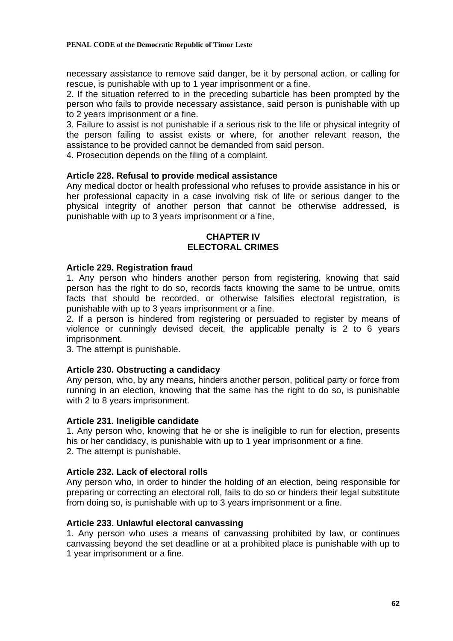necessary assistance to remove said danger, be it by personal action, or calling for rescue, is punishable with up to 1 year imprisonment or a fine.

2. If the situation referred to in the preceding subarticle has been prompted by the person who fails to provide necessary assistance, said person is punishable with up to 2 years imprisonment or a fine.

3. Failure to assist is not punishable if a serious risk to the life or physical integrity of the person failing to assist exists or where, for another relevant reason, the assistance to be provided cannot be demanded from said person.

4. Prosecution depends on the filing of a complaint.

# **Article 228. Refusal to provide medical assistance**

Any medical doctor or health professional who refuses to provide assistance in his or her professional capacity in a case involving risk of life or serious danger to the physical integrity of another person that cannot be otherwise addressed, is punishable with up to 3 years imprisonment or a fine,

#### **CHAPTER IV ELECTORAL CRIMES**

## **Article 229. Registration fraud**

1. Any person who hinders another person from registering, knowing that said person has the right to do so, records facts knowing the same to be untrue, omits facts that should be recorded, or otherwise falsifies electoral registration, is punishable with up to 3 years imprisonment or a fine.

2. If a person is hindered from registering or persuaded to register by means of violence or cunningly devised deceit, the applicable penalty is 2 to 6 years imprisonment.

3. The attempt is punishable.

## **Article 230. Obstructing a candidacy**

Any person, who, by any means, hinders another person, political party or force from running in an election, knowing that the same has the right to do so, is punishable with 2 to 8 years imprisonment.

## **Article 231. Ineligible candidate**

1. Any person who, knowing that he or she is ineligible to run for election, presents his or her candidacy, is punishable with up to 1 year imprisonment or a fine. 2. The attempt is punishable.

## **Article 232. Lack of electoral rolls**

Any person who, in order to hinder the holding of an election, being responsible for preparing or correcting an electoral roll, fails to do so or hinders their legal substitute from doing so, is punishable with up to 3 years imprisonment or a fine.

## **Article 233. Unlawful electoral canvassing**

1. Any person who uses a means of canvassing prohibited by law, or continues canvassing beyond the set deadline or at a prohibited place is punishable with up to 1 year imprisonment or a fine.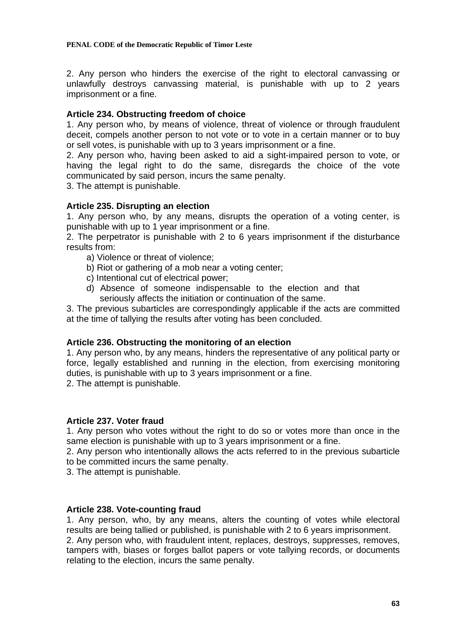2. Any person who hinders the exercise of the right to electoral canvassing or unlawfully destroys canvassing material, is punishable with up to 2 years imprisonment or a fine.

# **Article 234. Obstructing freedom of choice**

1. Any person who, by means of violence, threat of violence or through fraudulent deceit, compels another person to not vote or to vote in a certain manner or to buy or sell votes, is punishable with up to 3 years imprisonment or a fine.

2. Any person who, having been asked to aid a sight-impaired person to vote, or having the legal right to do the same, disregards the choice of the vote communicated by said person, incurs the same penalty.

3. The attempt is punishable.

# **Article 235. Disrupting an election**

1. Any person who, by any means, disrupts the operation of a voting center, is punishable with up to 1 year imprisonment or a fine.

2. The perpetrator is punishable with 2 to 6 years imprisonment if the disturbance results from:

- a) Violence or threat of violence;
- b) Riot or gathering of a mob near a voting center;
- c) Intentional cut of electrical power;
- d) Absence of someone indispensable to the election and that seriously affects the initiation or continuation of the same.

3. The previous subarticles are correspondingly applicable if the acts are committed at the time of tallying the results after voting has been concluded.

## **Article 236. Obstructing the monitoring of an election**

1. Any person who, by any means, hinders the representative of any political party or force, legally established and running in the election, from exercising monitoring duties, is punishable with up to 3 years imprisonment or a fine.

2. The attempt is punishable.

## **Article 237. Voter fraud**

1. Any person who votes without the right to do so or votes more than once in the same election is punishable with up to 3 years imprisonment or a fine.

2. Any person who intentionally allows the acts referred to in the previous subarticle to be committed incurs the same penalty.

3. The attempt is punishable.

## **Article 238. Vote-counting fraud**

1. Any person, who, by any means, alters the counting of votes while electoral results are being tallied or published, is punishable with 2 to 6 years imprisonment.

2. Any person who, with fraudulent intent, replaces, destroys, suppresses, removes, tampers with, biases or forges ballot papers or vote tallying records, or documents relating to the election, incurs the same penalty.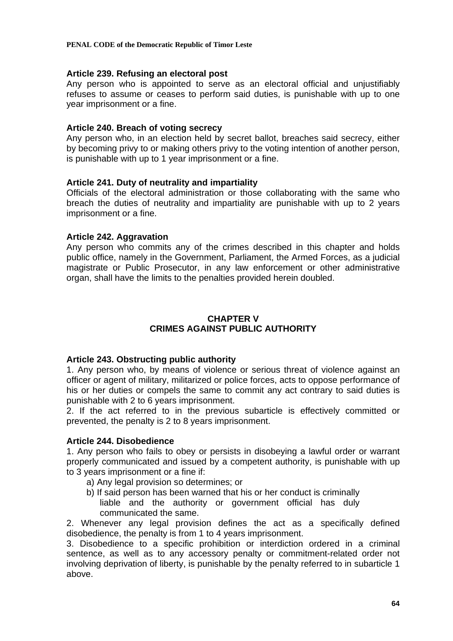**PENAL CODE of the Democratic Republic of Timor Leste** 

## **Article 239. Refusing an electoral post**

Any person who is appointed to serve as an electoral official and unjustifiably refuses to assume or ceases to perform said duties, is punishable with up to one year imprisonment or a fine.

# **Article 240. Breach of voting secrecy**

Any person who, in an election held by secret ballot, breaches said secrecy, either by becoming privy to or making others privy to the voting intention of another person, is punishable with up to 1 year imprisonment or a fine.

# **Article 241. Duty of neutrality and impartiality**

Officials of the electoral administration or those collaborating with the same who breach the duties of neutrality and impartiality are punishable with up to 2 years imprisonment or a fine.

# **Article 242. Aggravation**

Any person who commits any of the crimes described in this chapter and holds public office, namely in the Government, Parliament, the Armed Forces, as a judicial magistrate or Public Prosecutor, in any law enforcement or other administrative organ, shall have the limits to the penalties provided herein doubled.

# **CHAPTER V CRIMES AGAINST PUBLIC AUTHORITY**

# **Article 243. Obstructing public authority**

1. Any person who, by means of violence or serious threat of violence against an officer or agent of military, militarized or police forces, acts to oppose performance of his or her duties or compels the same to commit any act contrary to said duties is punishable with 2 to 6 years imprisonment.

2. If the act referred to in the previous subarticle is effectively committed or prevented, the penalty is 2 to 8 years imprisonment.

# **Article 244. Disobedience**

1. Any person who fails to obey or persists in disobeying a lawful order or warrant properly communicated and issued by a competent authority, is punishable with up to 3 years imprisonment or a fine if:

- a) Any legal provision so determines; or
- b) If said person has been warned that his or her conduct is criminally liable and the authority or government official has duly communicated the same.

2. Whenever any legal provision defines the act as a specifically defined disobedience, the penalty is from 1 to 4 years imprisonment.

3. Disobedience to a specific prohibition or interdiction ordered in a criminal sentence, as well as to any accessory penalty or commitment-related order not involving deprivation of liberty, is punishable by the penalty referred to in subarticle 1 above.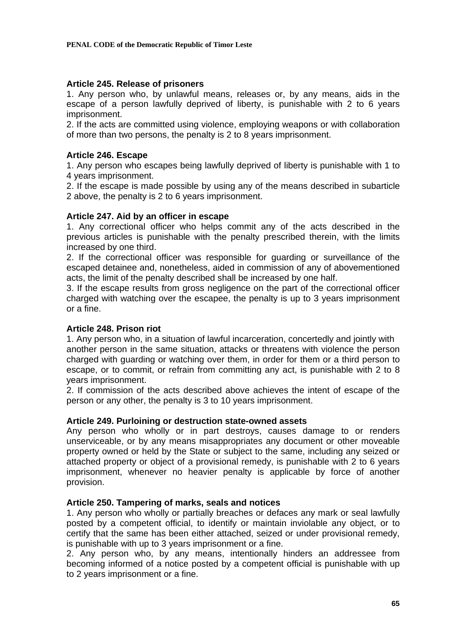# **Article 245. Release of prisoners**

1. Any person who, by unlawful means, releases or, by any means, aids in the escape of a person lawfully deprived of liberty, is punishable with 2 to 6 years imprisonment.

2. If the acts are committed using violence, employing weapons or with collaboration of more than two persons, the penalty is 2 to 8 years imprisonment.

## **Article 246. Escape**

1. Any person who escapes being lawfully deprived of liberty is punishable with 1 to 4 years imprisonment.

2. If the escape is made possible by using any of the means described in subarticle 2 above, the penalty is 2 to 6 years imprisonment.

## **Article 247. Aid by an officer in escape**

1. Any correctional officer who helps commit any of the acts described in the previous articles is punishable with the penalty prescribed therein, with the limits increased by one third.

2. If the correctional officer was responsible for guarding or surveillance of the escaped detainee and, nonetheless, aided in commission of any of abovementioned acts, the limit of the penalty described shall be increased by one half.

3. If the escape results from gross negligence on the part of the correctional officer charged with watching over the escapee, the penalty is up to 3 years imprisonment or a fine.

# **Article 248. Prison riot**

1. Any person who, in a situation of lawful incarceration, concertedly and jointly with another person in the same situation, attacks or threatens with violence the person charged with guarding or watching over them, in order for them or a third person to escape, or to commit, or refrain from committing any act, is punishable with 2 to 8 years imprisonment.

2. If commission of the acts described above achieves the intent of escape of the person or any other, the penalty is 3 to 10 years imprisonment.

## **Article 249. Purloining or destruction state-owned assets**

Any person who wholly or in part destroys, causes damage to or renders unserviceable, or by any means misappropriates any document or other moveable property owned or held by the State or subject to the same, including any seized or attached property or object of a provisional remedy, is punishable with 2 to 6 years imprisonment, whenever no heavier penalty is applicable by force of another provision.

## **Article 250. Tampering of marks, seals and notices**

1. Any person who wholly or partially breaches or defaces any mark or seal lawfully posted by a competent official, to identify or maintain inviolable any object, or to certify that the same has been either attached, seized or under provisional remedy, is punishable with up to 3 years imprisonment or a fine.

2. Any person who, by any means, intentionally hinders an addressee from becoming informed of a notice posted by a competent official is punishable with up to 2 years imprisonment or a fine.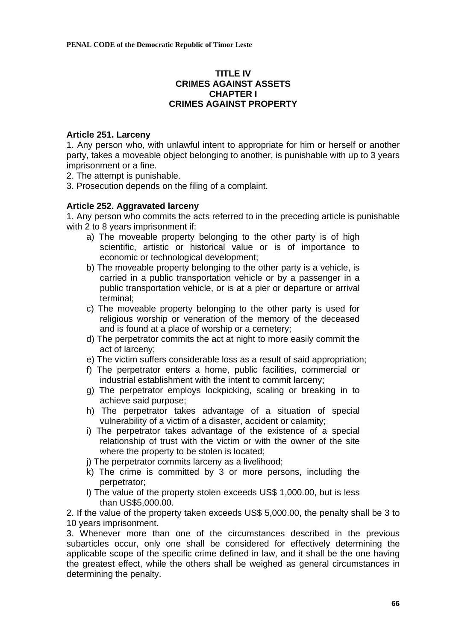# **TITLE IV CRIMES AGAINST ASSETS CHAPTER I CRIMES AGAINST PROPERTY**

# **Article 251. Larceny**

1. Any person who, with unlawful intent to appropriate for him or herself or another party, takes a moveable object belonging to another, is punishable with up to 3 years imprisonment or a fine.

- 2. The attempt is punishable.
- 3. Prosecution depends on the filing of a complaint.

# **Article 252. Aggravated larceny**

1. Any person who commits the acts referred to in the preceding article is punishable with 2 to 8 years imprisonment if:

- a) The moveable property belonging to the other party is of high scientific, artistic or historical value or is of importance to economic or technological development;
- b) The moveable property belonging to the other party is a vehicle, is carried in a public transportation vehicle or by a passenger in a public transportation vehicle, or is at a pier or departure or arrival terminal;
- c) The moveable property belonging to the other party is used for religious worship or veneration of the memory of the deceased and is found at a place of worship or a cemetery;
- d) The perpetrator commits the act at night to more easily commit the act of larceny;
- e) The victim suffers considerable loss as a result of said appropriation;
- f) The perpetrator enters a home, public facilities, commercial or industrial establishment with the intent to commit larceny;
- g) The perpetrator employs lockpicking, scaling or breaking in to achieve said purpose;
- h) The perpetrator takes advantage of a situation of special vulnerability of a victim of a disaster, accident or calamity;
- i) The perpetrator takes advantage of the existence of a special relationship of trust with the victim or with the owner of the site where the property to be stolen is located;
- j) The perpetrator commits larceny as a livelihood;
- k) The crime is committed by 3 or more persons, including the perpetrator;
- l) The value of the property stolen exceeds US\$ 1,000.00, but is less than US\$5,000.00.

2. If the value of the property taken exceeds US\$ 5,000.00, the penalty shall be 3 to 10 years imprisonment.

3. Whenever more than one of the circumstances described in the previous subarticles occur, only one shall be considered for effectively determining the applicable scope of the specific crime defined in law, and it shall be the one having the greatest effect, while the others shall be weighed as general circumstances in determining the penalty.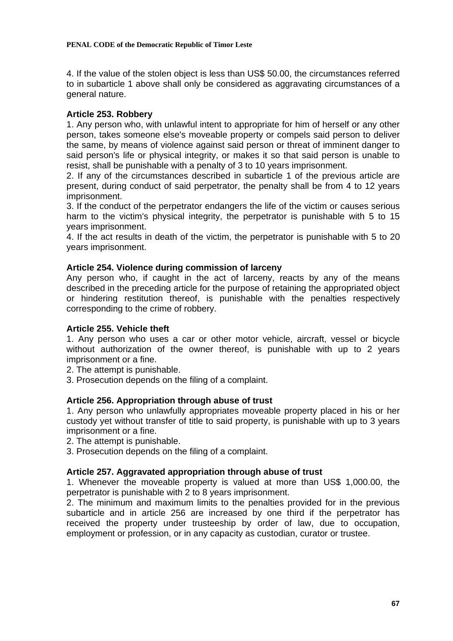4. If the value of the stolen object is less than US\$ 50.00, the circumstances referred to in subarticle 1 above shall only be considered as aggravating circumstances of a general nature.

# **Article 253. Robbery**

1. Any person who, with unlawful intent to appropriate for him of herself or any other person, takes someone else's moveable property or compels said person to deliver the same, by means of violence against said person or threat of imminent danger to said person's life or physical integrity, or makes it so that said person is unable to resist, shall be punishable with a penalty of 3 to 10 years imprisonment.

2. If any of the circumstances described in subarticle 1 of the previous article are present, during conduct of said perpetrator, the penalty shall be from 4 to 12 years imprisonment.

3. If the conduct of the perpetrator endangers the life of the victim or causes serious harm to the victim's physical integrity, the perpetrator is punishable with 5 to 15 years imprisonment.

4. If the act results in death of the victim, the perpetrator is punishable with 5 to 20 years imprisonment.

# **Article 254. Violence during commission of larceny**

Any person who, if caught in the act of larceny, reacts by any of the means described in the preceding article for the purpose of retaining the appropriated object or hindering restitution thereof, is punishable with the penalties respectively corresponding to the crime of robbery.

# **Article 255. Vehicle theft**

1. Any person who uses a car or other motor vehicle, aircraft, vessel or bicycle without authorization of the owner thereof, is punishable with up to 2 years imprisonment or a fine.

2. The attempt is punishable.

3. Prosecution depends on the filing of a complaint.

# **Article 256. Appropriation through abuse of trust**

1. Any person who unlawfully appropriates moveable property placed in his or her custody yet without transfer of title to said property, is punishable with up to 3 years imprisonment or a fine.

- 2. The attempt is punishable.
- 3. Prosecution depends on the filing of a complaint.

## **Article 257. Aggravated appropriation through abuse of trust**

1. Whenever the moveable property is valued at more than US\$ 1,000.00, the perpetrator is punishable with 2 to 8 years imprisonment.

2. The minimum and maximum limits to the penalties provided for in the previous subarticle and in article 256 are increased by one third if the perpetrator has received the property under trusteeship by order of law, due to occupation, employment or profession, or in any capacity as custodian, curator or trustee.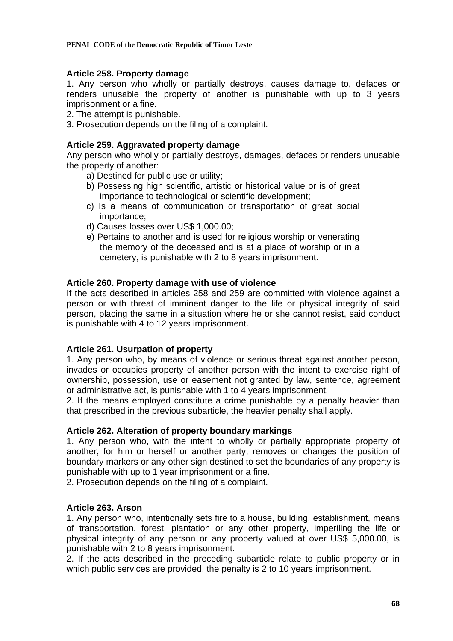#### **PENAL CODE of the Democratic Republic of Timor Leste**

## **Article 258. Property damage**

1. Any person who wholly or partially destroys, causes damage to, defaces or renders unusable the property of another is punishable with up to 3 years imprisonment or a fine.

2. The attempt is punishable.

3. Prosecution depends on the filing of a complaint.

# **Article 259. Aggravated property damage**

Any person who wholly or partially destroys, damages, defaces or renders unusable the property of another:

- a) Destined for public use or utility;
- b) Possessing high scientific, artistic or historical value or is of great importance to technological or scientific development;
- c) Is a means of communication or transportation of great social importance;
- d) Causes losses over US\$ 1,000.00;
- e) Pertains to another and is used for religious worship or venerating the memory of the deceased and is at a place of worship or in a cemetery, is punishable with 2 to 8 years imprisonment.

# **Article 260. Property damage with use of violence**

If the acts described in articles 258 and 259 are committed with violence against a person or with threat of imminent danger to the life or physical integrity of said person, placing the same in a situation where he or she cannot resist, said conduct is punishable with 4 to 12 years imprisonment.

## **Article 261. Usurpation of property**

1. Any person who, by means of violence or serious threat against another person, invades or occupies property of another person with the intent to exercise right of ownership, possession, use or easement not granted by law, sentence, agreement or administrative act, is punishable with 1 to 4 years imprisonment.

2. If the means employed constitute a crime punishable by a penalty heavier than that prescribed in the previous subarticle, the heavier penalty shall apply.

## **Article 262. Alteration of property boundary markings**

1. Any person who, with the intent to wholly or partially appropriate property of another, for him or herself or another party, removes or changes the position of boundary markers or any other sign destined to set the boundaries of any property is punishable with up to 1 year imprisonment or a fine.

2. Prosecution depends on the filing of a complaint.

## **Article 263. Arson**

1. Any person who, intentionally sets fire to a house, building, establishment, means of transportation, forest, plantation or any other property, imperiling the life or physical integrity of any person or any property valued at over US\$ 5,000.00, is punishable with 2 to 8 years imprisonment.

2. If the acts described in the preceding subarticle relate to public property or in which public services are provided, the penalty is 2 to 10 years imprisonment.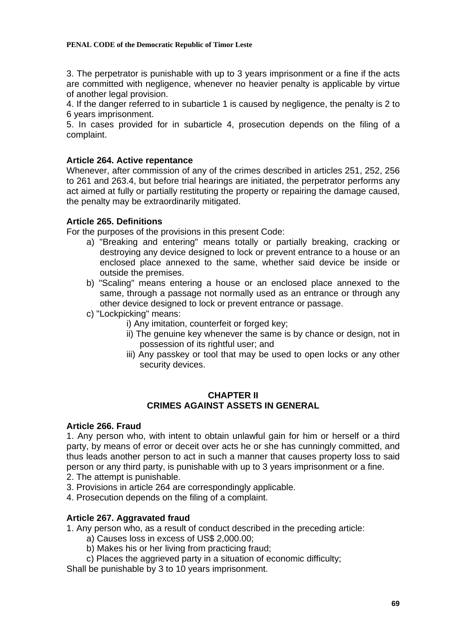#### **PENAL CODE of the Democratic Republic of Timor Leste**

3. The perpetrator is punishable with up to 3 years imprisonment or a fine if the acts are committed with negligence, whenever no heavier penalty is applicable by virtue of another legal provision.

4. If the danger referred to in subarticle 1 is caused by negligence, the penalty is 2 to 6 years imprisonment.

5. In cases provided for in subarticle 4, prosecution depends on the filing of a complaint.

# **Article 264. Active repentance**

Whenever, after commission of any of the crimes described in articles 251, 252, 256 to 261 and 263.4, but before trial hearings are initiated, the perpetrator performs any act aimed at fully or partially restituting the property or repairing the damage caused, the penalty may be extraordinarily mitigated.

# **Article 265. Definitions**

For the purposes of the provisions in this present Code:

- a) "Breaking and entering" means totally or partially breaking, cracking or destroying any device designed to lock or prevent entrance to a house or an enclosed place annexed to the same, whether said device be inside or outside the premises.
- b) "Scaling" means entering a house or an enclosed place annexed to the same, through a passage not normally used as an entrance or through any other device designed to lock or prevent entrance or passage.
- c) "Lockpicking" means:
	- i) Any imitation, counterfeit or forged key;
	- ii) The genuine key whenever the same is by chance or design, not in possession of its rightful user; and
	- iii) Any passkey or tool that may be used to open locks or any other security devices.

# **CHAPTER II CRIMES AGAINST ASSETS IN GENERAL**

## **Article 266. Fraud**

1. Any person who, with intent to obtain unlawful gain for him or herself or a third party, by means of error or deceit over acts he or she has cunningly committed, and thus leads another person to act in such a manner that causes property loss to said person or any third party, is punishable with up to 3 years imprisonment or a fine.

- 2. The attempt is punishable.
- 3. Provisions in article 264 are correspondingly applicable.
- 4. Prosecution depends on the filing of a complaint.

# **Article 267. Aggravated fraud**

1. Any person who, as a result of conduct described in the preceding article:

- a) Causes loss in excess of US\$ 2,000.00;
- b) Makes his or her living from practicing fraud;
- c) Places the aggrieved party in a situation of economic difficulty;
- Shall be punishable by 3 to 10 years imprisonment.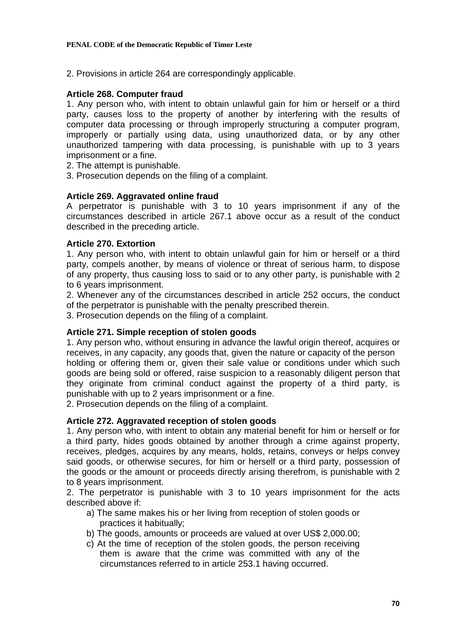2. Provisions in article 264 are correspondingly applicable.

# **Article 268. Computer fraud**

1. Any person who, with intent to obtain unlawful gain for him or herself or a third party, causes loss to the property of another by interfering with the results of computer data processing or through improperly structuring a computer program, improperly or partially using data, using unauthorized data, or by any other unauthorized tampering with data processing, is punishable with up to 3 years imprisonment or a fine.

- 2. The attempt is punishable.
- 3. Prosecution depends on the filing of a complaint.

# **Article 269. Aggravated online fraud**

A perpetrator is punishable with 3 to 10 years imprisonment if any of the circumstances described in article 267.1 above occur as a result of the conduct described in the preceding article.

## **Article 270. Extortion**

1. Any person who, with intent to obtain unlawful gain for him or herself or a third party, compels another, by means of violence or threat of serious harm, to dispose of any property, thus causing loss to said or to any other party, is punishable with 2 to 6 years imprisonment.

2. Whenever any of the circumstances described in article 252 occurs, the conduct of the perpetrator is punishable with the penalty prescribed therein.

3. Prosecution depends on the filing of a complaint.

# **Article 271. Simple reception of stolen goods**

1. Any person who, without ensuring in advance the lawful origin thereof, acquires or receives, in any capacity, any goods that, given the nature or capacity of the person holding or offering them or, given their sale value or conditions under which such goods are being sold or offered, raise suspicion to a reasonably diligent person that they originate from criminal conduct against the property of a third party, is punishable with up to 2 years imprisonment or a fine.

2. Prosecution depends on the filing of a complaint.

## **Article 272. Aggravated reception of stolen goods**

1. Any person who, with intent to obtain any material benefit for him or herself or for a third party, hides goods obtained by another through a crime against property, receives, pledges, acquires by any means, holds, retains, conveys or helps convey said goods, or otherwise secures, for him or herself or a third party, possession of the goods or the amount or proceeds directly arising therefrom, is punishable with 2 to 8 years imprisonment.

2. The perpetrator is punishable with 3 to 10 years imprisonment for the acts described above if:

- a) The same makes his or her living from reception of stolen goods or practices it habitually;
- b) The goods, amounts or proceeds are valued at over US\$ 2,000.00;
- c) At the time of reception of the stolen goods, the person receiving them is aware that the crime was committed with any of the circumstances referred to in article 253.1 having occurred.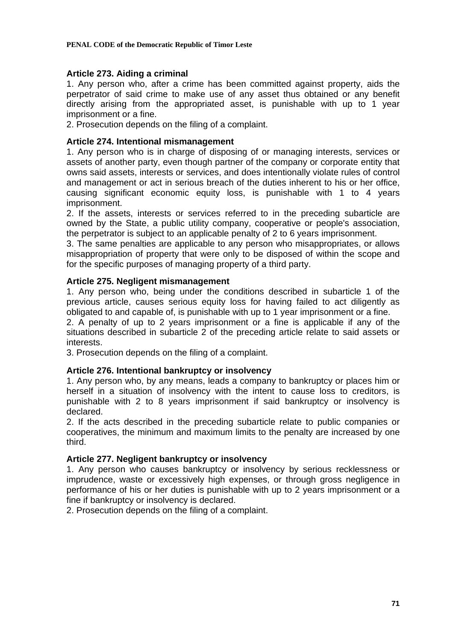#### **PENAL CODE of the Democratic Republic of Timor Leste**

# **Article 273. Aiding a criminal**

1. Any person who, after a crime has been committed against property, aids the perpetrator of said crime to make use of any asset thus obtained or any benefit directly arising from the appropriated asset, is punishable with up to 1 year imprisonment or a fine.

2. Prosecution depends on the filing of a complaint.

# **Article 274. Intentional mismanagement**

1. Any person who is in charge of disposing of or managing interests, services or assets of another party, even though partner of the company or corporate entity that owns said assets, interests or services, and does intentionally violate rules of control and management or act in serious breach of the duties inherent to his or her office, causing significant economic equity loss, is punishable with 1 to 4 years imprisonment.

2. If the assets, interests or services referred to in the preceding subarticle are owned by the State, a public utility company, cooperative or people's association, the perpetrator is subject to an applicable penalty of 2 to 6 years imprisonment.

3. The same penalties are applicable to any person who misappropriates, or allows misappropriation of property that were only to be disposed of within the scope and for the specific purposes of managing property of a third party.

# **Article 275. Negligent mismanagement**

1. Any person who, being under the conditions described in subarticle 1 of the previous article, causes serious equity loss for having failed to act diligently as obligated to and capable of, is punishable with up to 1 year imprisonment or a fine.

2. A penalty of up to 2 years imprisonment or a fine is applicable if any of the situations described in subarticle 2 of the preceding article relate to said assets or interests.

3. Prosecution depends on the filing of a complaint.

# **Article 276. Intentional bankruptcy or insolvency**

1. Any person who, by any means, leads a company to bankruptcy or places him or herself in a situation of insolvency with the intent to cause loss to creditors, is punishable with 2 to 8 years imprisonment if said bankruptcy or insolvency is declared.

2. If the acts described in the preceding subarticle relate to public companies or cooperatives, the minimum and maximum limits to the penalty are increased by one third.

## **Article 277. Negligent bankruptcy or insolvency**

1. Any person who causes bankruptcy or insolvency by serious recklessness or imprudence, waste or excessively high expenses, or through gross negligence in performance of his or her duties is punishable with up to 2 years imprisonment or a fine if bankruptcy or insolvency is declared.

2. Prosecution depends on the filing of a complaint.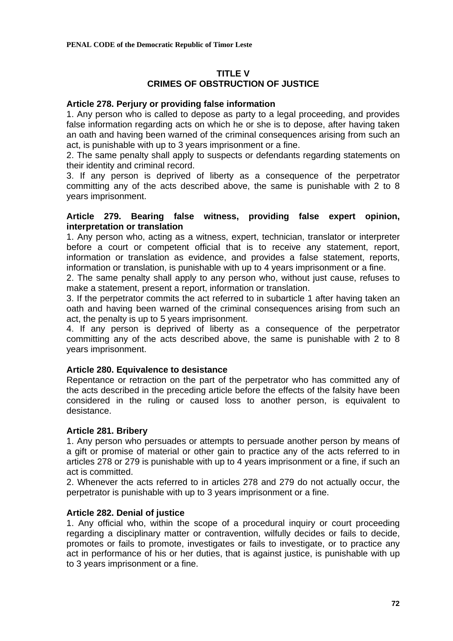# **TITLE V CRIMES OF OBSTRUCTION OF JUSTICE**

# **Article 278. Perjury or providing false information**

1. Any person who is called to depose as party to a legal proceeding, and provides false information regarding acts on which he or she is to depose, after having taken an oath and having been warned of the criminal consequences arising from such an act, is punishable with up to 3 years imprisonment or a fine.

2. The same penalty shall apply to suspects or defendants regarding statements on their identity and criminal record.

3. If any person is deprived of liberty as a consequence of the perpetrator committing any of the acts described above, the same is punishable with 2 to 8 years imprisonment.

## **Article 279. Bearing false witness, providing false expert opinion, interpretation or translation**

1. Any person who, acting as a witness, expert, technician, translator or interpreter before a court or competent official that is to receive any statement, report, information or translation as evidence, and provides a false statement, reports, information or translation, is punishable with up to 4 years imprisonment or a fine.

2. The same penalty shall apply to any person who, without just cause, refuses to make a statement, present a report, information or translation.

3. If the perpetrator commits the act referred to in subarticle 1 after having taken an oath and having been warned of the criminal consequences arising from such an act, the penalty is up to 5 years imprisonment.

4. If any person is deprived of liberty as a consequence of the perpetrator committing any of the acts described above, the same is punishable with 2 to 8 years imprisonment.

# **Article 280. Equivalence to desistance**

Repentance or retraction on the part of the perpetrator who has committed any of the acts described in the preceding article before the effects of the falsity have been considered in the ruling or caused loss to another person, is equivalent to desistance.

## **Article 281. Bribery**

1. Any person who persuades or attempts to persuade another person by means of a gift or promise of material or other gain to practice any of the acts referred to in articles 278 or 279 is punishable with up to 4 years imprisonment or a fine, if such an act is committed.

2. Whenever the acts referred to in articles 278 and 279 do not actually occur, the perpetrator is punishable with up to 3 years imprisonment or a fine.

## **Article 282. Denial of justice**

1. Any official who, within the scope of a procedural inquiry or court proceeding regarding a disciplinary matter or contravention, wilfully decides or fails to decide, promotes or fails to promote, investigates or fails to investigate, or to practice any act in performance of his or her duties, that is against justice, is punishable with up to 3 years imprisonment or a fine.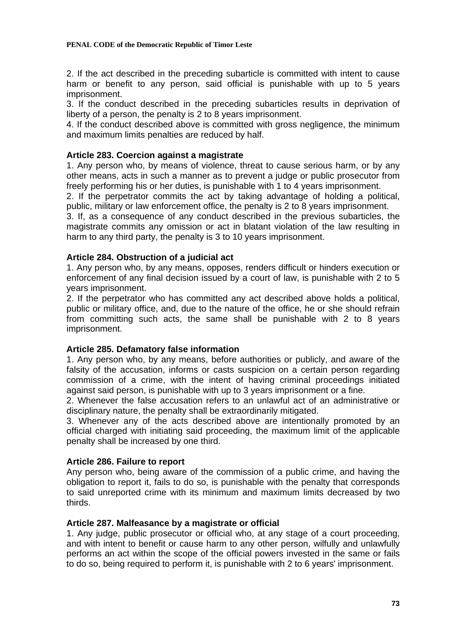2. If the act described in the preceding subarticle is committed with intent to cause harm or benefit to any person, said official is punishable with up to 5 years imprisonment.

3. If the conduct described in the preceding subarticles results in deprivation of liberty of a person, the penalty is 2 to 8 years imprisonment.

4. If the conduct described above is committed with gross negligence, the minimum and maximum limits penalties are reduced by half.

### **Article 283. Coercion against a magistrate**

1. Any person who, by means of violence, threat to cause serious harm, or by any other means, acts in such a manner as to prevent a judge or public prosecutor from freely performing his or her duties, is punishable with 1 to 4 years imprisonment.

2. If the perpetrator commits the act by taking advantage of holding a political, public, military or law enforcement office, the penalty is 2 to 8 years imprisonment.

3. If, as a consequence of any conduct described in the previous subarticles, the magistrate commits any omission or act in blatant violation of the law resulting in harm to any third party, the penalty is 3 to 10 years imprisonment.

# **Article 284. Obstruction of a judicial act**

1. Any person who, by any means, opposes, renders difficult or hinders execution or enforcement of any final decision issued by a court of law, is punishable with 2 to 5 years imprisonment.

2. If the perpetrator who has committed any act described above holds a political, public or military office, and, due to the nature of the office, he or she should refrain from committing such acts, the same shall be punishable with 2 to 8 years imprisonment.

### **Article 285. Defamatory false information**

1. Any person who, by any means, before authorities or publicly, and aware of the falsity of the accusation, informs or casts suspicion on a certain person regarding commission of a crime, with the intent of having criminal proceedings initiated against said person, is punishable with up to 3 years imprisonment or a fine.

2. Whenever the false accusation refers to an unlawful act of an administrative or disciplinary nature, the penalty shall be extraordinarily mitigated.

3. Whenever any of the acts described above are intentionally promoted by an official charged with initiating said proceeding, the maximum limit of the applicable penalty shall be increased by one third.

### **Article 286. Failure to report**

Any person who, being aware of the commission of a public crime, and having the obligation to report it, fails to do so, is punishable with the penalty that corresponds to said unreported crime with its minimum and maximum limits decreased by two thirds.

### **Article 287. Malfeasance by a magistrate or official**

1. Any judge, public prosecutor or official who, at any stage of a court proceeding, and with intent to benefit or cause harm to any other person, wilfully and unlawfully performs an act within the scope of the official powers invested in the same or fails to do so, being required to perform it, is punishable with 2 to 6 years' imprisonment.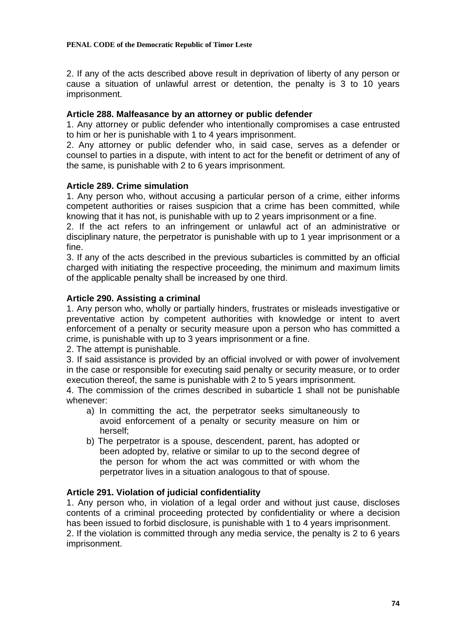2. If any of the acts described above result in deprivation of liberty of any person or cause a situation of unlawful arrest or detention, the penalty is 3 to 10 years imprisonment.

# **Article 288. Malfeasance by an attorney or public defender**

1. Any attorney or public defender who intentionally compromises a case entrusted to him or her is punishable with 1 to 4 years imprisonment.

2. Any attorney or public defender who, in said case, serves as a defender or counsel to parties in a dispute, with intent to act for the benefit or detriment of any of the same, is punishable with 2 to 6 years imprisonment.

# **Article 289. Crime simulation**

1. Any person who, without accusing a particular person of a crime, either informs competent authorities or raises suspicion that a crime has been committed, while knowing that it has not, is punishable with up to 2 years imprisonment or a fine.

2. If the act refers to an infringement or unlawful act of an administrative or disciplinary nature, the perpetrator is punishable with up to 1 year imprisonment or a fine.

3. If any of the acts described in the previous subarticles is committed by an official charged with initiating the respective proceeding, the minimum and maximum limits of the applicable penalty shall be increased by one third.

# **Article 290. Assisting a criminal**

1. Any person who, wholly or partially hinders, frustrates or misleads investigative or preventative action by competent authorities with knowledge or intent to avert enforcement of a penalty or security measure upon a person who has committed a crime, is punishable with up to 3 years imprisonment or a fine.

2. The attempt is punishable.

3. If said assistance is provided by an official involved or with power of involvement in the case or responsible for executing said penalty or security measure, or to order execution thereof, the same is punishable with 2 to 5 years imprisonment.

4. The commission of the crimes described in subarticle 1 shall not be punishable whenever:

- a) In committing the act, the perpetrator seeks simultaneously to avoid enforcement of a penalty or security measure on him or herself;
- b) The perpetrator is a spouse, descendent, parent, has adopted or been adopted by, relative or similar to up to the second degree of the person for whom the act was committed or with whom the perpetrator lives in a situation analogous to that of spouse.

### **Article 291. Violation of judicial confidentiality**

1. Any person who, in violation of a legal order and without just cause, discloses contents of a criminal proceeding protected by confidentiality or where a decision has been issued to forbid disclosure, is punishable with 1 to 4 years imprisonment. 2. If the violation is committed through any media service, the penalty is 2 to 6 years imprisonment.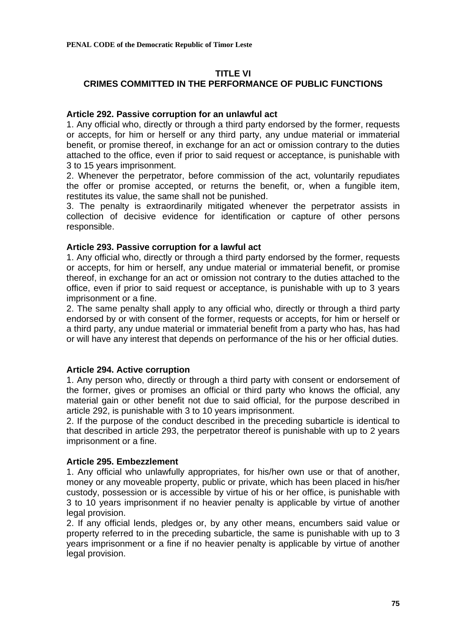# **TITLE VI**

# **CRIMES COMMITTED IN THE PERFORMANCE OF PUBLIC FUNCTIONS**

### **Article 292. Passive corruption for an unlawful act**

1. Any official who, directly or through a third party endorsed by the former, requests or accepts, for him or herself or any third party, any undue material or immaterial benefit, or promise thereof, in exchange for an act or omission contrary to the duties attached to the office, even if prior to said request or acceptance, is punishable with 3 to 15 years imprisonment.

2. Whenever the perpetrator, before commission of the act, voluntarily repudiates the offer or promise accepted, or returns the benefit, or, when a fungible item, restitutes its value, the same shall not be punished.

3. The penalty is extraordinarily mitigated whenever the perpetrator assists in collection of decisive evidence for identification or capture of other persons responsible.

### **Article 293. Passive corruption for a lawful act**

1. Any official who, directly or through a third party endorsed by the former, requests or accepts, for him or herself, any undue material or immaterial benefit, or promise thereof, in exchange for an act or omission not contrary to the duties attached to the office, even if prior to said request or acceptance, is punishable with up to 3 years imprisonment or a fine.

2. The same penalty shall apply to any official who, directly or through a third party endorsed by or with consent of the former, requests or accepts, for him or herself or a third party, any undue material or immaterial benefit from a party who has, has had or will have any interest that depends on performance of the his or her official duties.

# **Article 294. Active corruption**

1. Any person who, directly or through a third party with consent or endorsement of the former, gives or promises an official or third party who knows the official, any material gain or other benefit not due to said official, for the purpose described in article 292, is punishable with 3 to 10 years imprisonment.

2. If the purpose of the conduct described in the preceding subarticle is identical to that described in article 293, the perpetrator thereof is punishable with up to 2 years imprisonment or a fine.

# **Article 295. Embezzlement**

1. Any official who unlawfully appropriates, for his/her own use or that of another, money or any moveable property, public or private, which has been placed in his/her custody, possession or is accessible by virtue of his or her office, is punishable with 3 to 10 years imprisonment if no heavier penalty is applicable by virtue of another legal provision.

2. If any official lends, pledges or, by any other means, encumbers said value or property referred to in the preceding subarticle, the same is punishable with up to 3 years imprisonment or a fine if no heavier penalty is applicable by virtue of another legal provision.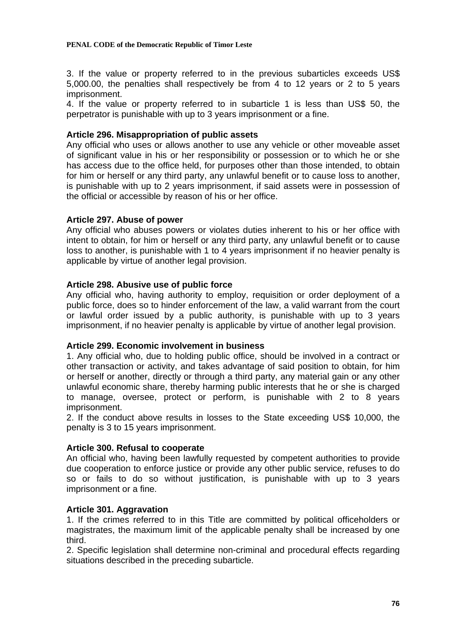3. If the value or property referred to in the previous subarticles exceeds US\$ 5,000.00, the penalties shall respectively be from 4 to 12 years or 2 to 5 years imprisonment.

4. If the value or property referred to in subarticle 1 is less than US\$ 50, the perpetrator is punishable with up to 3 years imprisonment or a fine.

# **Article 296. Misappropriation of public assets**

Any official who uses or allows another to use any vehicle or other moveable asset of significant value in his or her responsibility or possession or to which he or she has access due to the office held, for purposes other than those intended, to obtain for him or herself or any third party, any unlawful benefit or to cause loss to another, is punishable with up to 2 years imprisonment, if said assets were in possession of the official or accessible by reason of his or her office.

# **Article 297. Abuse of power**

Any official who abuses powers or violates duties inherent to his or her office with intent to obtain, for him or herself or any third party, any unlawful benefit or to cause loss to another, is punishable with 1 to 4 years imprisonment if no heavier penalty is applicable by virtue of another legal provision.

# **Article 298. Abusive use of public force**

Any official who, having authority to employ, requisition or order deployment of a public force, does so to hinder enforcement of the law, a valid warrant from the court or lawful order issued by a public authority, is punishable with up to 3 years imprisonment, if no heavier penalty is applicable by virtue of another legal provision.

### **Article 299. Economic involvement in business**

1. Any official who, due to holding public office, should be involved in a contract or other transaction or activity, and takes advantage of said position to obtain, for him or herself or another, directly or through a third party, any material gain or any other unlawful economic share, thereby harming public interests that he or she is charged to manage, oversee, protect or perform, is punishable with 2 to 8 years imprisonment.

2. If the conduct above results in losses to the State exceeding US\$ 10,000, the penalty is 3 to 15 years imprisonment.

### **Article 300. Refusal to cooperate**

An official who, having been lawfully requested by competent authorities to provide due cooperation to enforce justice or provide any other public service, refuses to do so or fails to do so without justification, is punishable with up to 3 years imprisonment or a fine.

### **Article 301. Aggravation**

1. If the crimes referred to in this Title are committed by political officeholders or magistrates, the maximum limit of the applicable penalty shall be increased by one third.

2. Specific legislation shall determine non-criminal and procedural effects regarding situations described in the preceding subarticle.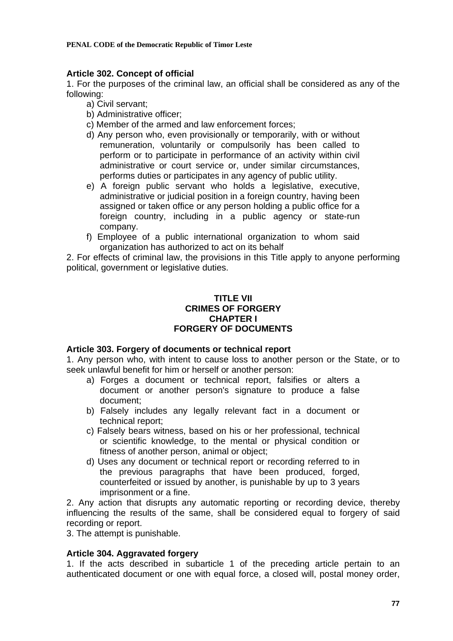# **Article 302. Concept of official**

1. For the purposes of the criminal law, an official shall be considered as any of the following:

- a) Civil servant;
- b) Administrative officer;
- c) Member of the armed and law enforcement forces;
- d) Any person who, even provisionally or temporarily, with or without remuneration, voluntarily or compulsorily has been called to perform or to participate in performance of an activity within civil administrative or court service or, under similar circumstances, performs duties or participates in any agency of public utility.
- e) A foreign public servant who holds a legislative, executive, administrative or judicial position in a foreign country, having been assigned or taken office or any person holding a public office for a foreign country, including in a public agency or state-run company.
- f) Employee of a public international organization to whom said organization has authorized to act on its behalf

2. For effects of criminal law, the provisions in this Title apply to anyone performing political, government or legislative duties.

# **TITLE VII CRIMES OF FORGERY CHAPTER I FORGERY OF DOCUMENTS**

# **Article 303. Forgery of documents or technical report**

1. Any person who, with intent to cause loss to another person or the State, or to seek unlawful benefit for him or herself or another person:

- a) Forges a document or technical report, falsifies or alters a document or another person's signature to produce a false document;
- b) Falsely includes any legally relevant fact in a document or technical report;
- c) Falsely bears witness, based on his or her professional, technical or scientific knowledge, to the mental or physical condition or fitness of another person, animal or object;
- d) Uses any document or technical report or recording referred to in the previous paragraphs that have been produced, forged, counterfeited or issued by another, is punishable by up to 3 years imprisonment or a fine.

2. Any action that disrupts any automatic reporting or recording device, thereby influencing the results of the same, shall be considered equal to forgery of said recording or report.

3. The attempt is punishable.

# **Article 304. Aggravated forgery**

1. If the acts described in subarticle 1 of the preceding article pertain to an authenticated document or one with equal force, a closed will, postal money order,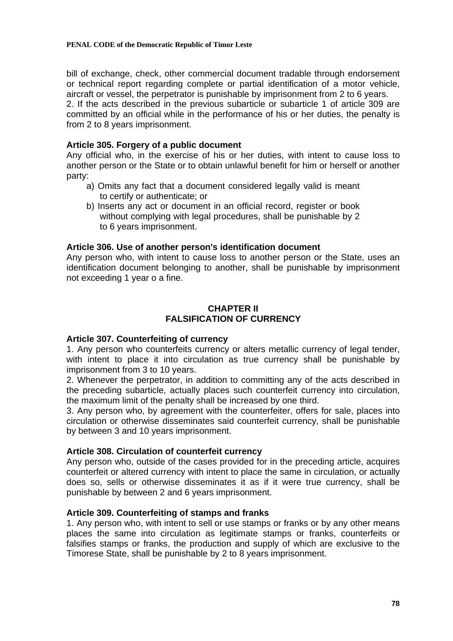bill of exchange, check, other commercial document tradable through endorsement or technical report regarding complete or partial identification of a motor vehicle, aircraft or vessel, the perpetrator is punishable by imprisonment from 2 to 6 years. 2. If the acts described in the previous subarticle or subarticle 1 of article 309 are committed by an official while in the performance of his or her duties, the penalty is from 2 to 8 years imprisonment.

### **Article 305. Forgery of a public document**

Any official who, in the exercise of his or her duties, with intent to cause loss to another person or the State or to obtain unlawful benefit for him or herself or another party:

- a) Omits any fact that a document considered legally valid is meant to certify or authenticate; or
- b) Inserts any act or document in an official record, register or book without complying with legal procedures, shall be punishable by 2 to 6 years imprisonment.

### **Article 306. Use of another person's identification document**

Any person who, with intent to cause loss to another person or the State, uses an identification document belonging to another, shall be punishable by imprisonment not exceeding 1 year o a fine.

# **CHAPTER II FALSIFICATION OF CURRENCY**

### **Article 307. Counterfeiting of currency**

1. Any person who counterfeits currency or alters metallic currency of legal tender, with intent to place it into circulation as true currency shall be punishable by imprisonment from 3 to 10 years.

2. Whenever the perpetrator, in addition to committing any of the acts described in the preceding subarticle, actually places such counterfeit currency into circulation, the maximum limit of the penalty shall be increased by one third.

3. Any person who, by agreement with the counterfeiter, offers for sale, places into circulation or otherwise disseminates said counterfeit currency, shall be punishable by between 3 and 10 years imprisonment.

### **Article 308. Circulation of counterfeit currency**

Any person who, outside of the cases provided for in the preceding article, acquires counterfeit or altered currency with intent to place the same in circulation, or actually does so, sells or otherwise disseminates it as if it were true currency, shall be punishable by between 2 and 6 years imprisonment.

### **Article 309. Counterfeiting of stamps and franks**

1. Any person who, with intent to sell or use stamps or franks or by any other means places the same into circulation as legitimate stamps or franks, counterfeits or falsifies stamps or franks, the production and supply of which are exclusive to the Timorese State, shall be punishable by 2 to 8 years imprisonment.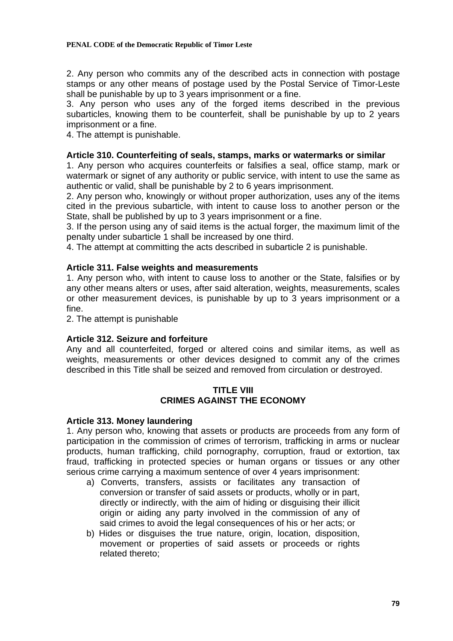2. Any person who commits any of the described acts in connection with postage stamps or any other means of postage used by the Postal Service of Timor-Leste shall be punishable by up to 3 years imprisonment or a fine.

3. Any person who uses any of the forged items described in the previous subarticles, knowing them to be counterfeit, shall be punishable by up to 2 years imprisonment or a fine.

4. The attempt is punishable.

# **Article 310. Counterfeiting of seals, stamps, marks or watermarks or similar**

1. Any person who acquires counterfeits or falsifies a seal, office stamp, mark or watermark or signet of any authority or public service, with intent to use the same as authentic or valid, shall be punishable by 2 to 6 years imprisonment.

2. Any person who, knowingly or without proper authorization, uses any of the items cited in the previous subarticle, with intent to cause loss to another person or the State, shall be published by up to 3 years imprisonment or a fine.

3. If the person using any of said items is the actual forger, the maximum limit of the penalty under subarticle 1 shall be increased by one third.

4. The attempt at committing the acts described in subarticle 2 is punishable.

# **Article 311. False weights and measurements**

1. Any person who, with intent to cause loss to another or the State, falsifies or by any other means alters or uses, after said alteration, weights, measurements, scales or other measurement devices, is punishable by up to 3 years imprisonment or a fine.

2. The attempt is punishable

# **Article 312. Seizure and forfeiture**

Any and all counterfeited, forged or altered coins and similar items, as well as weights, measurements or other devices designed to commit any of the crimes described in this Title shall be seized and removed from circulation or destroyed.

### **TITLE VIII CRIMES AGAINST THE ECONOMY**

### **Article 313. Money laundering**

1. Any person who, knowing that assets or products are proceeds from any form of participation in the commission of crimes of terrorism, trafficking in arms or nuclear products, human trafficking, child pornography, corruption, fraud or extortion, tax fraud, trafficking in protected species or human organs or tissues or any other serious crime carrying a maximum sentence of over 4 years imprisonment:

- a) Converts, transfers, assists or facilitates any transaction of conversion or transfer of said assets or products, wholly or in part, directly or indirectly, with the aim of hiding or disguising their illicit origin or aiding any party involved in the commission of any of said crimes to avoid the legal consequences of his or her acts; or
- b) Hides or disguises the true nature, origin, location, disposition, movement or properties of said assets or proceeds or rights related thereto;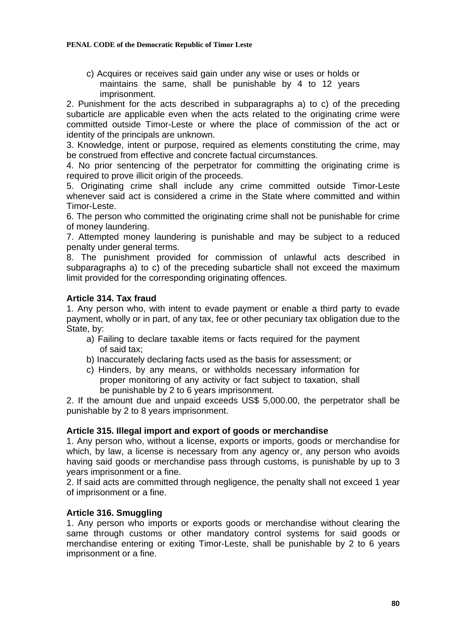c) Acquires or receives said gain under any wise or uses or holds or maintains the same, shall be punishable by 4 to 12 years imprisonment.

2. Punishment for the acts described in subparagraphs a) to c) of the preceding subarticle are applicable even when the acts related to the originating crime were committed outside Timor-Leste or where the place of commission of the act or identity of the principals are unknown.

3. Knowledge, intent or purpose, required as elements constituting the crime, may be construed from effective and concrete factual circumstances.

4. No prior sentencing of the perpetrator for committing the originating crime is required to prove illicit origin of the proceeds.

5. Originating crime shall include any crime committed outside Timor-Leste whenever said act is considered a crime in the State where committed and within Timor-Leste.

6. The person who committed the originating crime shall not be punishable for crime of money laundering.

7. Attempted money laundering is punishable and may be subject to a reduced penalty under general terms.

8. The punishment provided for commission of unlawful acts described in subparagraphs a) to c) of the preceding subarticle shall not exceed the maximum limit provided for the corresponding originating offences.

# **Article 314. Tax fraud**

1. Any person who, with intent to evade payment or enable a third party to evade payment, wholly or in part, of any tax, fee or other pecuniary tax obligation due to the State, by:

- a) Failing to declare taxable items or facts required for the payment of said tax;
- b) Inaccurately declaring facts used as the basis for assessment; or
- c) Hinders, by any means, or withholds necessary information for proper monitoring of any activity or fact subject to taxation, shall be punishable by 2 to 6 years imprisonment.

2. If the amount due and unpaid exceeds US\$ 5,000.00, the perpetrator shall be punishable by 2 to 8 years imprisonment.

### **Article 315. Illegal import and export of goods or merchandise**

1. Any person who, without a license, exports or imports, goods or merchandise for which, by law, a license is necessary from any agency or, any person who avoids having said goods or merchandise pass through customs, is punishable by up to 3 years imprisonment or a fine.

2. If said acts are committed through negligence, the penalty shall not exceed 1 year of imprisonment or a fine.

### **Article 316. Smuggling**

1. Any person who imports or exports goods or merchandise without clearing the same through customs or other mandatory control systems for said goods or merchandise entering or exiting Timor-Leste, shall be punishable by 2 to 6 years imprisonment or a fine.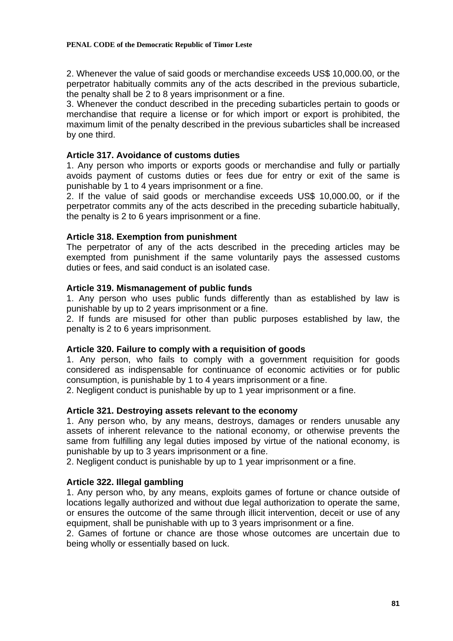2. Whenever the value of said goods or merchandise exceeds US\$ 10,000.00, or the perpetrator habitually commits any of the acts described in the previous subarticle, the penalty shall be 2 to 8 years imprisonment or a fine.

3. Whenever the conduct described in the preceding subarticles pertain to goods or merchandise that require a license or for which import or export is prohibited, the maximum limit of the penalty described in the previous subarticles shall be increased by one third.

### **Article 317. Avoidance of customs duties**

1. Any person who imports or exports goods or merchandise and fully or partially avoids payment of customs duties or fees due for entry or exit of the same is punishable by 1 to 4 years imprisonment or a fine.

2. If the value of said goods or merchandise exceeds US\$ 10,000.00, or if the perpetrator commits any of the acts described in the preceding subarticle habitually, the penalty is 2 to 6 years imprisonment or a fine.

# **Article 318. Exemption from punishment**

The perpetrator of any of the acts described in the preceding articles may be exempted from punishment if the same voluntarily pays the assessed customs duties or fees, and said conduct is an isolated case.

# **Article 319. Mismanagement of public funds**

1. Any person who uses public funds differently than as established by law is punishable by up to 2 years imprisonment or a fine.

2. If funds are misused for other than public purposes established by law, the penalty is 2 to 6 years imprisonment.

### **Article 320. Failure to comply with a requisition of goods**

1. Any person, who fails to comply with a government requisition for goods considered as indispensable for continuance of economic activities or for public consumption, is punishable by 1 to 4 years imprisonment or a fine.

2. Negligent conduct is punishable by up to 1 year imprisonment or a fine.

### **Article 321. Destroying assets relevant to the economy**

1. Any person who, by any means, destroys, damages or renders unusable any assets of inherent relevance to the national economy, or otherwise prevents the same from fulfilling any legal duties imposed by virtue of the national economy, is punishable by up to 3 years imprisonment or a fine.

2. Negligent conduct is punishable by up to 1 year imprisonment or a fine.

### **Article 322. Illegal gambling**

1. Any person who, by any means, exploits games of fortune or chance outside of locations legally authorized and without due legal authorization to operate the same, or ensures the outcome of the same through illicit intervention, deceit or use of any equipment, shall be punishable with up to 3 years imprisonment or a fine.

2. Games of fortune or chance are those whose outcomes are uncertain due to being wholly or essentially based on luck.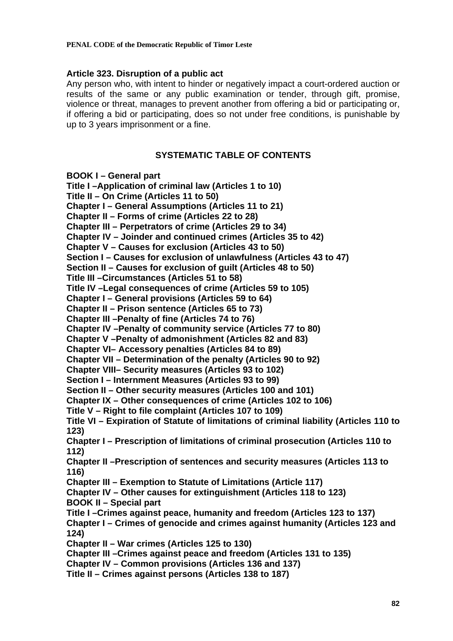# **Article 323. Disruption of a public act**

Any person who, with intent to hinder or negatively impact a court-ordered auction or results of the same or any public examination or tender, through gift, promise, violence or threat, manages to prevent another from offering a bid or participating or, if offering a bid or participating, does so not under free conditions, is punishable by up to 3 years imprisonment or a fine.

# **SYSTEMATIC TABLE OF CONTENTS**

**BOOK I – General part** 

**Title I –Application of criminal law (Articles 1 to 10) Title II – On Crime (Articles 11 to 50) Chapter I – General Assumptions (Articles 11 to 21) Chapter II – Forms of crime (Articles 22 to 28) Chapter III – Perpetrators of crime (Articles 29 to 34) Chapter IV – Joinder and continued crimes (Articles 35 to 42) Chapter V – Causes for exclusion (Articles 43 to 50) Section I – Causes for exclusion of unlawfulness (Articles 43 to 47) Section II – Causes for exclusion of guilt (Articles 48 to 50) Title III –Circumstances (Articles 51 to 58) Title IV –Legal consequences of crime (Articles 59 to 105) Chapter I – General provisions (Articles 59 to 64) Chapter II – Prison sentence (Articles 65 to 73) Chapter III –Penalty of fine (Articles 74 to 76) Chapter IV –Penalty of community service (Articles 77 to 80) Chapter V –Penalty of admonishment (Articles 82 and 83) Chapter VI– Accessory penalties (Articles 84 to 89) Chapter VII – Determination of the penalty (Articles 90 to 92) Chapter VIII– Security measures (Articles 93 to 102) Section I – Internment Measures (Articles 93 to 99) Section II – Other security measures (Articles 100 and 101) Chapter IX – Other consequences of crime (Articles 102 to 106) Title V – Right to file complaint (Articles 107 to 109) Title VI – Expiration of Statute of limitations of criminal liability (Articles 110 to 123) Chapter I – Prescription of limitations of criminal prosecution (Articles 110 to 112) Chapter II –Prescription of sentences and security measures (Articles 113 to 116) Chapter III – Exemption to Statute of Limitations (Article 117) Chapter IV – Other causes for extinguishment (Articles 118 to 123) BOOK II – Special part Title I –Crimes against peace, humanity and freedom (Articles 123 to 137) Chapter I – Crimes of genocide and crimes against humanity (Articles 123 and 124) Chapter II – War crimes (Articles 125 to 130) Chapter III –Crimes against peace and freedom (Articles 131 to 135) Chapter IV – Common provisions (Articles 136 and 137) Title II – Crimes against persons (Articles 138 to 187)**